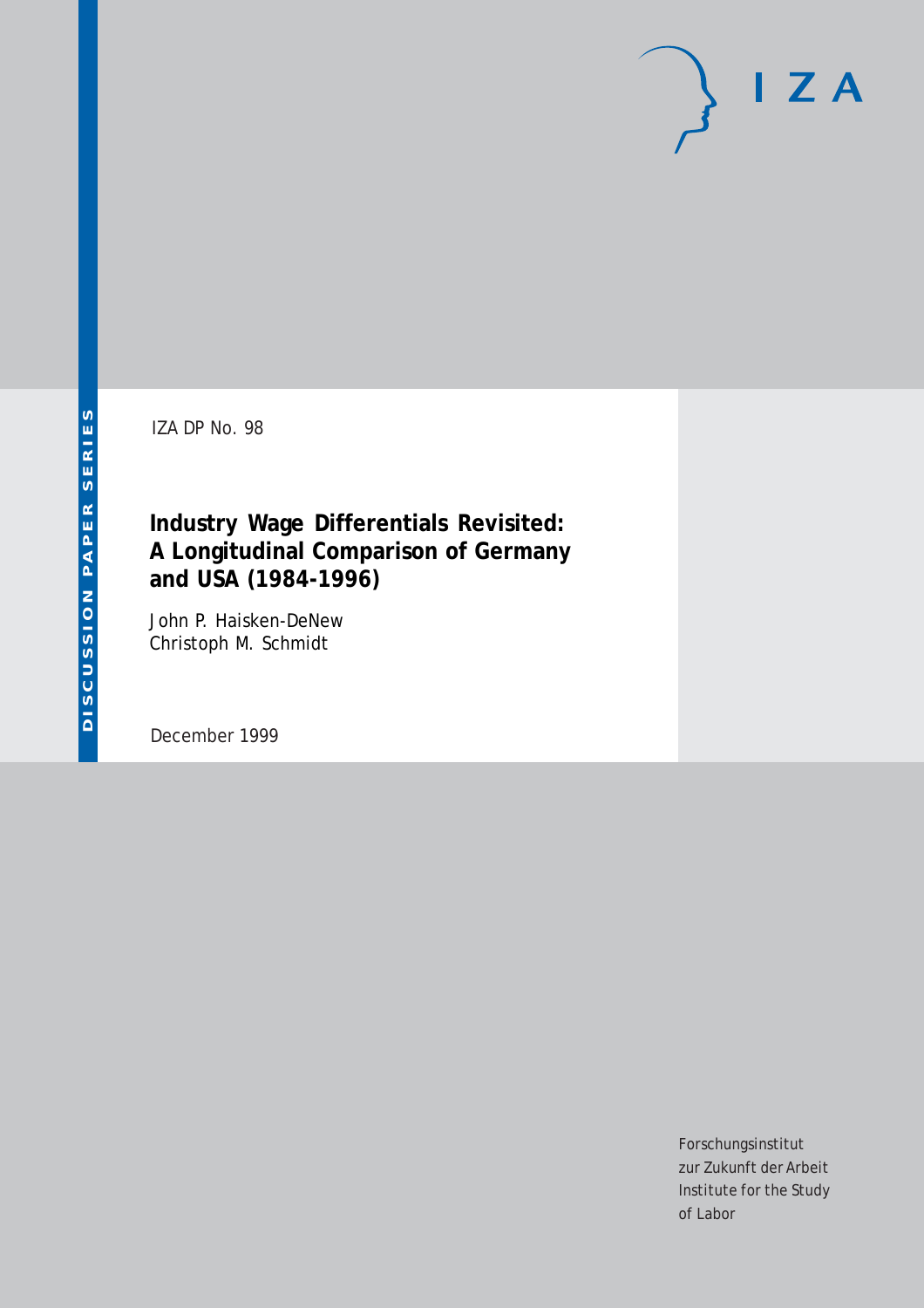# $I Z A$

IZA DP No. 98

## **Industry Wage Differentials Revisited: A Longitudinal Comparison of Germany and USA (1984-1996)**

John P. Haisken-DeNew Christoph M. Schmidt

December 1999

Forschungsinstitut zur Zukunft der Arbeit Institute for the Study of Labor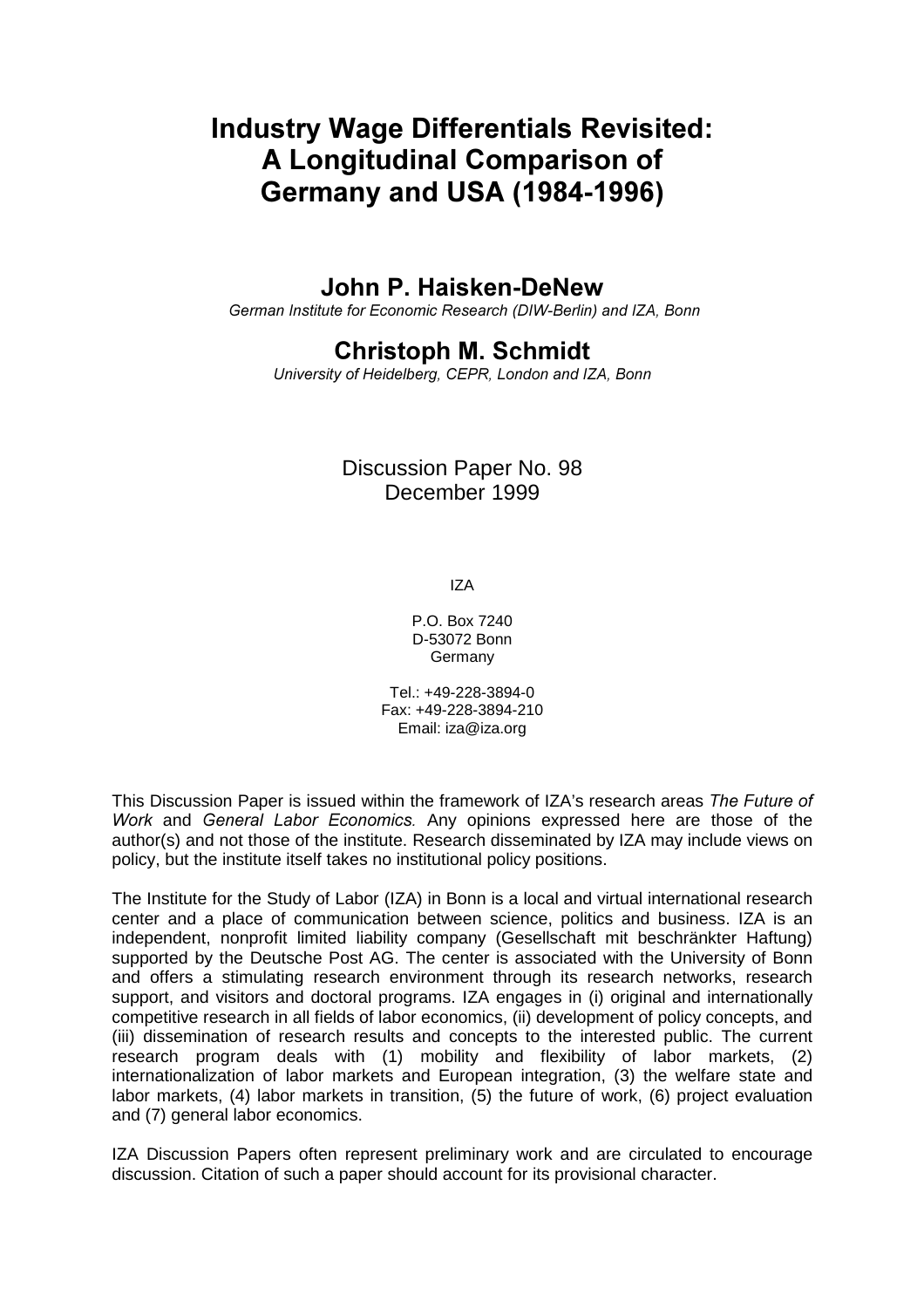# **Industry Wage Differentials Revisited:** A Longitudinal Comparison of **Germany and USA (1984-1996)**

## John P. Haisken-DeNew

German Institute for Economic Research (DIW-Berlin) and IZA, Bonn

## Christoph M. Schmidt

University of Heidelberg, CEPR, London and IZA, Bonn

### Discussion Paper No. 98 December 1999

IZA

P.O. Box 7240 D-53072 Bonn Germany

Tel.: +49-228-3894-0 Fax: +49-228-3894-210 Email: iza@iza.org

This Discussion Paper is issued within the framework of IZA's research areas The Future of Work and General Labor Economics. Any opinions expressed here are those of the author(s) and not those of the institute. Research disseminated by IZA may include views on policy, but the institute itself takes no institutional policy positions.

The Institute for the Study of Labor (IZA) in Bonn is a local and virtual international research center and a place of communication between science, politics and business. IZA is an independent, nonprofit limited liability company (Gesellschaft mit beschränkter Haftung) supported by the Deutsche Post AG. The center is associated with the University of Bonn and offers a stimulating research environment through its research networks, research support, and visitors and doctoral programs. IZA engages in (i) original and internationally competitive research in all fields of labor economics, (ii) development of policy concepts, and (iii) dissemination of research results and concepts to the interested public. The current research program deals with (1) mobility and flexibility of labor markets, (2) internationalization of labor markets and European integration, (3) the welfare state and labor markets, (4) labor markets in transition, (5) the future of work, (6) project evaluation and (7) general labor economics.

IZA Discussion Papers often represent preliminary work and are circulated to encourage discussion. Citation of such a paper should account for its provisional character.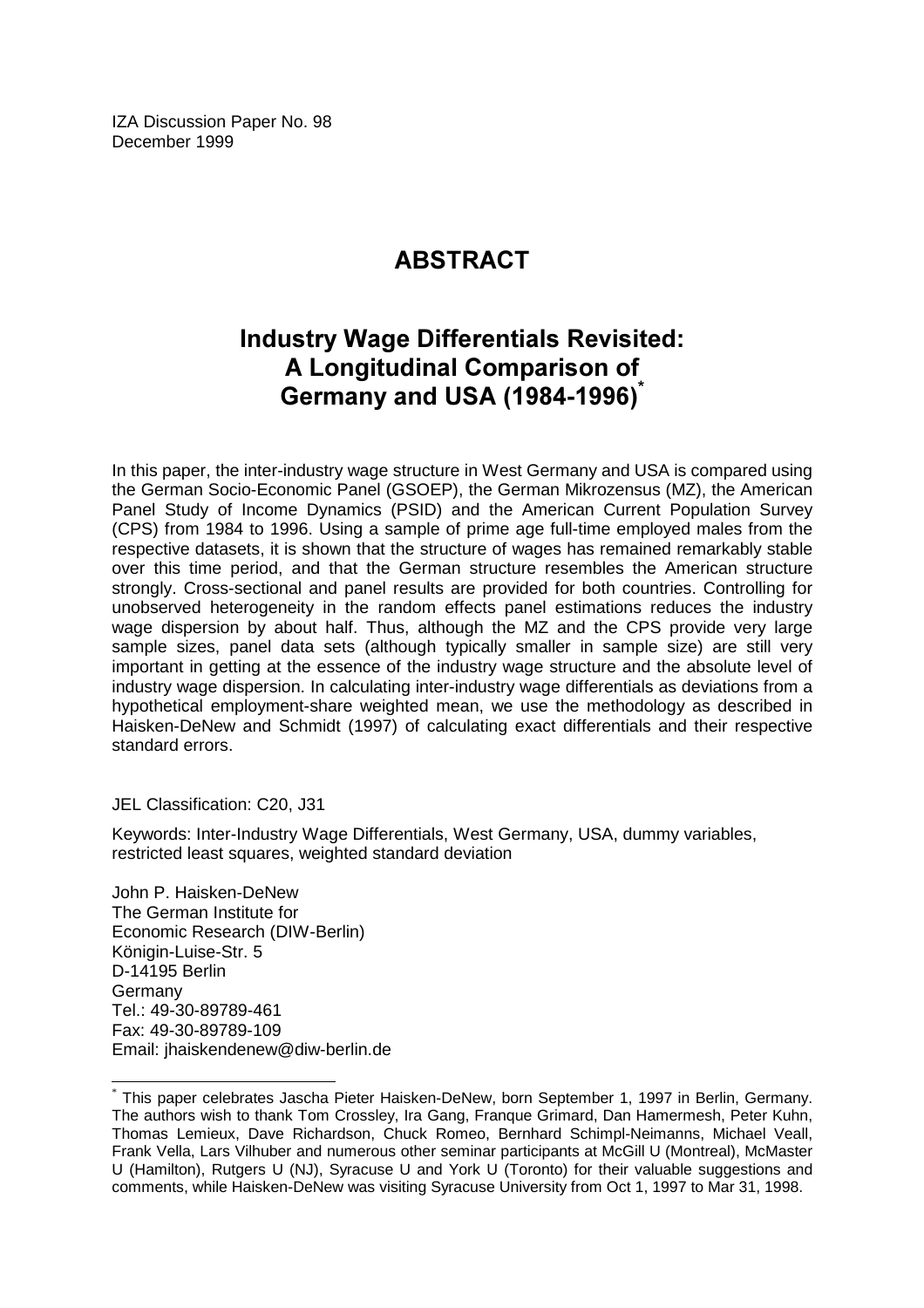IZA Discussion Paper No. 98 December 1999

## **ABSTRACT**

# **Industry Wage Differentials Revisited:** A Longitudinal Comparison of Germany and USA (1984-1996)<sup>\*</sup>

In this paper, the inter-industry wage structure in West Germany and USA is compared using the German Socio-Economic Panel (GSOEP), the German Mikrozensus (MZ), the American Panel Study of Income Dynamics (PSID) and the American Current Population Survey (CPS) from 1984 to 1996. Using a sample of prime age full-time employed males from the respective datasets, it is shown that the structure of wages has remained remarkably stable over this time period, and that the German structure resembles the American structure strongly. Cross-sectional and panel results are provided for both countries. Controlling for unobserved heterogeneity in the random effects panel estimations reduces the industry wage dispersion by about half. Thus, although the MZ and the CPS provide very large sample sizes, panel data sets (although typically smaller in sample size) are still very important in getting at the essence of the industry wage structure and the absolute level of industry wage dispersion. In calculating inter-industry wage differentials as deviations from a hypothetical employment-share weighted mean, we use the methodology as described in Haisken-DeNew and Schmidt (1997) of calculating exact differentials and their respective standard errors.

JEL Classification: C20, J31

Keywords: Inter-Industry Wage Differentials, West Germany, USA, dummy variables, restricted least squares, weighted standard deviation

John P. Haisken-DeNew The German Institute for Economic Research (DIW-Berlin) Königin-Luise-Str. 5 D-14195 Berlin Germany Tel.: 49-30-89789-461 Fax: 49-30-89789-109 Email: jhaiskendenew@diw-berlin.de

 $\overline{a}$ 

<sup>\*</sup> This paper celebrates Jascha Pieter Haisken-DeNew, born September 1, 1997 in Berlin, Germany. The authors wish to thank Tom Crossley, Ira Gang, Franque Grimard, Dan Hamermesh, Peter Kuhn, Thomas Lemieux, Dave Richardson, Chuck Romeo, Bernhard Schimpl-Neimanns, Michael Veall, Frank Vella, Lars Vilhuber and numerous other seminar participants at McGill U (Montreal), McMaster U (Hamilton), Rutgers U (NJ), Syracuse U and York U (Toronto) for their valuable suggestions and comments, while Haisken-DeNew was visiting Syracuse University from Oct 1, 1997 to Mar 31, 1998.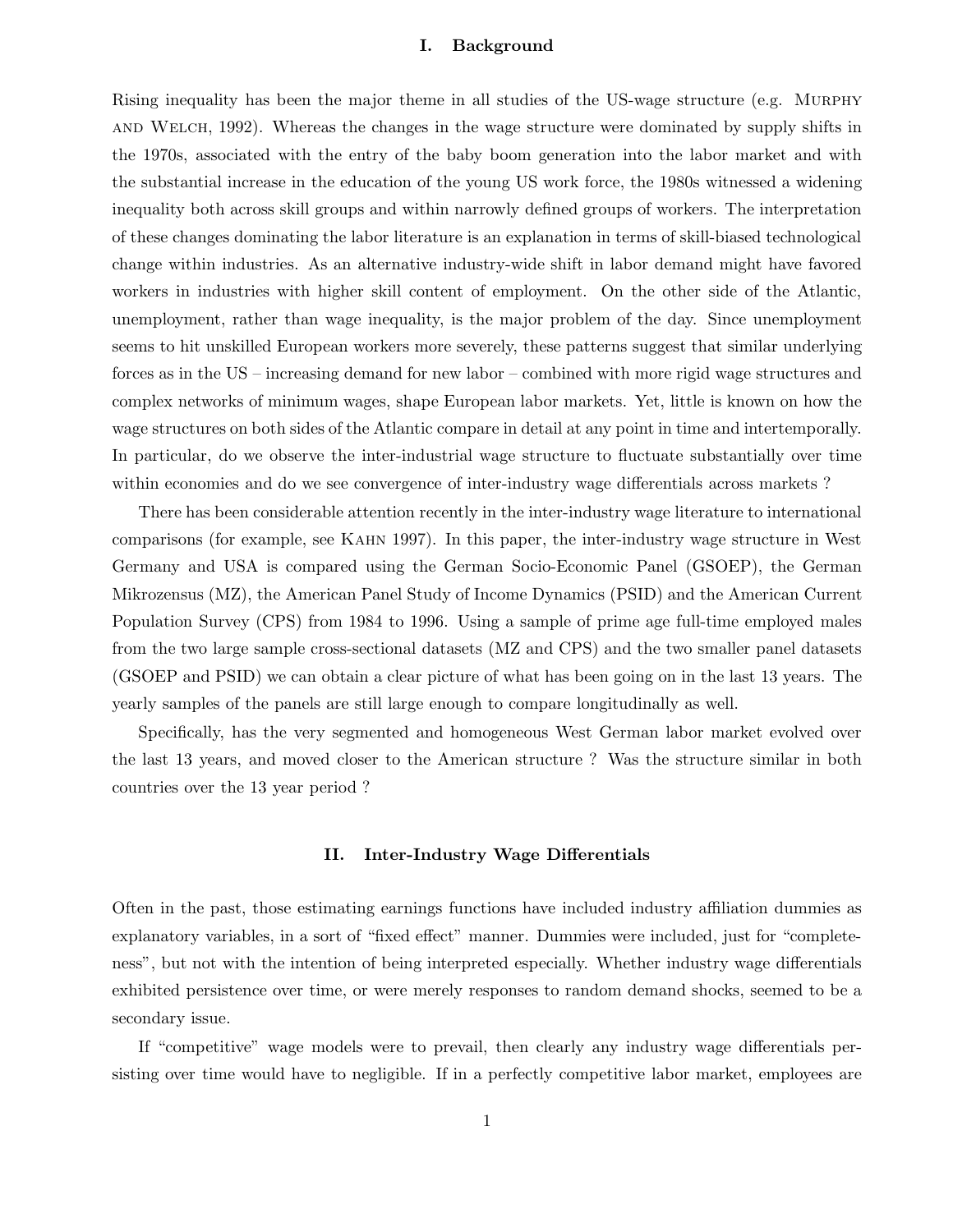#### **I. Background**

Rising inequality has been the major theme in all studies of the US-wage structure (e.g. Murphy and Welch, 1992). Whereas the changes in the wage structure were dominated by supply shifts in the 1970s, associated with the entry of the baby boom generation into the labor market and with the substantial increase in the education of the young US work force, the 1980s witnessed a widening inequality both across skill groups and within narrowly defined groups of workers. The interpretation of these changes dominating the labor literature is an explanation in terms of skill-biased technological change within industries. As an alternative industry-wide shift in labor demand might have favored workers in industries with higher skill content of employment. On the other side of the Atlantic, unemployment, rather than wage inequality, is the major problem of the day. Since unemployment seems to hit unskilled European workers more severely, these patterns suggest that similar underlying forces as in the US – increasing demand for new labor – combined with more rigid wage structures and complex networks of minimum wages, shape European labor markets. Yet, little is known on how the wage structures on both sides of the Atlantic compare in detail at any point in time and intertemporally. In particular, do we observe the inter-industrial wage structure to fluctuate substantially over time within economies and do we see convergence of inter-industry wage differentials across markets ?

There has been considerable attention recently in the inter-industry wage literature to international comparisons (for example, see Kahn 1997). In this paper, the inter-industry wage structure in West Germany and USA is compared using the German Socio-Economic Panel (GSOEP), the German Mikrozensus (MZ), the American Panel Study of Income Dynamics (PSID) and the American Current Population Survey (CPS) from 1984 to 1996. Using a sample of prime age full-time employed males from the two large sample cross-sectional datasets (MZ and CPS) and the two smaller panel datasets (GSOEP and PSID) we can obtain a clear picture of what has been going on in the last 13 years. The yearly samples of the panels are still large enough to compare longitudinally as well.

Specifically, has the very segmented and homogeneous West German labor market evolved over the last 13 years, and moved closer to the American structure ? Was the structure similar in both countries over the 13 year period ?

#### **II. Inter-Industry Wage Differentials**

Often in the past, those estimating earnings functions have included industry affiliation dummies as explanatory variables, in a sort of "fixed effect" manner. Dummies were included, just for "completeness", but not with the intention of being interpreted especially. Whether industry wage differentials exhibited persistence over time, or were merely responses to random demand shocks, seemed to be a secondary issue.

If "competitive" wage models were to prevail, then clearly any industry wage differentials persisting over time would have to negligible. If in a perfectly competitive labor market, employees are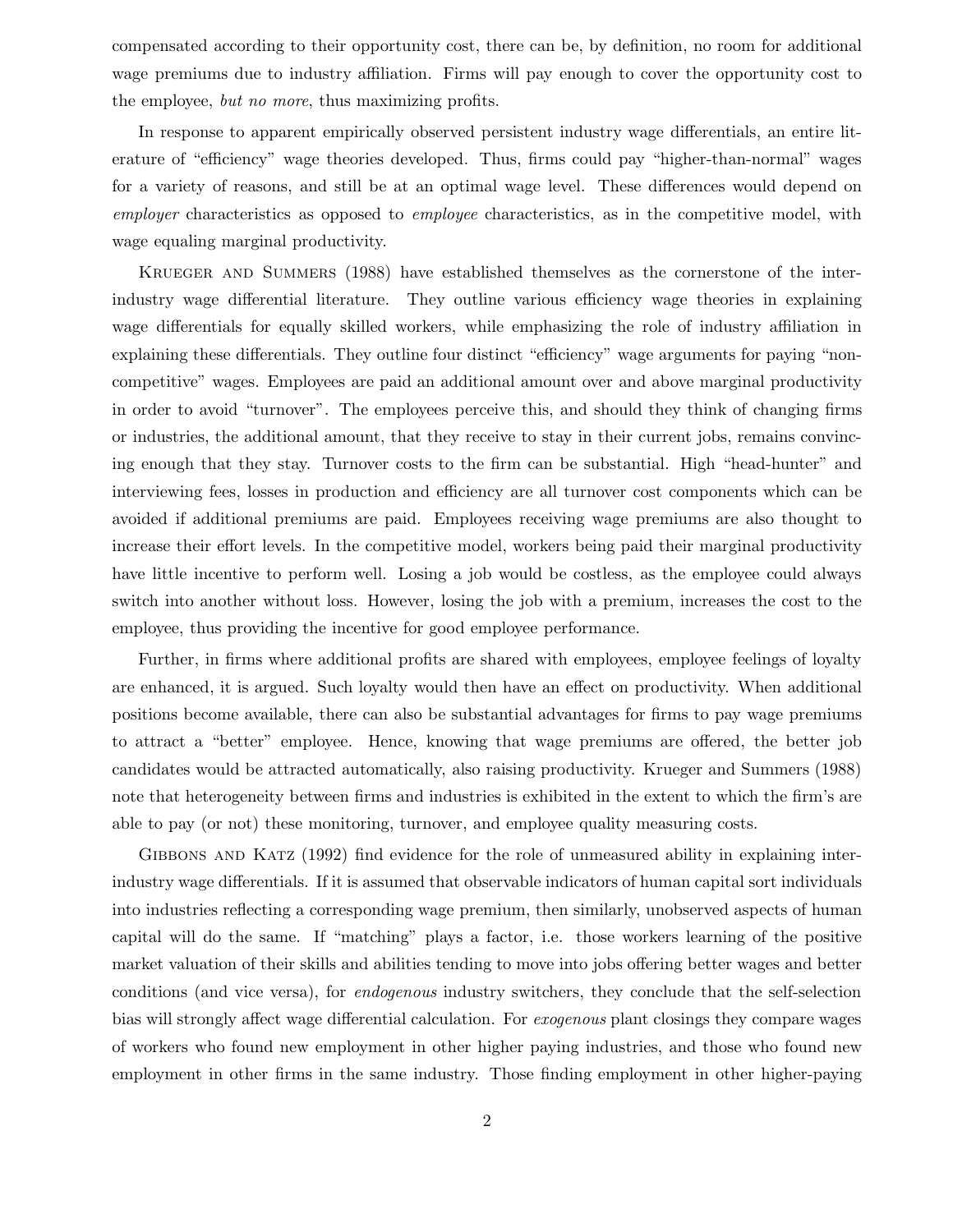compensated according to their opportunity cost, there can be, by definition, no room for additional wage premiums due to industry affiliation. Firms will pay enough to cover the opportunity cost to the employee, *but no more*, thus maximizing profits.

In response to apparent empirically observed persistent industry wage differentials, an entire literature of "efficiency" wage theories developed. Thus, firms could pay "higher-than-normal" wages for a variety of reasons, and still be at an optimal wage level. These differences would depend on *employer* characteristics as opposed to *employee* characteristics, as in the competitive model, with wage equaling marginal productivity.

KRUEGER AND SUMMERS (1988) have established themselves as the cornerstone of the interindustry wage differential literature. They outline various efficiency wage theories in explaining wage differentials for equally skilled workers, while emphasizing the role of industry affiliation in explaining these differentials. They outline four distinct "efficiency" wage arguments for paying "noncompetitive" wages. Employees are paid an additional amount over and above marginal productivity in order to avoid "turnover". The employees perceive this, and should they think of changing firms or industries, the additional amount, that they receive to stay in their current jobs, remains convincing enough that they stay. Turnover costs to the firm can be substantial. High "head-hunter" and interviewing fees, losses in production and efficiency are all turnover cost components which can be avoided if additional premiums are paid. Employees receiving wage premiums are also thought to increase their effort levels. In the competitive model, workers being paid their marginal productivity have little incentive to perform well. Losing a job would be costless, as the employee could always switch into another without loss. However, losing the job with a premium, increases the cost to the employee, thus providing the incentive for good employee performance.

Further, in firms where additional profits are shared with employees, employee feelings of loyalty are enhanced, it is argued. Such loyalty would then have an effect on productivity. When additional positions become available, there can also be substantial advantages for firms to pay wage premiums to attract a "better" employee. Hence, knowing that wage premiums are offered, the better job candidates would be attracted automatically, also raising productivity. Krueger and Summers (1988) note that heterogeneity between firms and industries is exhibited in the extent to which the firm's are able to pay (or not) these monitoring, turnover, and employee quality measuring costs.

GIBBONS AND KATZ (1992) find evidence for the role of unmeasured ability in explaining interindustry wage differentials. If it is assumed that observable indicators of human capital sort individuals into industries reflecting a corresponding wage premium, then similarly, unobserved aspects of human capital will do the same. If "matching" plays a factor, i.e. those workers learning of the positive market valuation of their skills and abilities tending to move into jobs offering better wages and better conditions (and vice versa), for *endogenous* industry switchers, they conclude that the self-selection bias will strongly affect wage differential calculation. For *exogenous* plant closings they compare wages of workers who found new employment in other higher paying industries, and those who found new employment in other firms in the same industry. Those finding employment in other higher-paying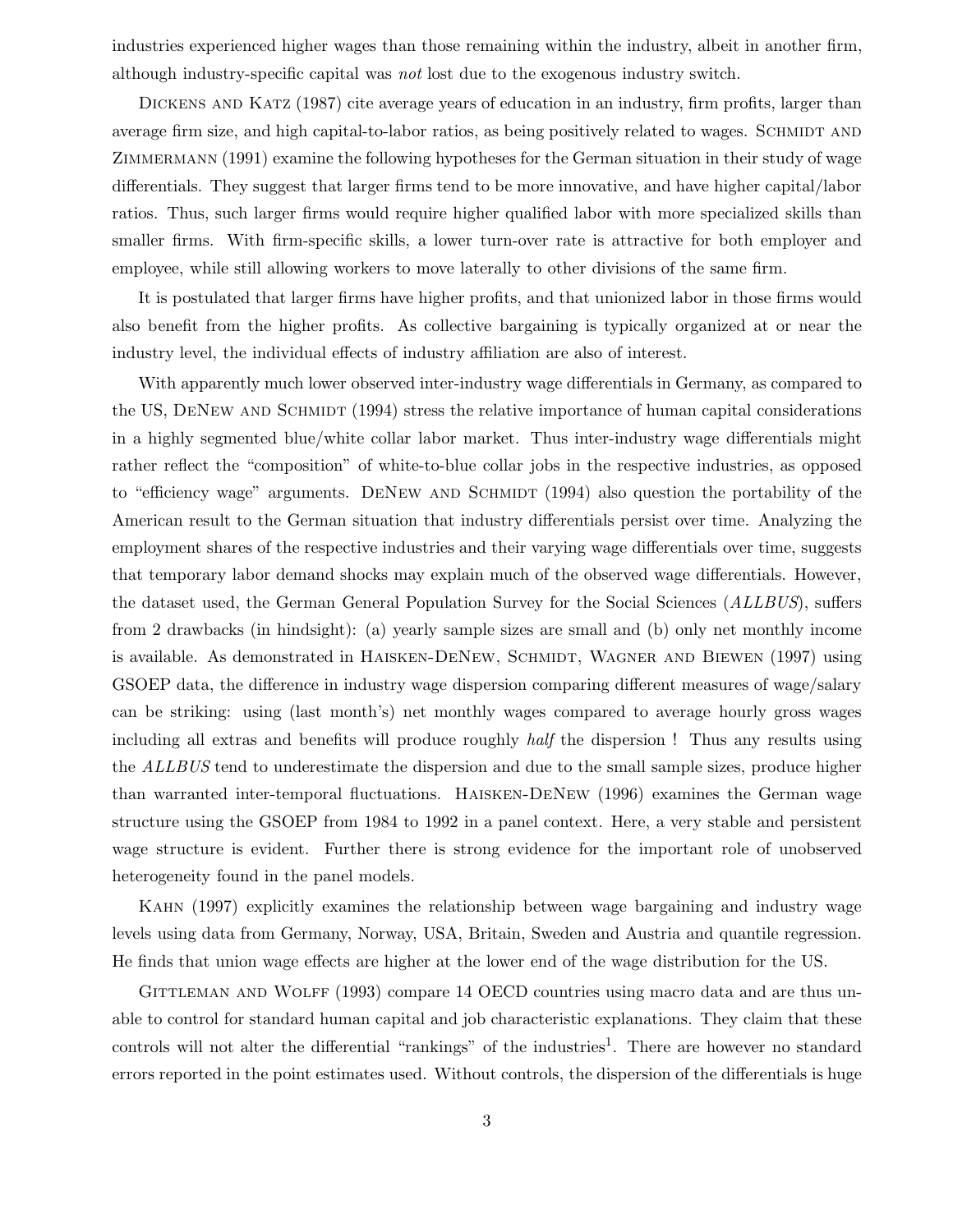industries experienced higher wages than those remaining within the industry, albeit in another firm, although industry-specific capital was *not* lost due to the exogenous industry switch.

DICKENS AND KATZ (1987) cite average years of education in an industry, firm profits, larger than average firm size, and high capital-to-labor ratios, as being positively related to wages. SCHMIDT AND ZIMMERMANN (1991) examine the following hypotheses for the German situation in their study of wage differentials. They suggest that larger firms tend to be more innovative, and have higher capital/labor ratios. Thus, such larger firms would require higher qualified labor with more specialized skills than smaller firms. With firm-specific skills, a lower turn-over rate is attractive for both employer and employee, while still allowing workers to move laterally to other divisions of the same firm.

It is postulated that larger firms have higher profits, and that unionized labor in those firms would also benefit from the higher profits. As collective bargaining is typically organized at or near the industry level, the individual effects of industry affiliation are also of interest.

With apparently much lower observed inter-industry wage differentials in Germany, as compared to the US, DENEW AND SCHMIDT (1994) stress the relative importance of human capital considerations in a highly segmented blue/white collar labor market. Thus inter-industry wage differentials might rather reflect the "composition" of white-to-blue collar jobs in the respective industries, as opposed to "efficiency wage" arguments. DENEW AND SCHMIDT (1994) also question the portability of the American result to the German situation that industry differentials persist over time. Analyzing the employment shares of the respective industries and their varying wage differentials over time, suggests that temporary labor demand shocks may explain much of the observed wage differentials. However, the dataset used, the German General Population Survey for the Social Sciences (*ALLBUS*) , suffers from 2 drawbacks (in hindsight): (a) yearly sample sizes are small and (b) only net monthly income is available. As demonstrated in HAISKEN-DENEW, SCHMIDT, WAGNER AND BIEWEN (1997) using GSOEP data, the difference in industry wage dispersion comparing different measures of wage/salary can be striking: using (last month's) net monthly wages compared to average hourly gross wages including all extras and benefits will produce roughly *half* the dispersion ! Thus any results using the *ALLBUS* tend to underestimate the dispersion and due to the small sample sizes, produce higher than warranted inter-temporal fluctuations. HAISKEN-DENEW (1996) examines the German wage structure using the GSOEP from 1984 to 1992 in a panel context. Here, a very stable and persistent wage structure is evident. Further there is strong evidence for the important role of unobserved heterogeneity found in the panel models.

KAHN (1997) explicitly examines the relationship between wage bargaining and industry wage levels using data from Germany, Norway, USA, Britain, Sweden and Austria and quantile regression. He finds that union wage effects are higher at the lower end of the wage distribution for the US.

GITTLEMAN AND WOLFF (1993) compare 14 OECD countries using macro data and are thus unable to control for standard human capital and job characteristic explanations. They claim that these controls will not alter the differential "rankings" of the industries<sup>1</sup>. There are however no standard errors reported in the point estimates used. Without controls, the dispersion of the differentials is huge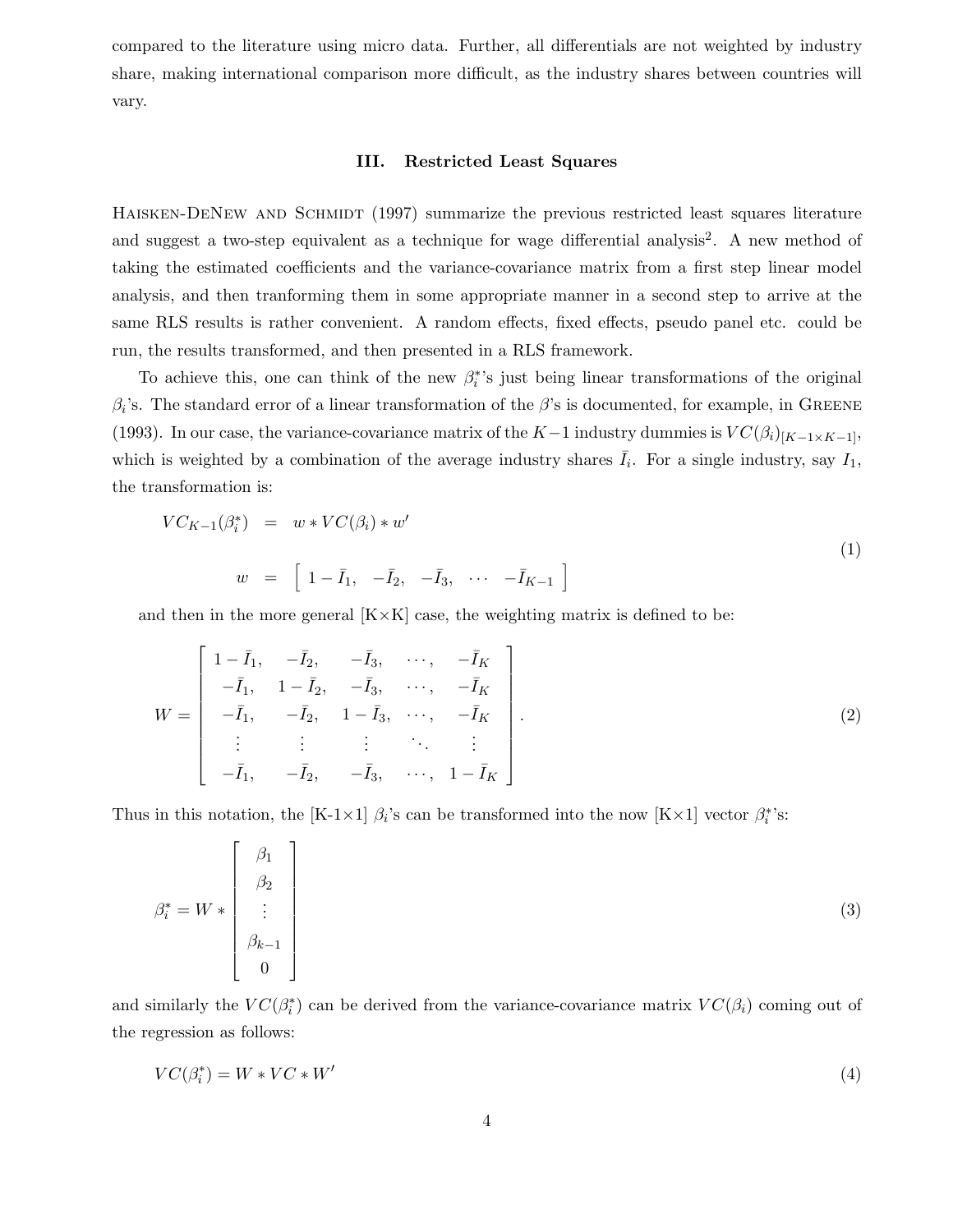compared to the literature using micro data. Further, all differentials are not weighted by industry share, making international comparison more difficult, as the industry shares between countries will vary.

#### **III. Restricted Least Squares**

HAISKEN-DENEW AND SCHMIDT (1997) summarize the previous restricted least squares literature and suggest a two-step equivalent as a technique for wage differential analysis<sup>2</sup>. A new method of taking the estimated coefficients and the variance-covariance matrix from a first step linear model analysis, and then tranforming them in some appropriate manner in a second step to arrive at the same RLS results is rather convenient. A random effects, fixed effects, pseudo panel etc. could be run, the results transformed, and then presented in a RLS framework.

To achieve this, one can think of the new  $\beta_i^*$ 's just being linear transformations of the original  $\beta_i$ 's. The standard error of a linear transformation of the  $\beta$ 's is documented, for example, in GREENE (1993). In our case, the variance-covariance matrix of the K−1 industry dummies is  $VC(\beta_i)_{[K-1\times K-1]},$ which is weighted by a combination of the average industry shares  $\overline{I}_i$ . For a single industry, say  $I_1$ , the transformation is:

$$
VC_{K-1}(\beta_i^*) = w * VC(\beta_i) * w'
$$
  
\n
$$
w = [1 - \bar{I}_1, -\bar{I}_2, -\bar{I}_3, \cdots -\bar{I}_{K-1}]
$$
\n(1)

and then in the more general  $[K \times K]$  case, the weighting matrix is defined to be:

$$
W = \begin{bmatrix} 1 - \bar{I}_1, & -\bar{I}_2, & -\bar{I}_3, & \cdots, & -\bar{I}_K \\ -\bar{I}_1, & 1 - \bar{I}_2, & -\bar{I}_3, & \cdots, & -\bar{I}_K \\ -\bar{I}_1, & -\bar{I}_2, & 1 - \bar{I}_3, & \cdots, & -\bar{I}_K \\ \vdots & \vdots & \vdots & \ddots & \vdots \\ -\bar{I}_1, & -\bar{I}_2, & -\bar{I}_3, & \cdots, & 1 - \bar{I}_K \end{bmatrix}.
$$
 (2)

Thus in this notation, the [K-1×1]  $\beta_i$ 's can be transformed into the now [K×1] vector  $\beta_i^*$ 's:

$$
\beta_i^* = W * \begin{bmatrix} \beta_1 \\ \beta_2 \\ \vdots \\ \beta_{k-1} \\ 0 \end{bmatrix}
$$
 (3)

and similarly the  $VC(\beta_i^*)$  can be derived from the variance-covariance matrix  $VC(\beta_i)$  coming out of the regression as follows:

$$
VC(\beta_i^*) = W * VC * W'
$$
\n<sup>(4)</sup>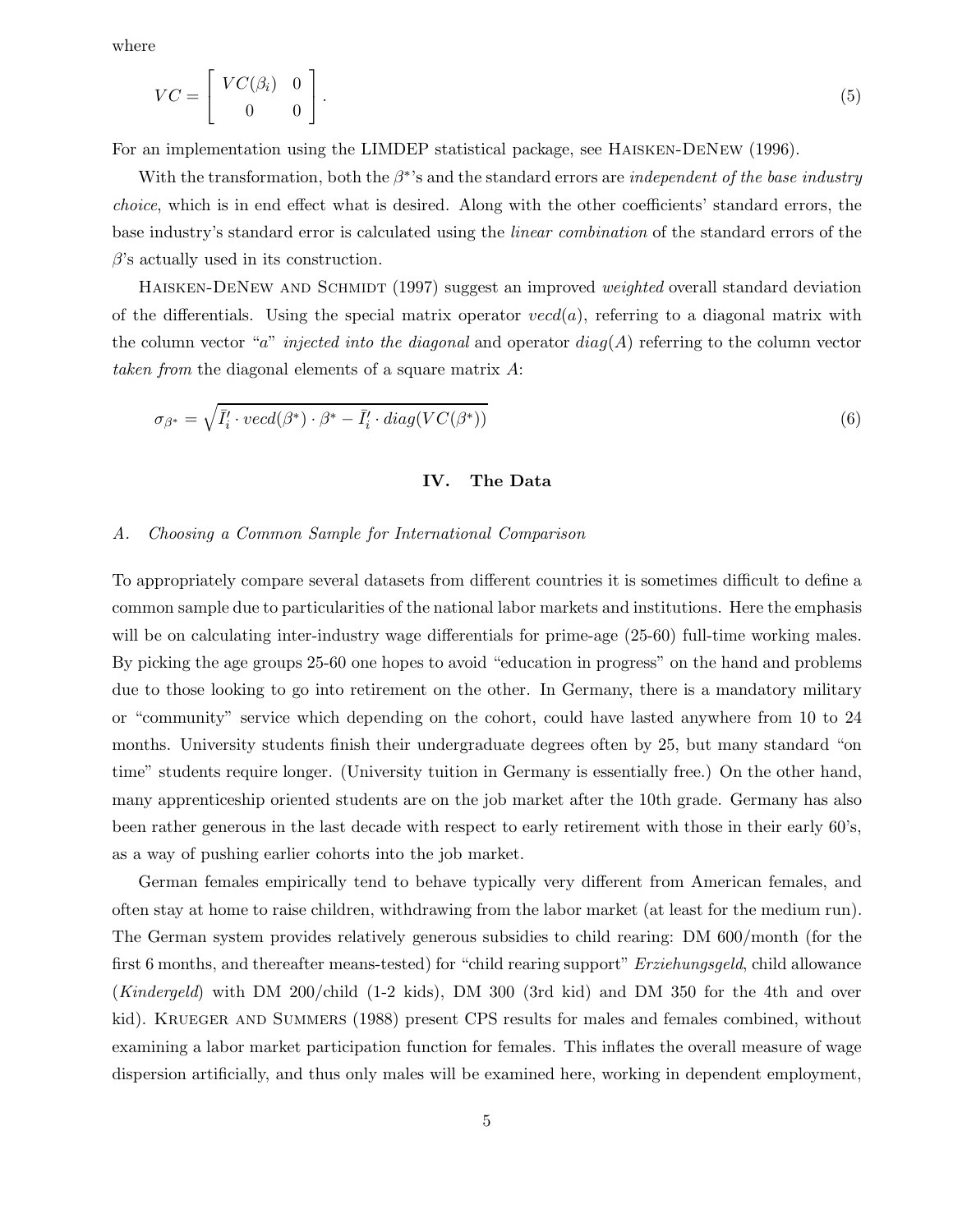where

$$
VC = \left[ \begin{array}{cc} VC(\beta_i) & 0 \\ 0 & 0 \end{array} \right].
$$
 (5)

For an implementation using the LIMDEP statistical package, see Haisken-DeNew (1996).

With the transformation, both the β∗'s and the standard errors are *independent of the base industry choice*, which is in end effect what is desired. Along with the other coefficients' standard errors, the base industry's standard error is calculated using the *linear combination* of the standard errors of the  $\beta$ 's actually used in its construction.

HAISKEN-DENEW AND SCHMIDT (1997) suggest an improved *weighted* overall standard deviation of the differentials. Using the special matrix operator  $vecd(a)$ , referring to a diagonal matrix with the column vector "a" *injected into the diagonal* and operator  $diag(A)$  referring to the column vector *taken from* the diagonal elements of a square matrix A:

$$
\sigma_{\beta^*} = \sqrt{\bar{I}'_i \cdot vecd(\beta^*) \cdot \beta^* - \bar{I}'_i \cdot diag(VC(\beta^*))}
$$
\n(6)

#### **IV. The Data**

#### *A. Choosing a Common Sample for International Comparison*

To appropriately compare several datasets from different countries it is sometimes difficult to define a common sample due to particularities of the national labor markets and institutions. Here the emphasis will be on calculating inter-industry wage differentials for prime-age  $(25-60)$  full-time working males. By picking the age groups 25-60 one hopes to avoid "education in progress" on the hand and problems due to those looking to go into retirement on the other. In Germany, there is a mandatory military or "community" service which depending on the cohort, could have lasted anywhere from 10 to 24 months. University students finish their undergraduate degrees often by 25, but many standard "on time" students require longer. (University tuition in Germany is essentially free.) On the other hand, many apprenticeship oriented students are on the job market after the 10th grade. Germany has also been rather generous in the last decade with respect to early retirement with those in their early 60's, as a way of pushing earlier cohorts into the job market.

German females empirically tend to behave typically very different from American females, and often stay at home to raise children, withdrawing from the labor market (at least for the medium run). The German system provides relatively generous subsidies to child rearing: DM 600/month (for the first 6 months, and thereafter means-tested) for "child rearing support" *Erziehungsgeld*, child allowance (*Kindergeld*) with DM 200/child (1-2 kids), DM 300 (3rd kid) and DM 350 for the 4th and over kid). KRUEGER AND SUMMERS (1988) present CPS results for males and females combined, without examining a labor market participation function for females. This inflates the overall measure of wage dispersion artificially, and thus only males will be examined here, working in dependent employment,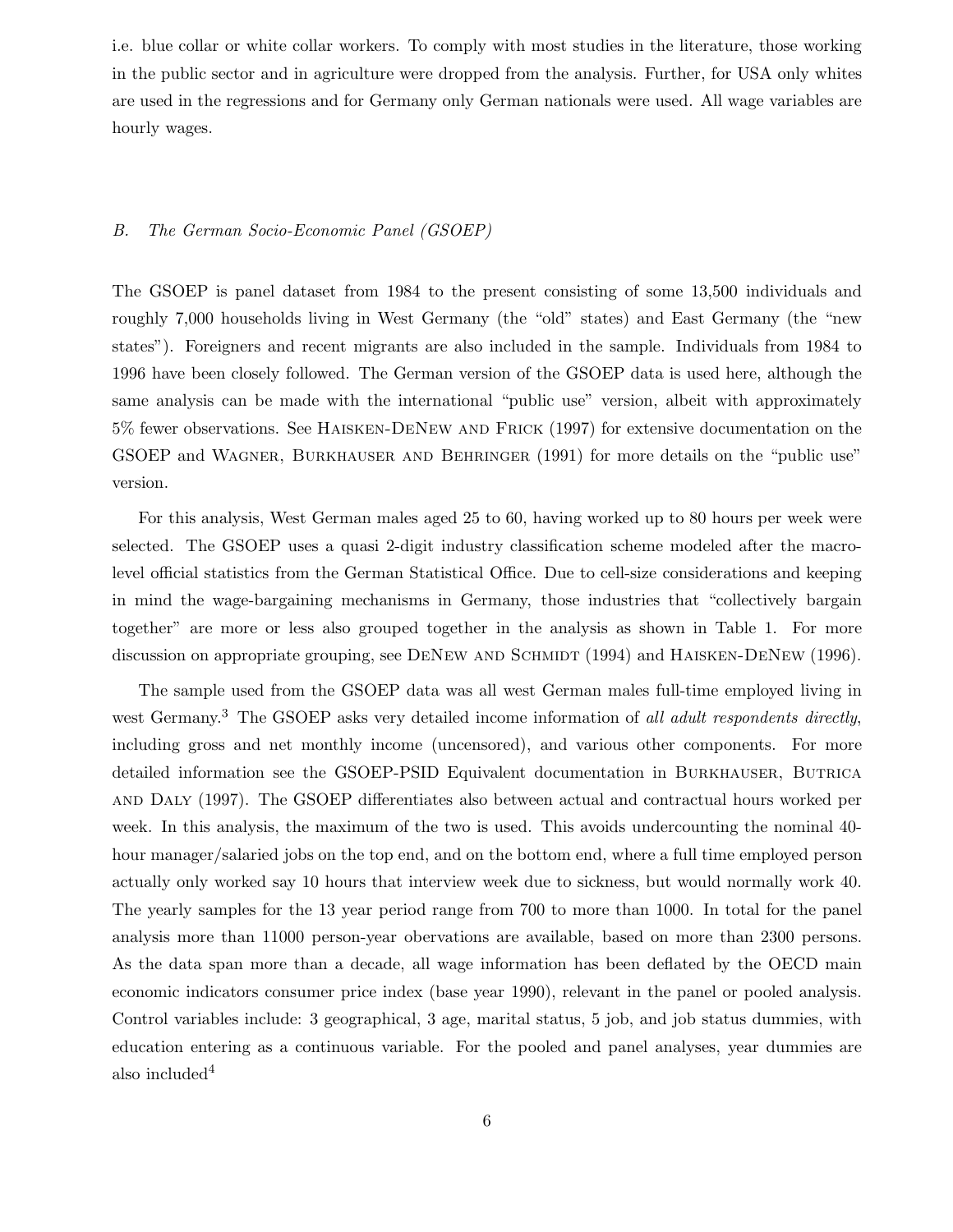i.e. blue collar or white collar workers. To comply with most studies in the literature, those working in the public sector and in agriculture were dropped from the analysis. Further, for USA only whites are used in the regressions and for Germany only German nationals were used. All wage variables are hourly wages.

#### *B. The German Socio-Economic Panel (GSOEP)*

The GSOEP is panel dataset from 1984 to the present consisting of some 13,500 individuals and roughly 7,000 households living in West Germany (the "old" states) and East Germany (the "new states"). Foreigners and recent migrants are also included in the sample. Individuals from 1984 to 1996 have been closely followed. The German version of the GSOEP data is used here, although the same analysis can be made with the international "public use" version, albeit with approximately 5% fewer observations. See HAISKEN-DENEW AND FRICK (1997) for extensive documentation on the GSOEP and WAGNER, BURKHAUSER AND BEHRINGER (1991) for more details on the "public use" version.

For this analysis, West German males aged 25 to 60, having worked up to 80 hours per week were selected. The GSOEP uses a quasi 2-digit industry classification scheme modeled after the macrolevel official statistics from the German Statistical Office. Due to cell-size considerations and keeping in mind the wage-bargaining mechanisms in Germany, those industries that "collectively bargain together" are more or less also grouped together in the analysis as shown in Table 1. For more discussion on appropriate grouping, see DENEW AND SCHMIDT (1994) and HAISKEN-DENEW (1996).

The sample used from the GSOEP data was all west German males full-time employed living in west Germany.<sup>3</sup> The GSOEP asks very detailed income information of *all adult respondents directly*, including gross and net monthly income (uncensored), and various other components. For more detailed information see the GSOEP-PSID Equivalent documentation in BURKHAUSER, BUTRICA and Daly (1997). The GSOEP differentiates also between actual and contractual hours worked per week. In this analysis, the maximum of the two is used. This avoids undercounting the nominal 40 hour manager/salaried jobs on the top end, and on the bottom end, where a full time employed person actually only worked say 10 hours that interview week due to sickness, but would normally work 40. The yearly samples for the 13 year period range from 700 to more than 1000. In total for the panel analysis more than 11000 person-year obervations are available, based on more than 2300 persons. As the data span more than a decade, all wage information has been deflated by the OECD main economic indicators consumer price index (base year 1990), relevant in the panel or pooled analysis. Control variables include: 3 geographical, 3 age, marital status, 5 job, and job status dummies, with education entering as a continuous variable. For the pooled and panel analyses, year dummies are also included<sup>4</sup>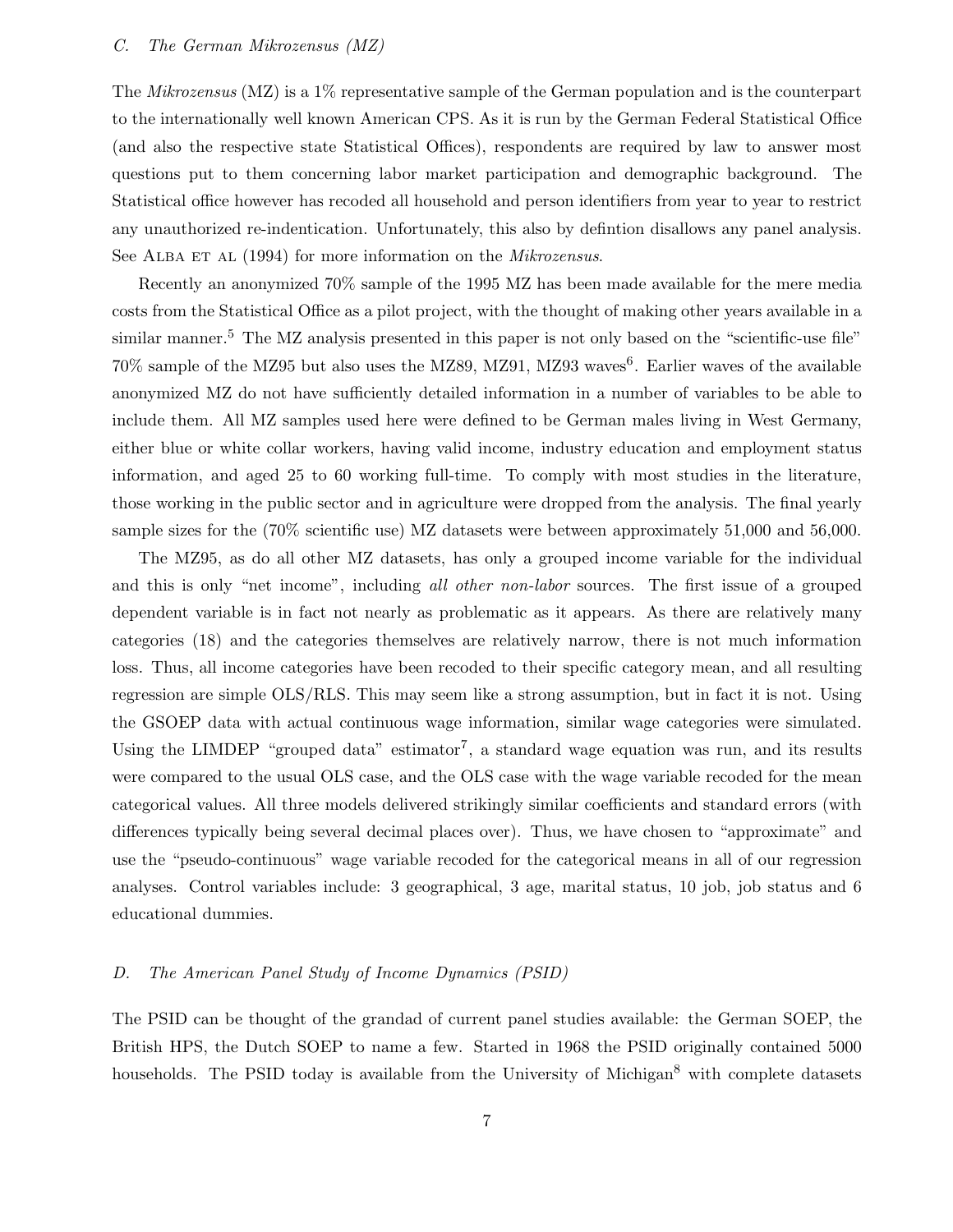The *Mikrozensus* (MZ) is a 1% representative sample of the German population and is the counterpart to the internationally well known American CPS. As it is run by the German Federal Statistical Office (and also the respective state Statistical Offices), respondents are required by law to answer most questions put to them concerning labor market participation and demographic background. The Statistical office however has recoded all household and person identifiers from year to year to restrict any unauthorized re-indentication. Unfortunately, this also by defintion disallows any panel analysis. See ALBA ET AL (1994) for more information on the *Mikrozensus*.

Recently an anonymized 70% sample of the 1995 MZ has been made available for the mere media costs from the Statistical Office as a pilot project, with the thought of making other years available in a similar manner.<sup>5</sup> The MZ analysis presented in this paper is not only based on the "scientific-use file"  $70\%$  sample of the MZ95 but also uses the MZ89, MZ91, MZ93 waves<sup>6</sup>. Earlier waves of the available anonymized MZ do not have sufficiently detailed information in a number of variables to be able to include them. All MZ samples used here were defined to be German males living in West Germany, either blue or white collar workers, having valid income, industry education and employment status information, and aged 25 to 60 working full-time. To comply with most studies in the literature, those working in the public sector and in agriculture were dropped from the analysis. The final yearly sample sizes for the (70% scientific use) MZ datasets were between approximately 51,000 and 56,000.

The MZ95, as do all other MZ datasets, has only a grouped income variable for the individual and this is only "net income", including *all other non-labor* sources. The first issue of a grouped dependent variable is in fact not nearly as problematic as it appears. As there are relatively many categories (18) and the categories themselves are relatively narrow, there is not much information loss. Thus, all income categories have been recoded to their specific category mean, and all resulting regression are simple OLS/RLS. This may seem like a strong assumption, but in fact it is not. Using the GSOEP data with actual continuous wage information, similar wage categories were simulated. Using the LIMDEP "grouped data" estimator<sup>7</sup>, a standard wage equation was run, and its results were compared to the usual OLS case, and the OLS case with the wage variable recoded for the mean categorical values. All three models delivered strikingly similar coefficients and standard errors (with differences typically being several decimal places over). Thus, we have chosen to "approximate" and use the "pseudo-continuous" wage variable recoded for the categorical means in all of our regression analyses. Control variables include: 3 geographical, 3 age, marital status, 10 job, job status and 6 educational dummies.

#### *D. The American Panel Study of Income Dynamics (PSID)*

The PSID can be thought of the grandad of current panel studies available: the German SOEP, the British HPS, the Dutch SOEP to name a few. Started in 1968 the PSID originally contained 5000 households. The PSID today is available from the University of Michigan<sup>8</sup> with complete datasets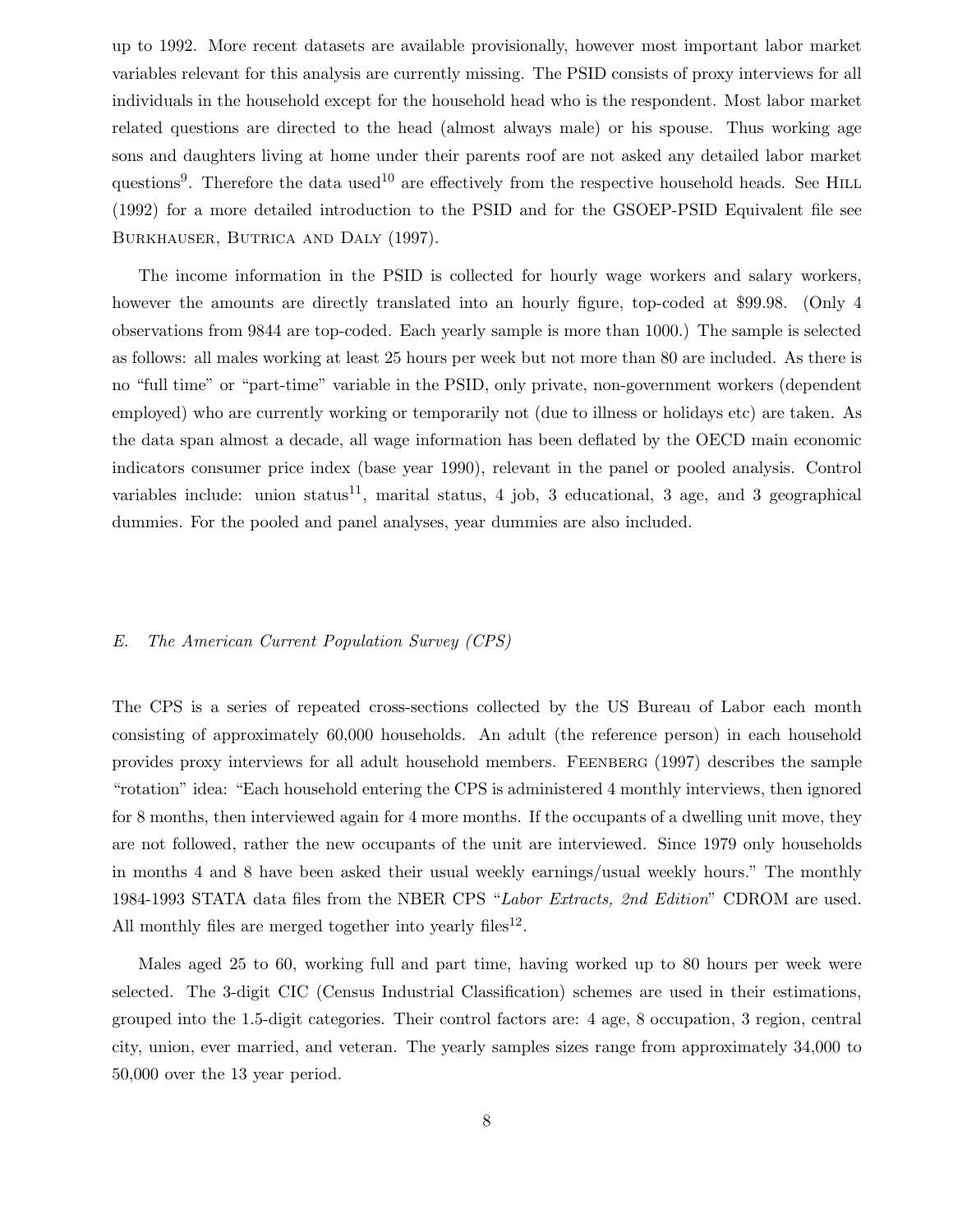up to 1992. More recent datasets are available provisionally, however most important labor market variables relevant for this analysis are currently missing. The PSID consists of proxy interviews for all individuals in the household except for the household head who is the respondent. Most labor market related questions are directed to the head (almost always male) or his spouse. Thus working age sons and daughters living at home under their parents roof are not asked any detailed labor market questions<sup>9</sup>. Therefore the data used<sup>10</sup> are effectively from the respective household heads. See HILL  $(1992)$  for a more detailed introduction to the PSID and for the GSOEP-PSID Equivalent file see Burkhauser, Butrica and Daly (1997).

The income information in the PSID is collected for hourly wage workers and salary workers, however the amounts are directly translated into an hourly figure, top-coded at \$99.98. (Only 4 observations from 9844 are top-coded. Each yearly sample is more than 1000.) The sample is selected as follows: all males working at least 25 hours per week but not more than 80 are included. As there is no "full time" or "part-time" variable in the PSID, only private, non-government workers (dependent employed) who are currently working or temporarily not (due to illness or holidays etc) are taken. As the data span almost a decade, all wage information has been deflated by the OECD main economic indicators consumer price index (base year 1990), relevant in the panel or pooled analysis. Control variables include: union status<sup>11</sup>, marital status, 4 job, 3 educational, 3 age, and 3 geographical dummies. For the pooled and panel analyses, year dummies are also included.

#### *E. The American Current Population Survey (CPS)*

The CPS is a series of repeated cross-sections collected by the US Bureau of Labor each month consisting of approximately 60,000 households. An adult (the reference person) in each household provides proxy interviews for all adult household members. Feenberg (1997)describes the sample "rotation" idea: "Each household entering the CPS is administered 4 monthly interviews, then ignored for 8 months, then interviewed again for 4 more months. If the occupants of a dwelling unit move, they are not followed, rather the new occupants of the unit are interviewed. Since 1979 only households in months 4 and 8 have been asked their usual weekly earnings/usual weekly hours." The monthly 1984-1993 STATA data files from the NBER CPS "*Labor Extracts, 2nd Edition*" CDROM are used. All monthly files are merged together into yearly files<sup>12</sup>.

Males aged 25 to 60, working full and part time, having worked up to 80 hours per week were selected. The 3-digit CIC (Census Industrial Classification) schemes are used in their estimations, grouped into the 1.5-digit categories. Their control factors are: 4 age, 8 occupation, 3 region, central city, union, ever married, and veteran. The yearly samples sizes range from approximately 34,000 to 50,000 over the 13 year period.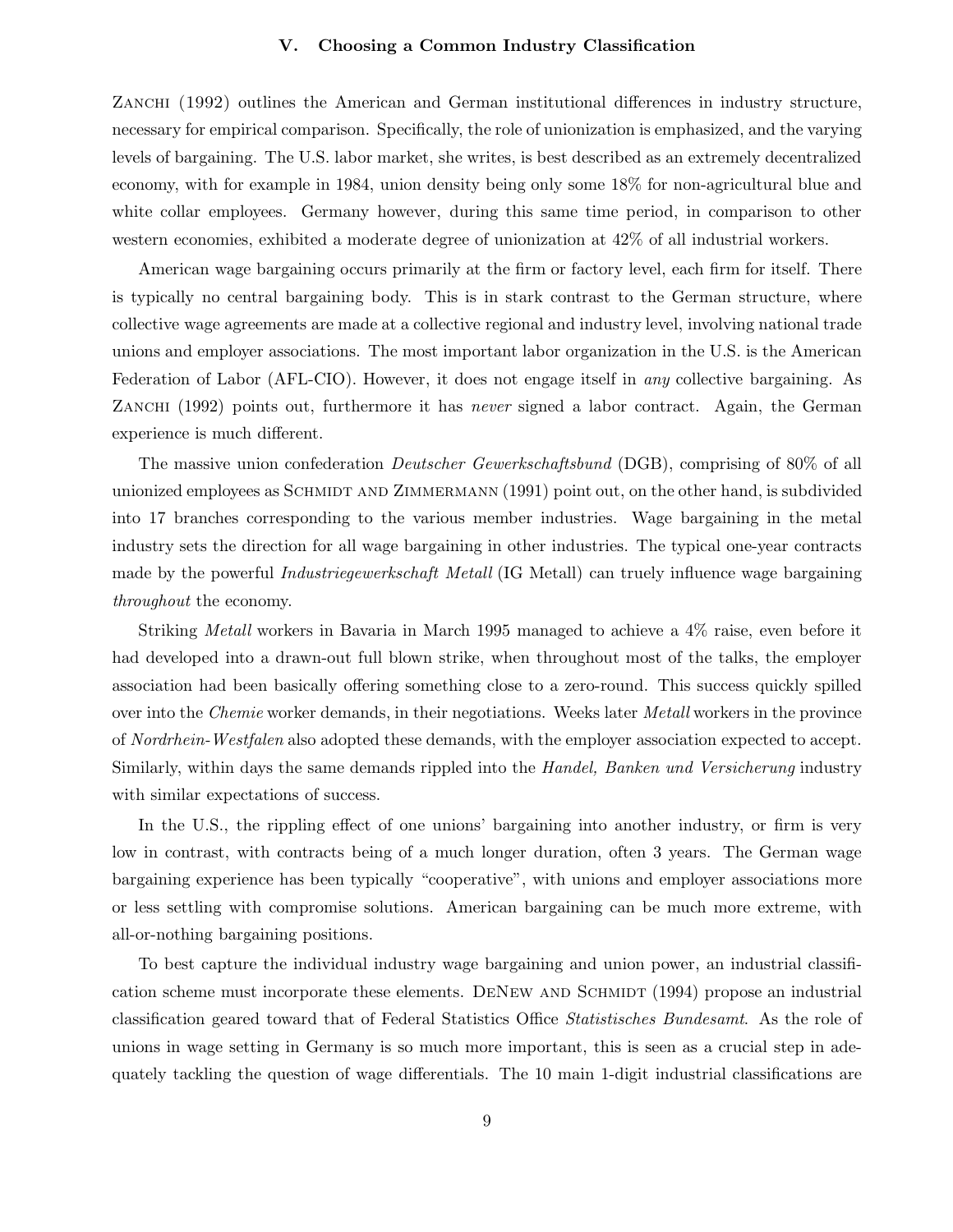#### **V. Choosing a Common Industry Classification**

ZANCHI (1992) outlines the American and German institutional differences in industry structure, necessary for empirical comparison. Specifically, the role of unionization is emphasized, and the varying levels of bargaining. The U.S. labor market, she writes, is best described as an extremely decentralized economy, with for example in 1984, union density being only some 18% for non-agricultural blue and white collar employees. Germany however, during this same time period, in comparison to other western economies, exhibited a moderate degree of unionization at 42% of all industrial workers.

American wage bargaining occurs primarily at the firm or factory level, each firm for itself. There is typically no central bargaining body. This is in stark contrast to the German structure, where collective wage agreements are made at a collective regional and industry level, involving national trade unions and employer associations. The most important labor organization in the U.S. is the American Federation of Labor (AFL-CIO). However, it does not engage itself in *any* collective bargaining. As ZANCHI (1992) points out, furthermore it has *never* signed a labor contract. Again, the German experience is much different.

The massive union confederation *Deutscher Gewerkschaftsbund* (DGB), comprising of 80% of all unionized employees as SCHMIDT AND ZIMMERMANN (1991) point out, on the other hand, is subdivided into 17 branches corresponding to the various member industries. Wage bargaining in the metal industry sets the direction for all wage bargaining in other industries. The typical one-year contracts made by the powerful *Industriegewerkschaft Metall* (IG Metall) can truely influence wage bargaining *throughout* the economy.

Striking *Metall* workers in Bavaria in March 1995 managed to achieve a 4% raise, even before it had developed into a drawn-out full blown strike, when throughout most of the talks, the employer association had been basically offering something close to a zero-round. This success quickly spilled over into the *Chemie* worker demands, in their negotiations. Weeks later *Metall* workers in the province of *Nordrhein-Westfalen* also adopted these demands, with the employer association expected to accept. Similarly, within days the same demands rippled into the *Handel, Banken und Versicherung* industry with similar expectations of success.

In the U.S., the rippling effect of one unions' bargaining into another industry, or firm is very low in contrast, with contracts being of a much longer duration, often 3 years. The German wage bargaining experience has been typically "cooperative", with unions and employer associations more or less settling with compromise solutions. American bargaining can be much more extreme, with all-or-nothing bargaining positions.

To best capture the individual industry wage bargaining and union power, an industrial classification scheme must incorporate these elements. DENEW AND SCHMIDT (1994) propose an industrial classification geared toward that of Federal Statistics Office *Statistisches Bundesamt*. As the role of unions in wage setting in Germany is so much more important, this is seen as a crucial step in adequately tackling the question of wage differentials. The 10 main 1-digit industrial classifications are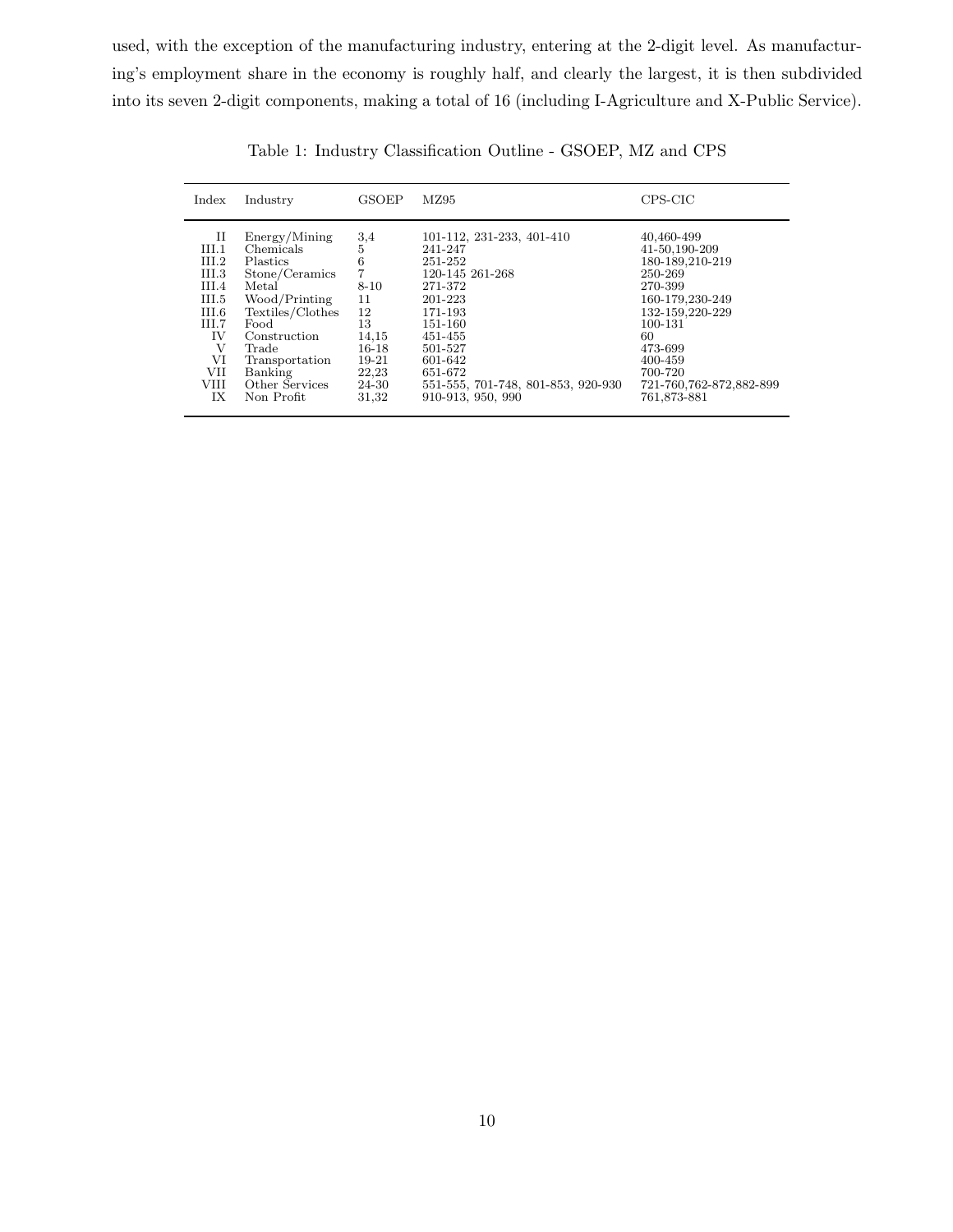used, with the exception of the manufacturing industry, entering at the 2-digit level. As manufacturing's employment share in the economy is roughly half, and clearly the largest, it is then subdivided into its seven 2-digit components, making a total of 16 (including I-Agriculture and X-Public Service).

| Index | Industry         | <b>GSOEP</b> | MZ95                               | CPS-CIC                   |
|-------|------------------|--------------|------------------------------------|---------------------------|
| П     | Energy/Mining    | 3,4          | 101-112, 231-233, 401-410          | 40,460-499                |
| III.1 | Chemicals        | 5            | 241-247                            | 41-50,190-209             |
| III.2 | <b>Plastics</b>  | 6            | 251-252                            | 180-189,210-219           |
| III.3 | Stone/Ceramics   | 7            | 120-145 261-268                    | 250-269                   |
| III.4 | Metal            | $8 - 10$     | 271-372                            | 270-399                   |
| III.5 | Wood/Printing    | 11           | 201-223                            | 160-179, 230-249          |
| III.6 | Textiles/Clothes | 12           | 171-193                            | 132-159,220-229           |
| III.7 | Food             | 13           | 151-160                            | 100-131                   |
| IV    | Construction     | 14,15        | 451-455                            | 60                        |
| V     | Trade            | $16 - 18$    | 501-527                            | 473-699                   |
| VI    | Transportation   | $19-21$      | 601-642                            | 400-459                   |
| VII   | Banking          | 22,23        | 651-672                            | 700-720                   |
| VIII  | Other Services   | 24-30        | 551-555, 701-748, 801-853, 920-930 | 721-760, 762-872, 882-899 |
| IX    | Non Profit       | 31,32        | 910-913, 950, 990                  | 761,873-881               |

Table 1: Industry Classification Outline - GSOEP, MZ and CPS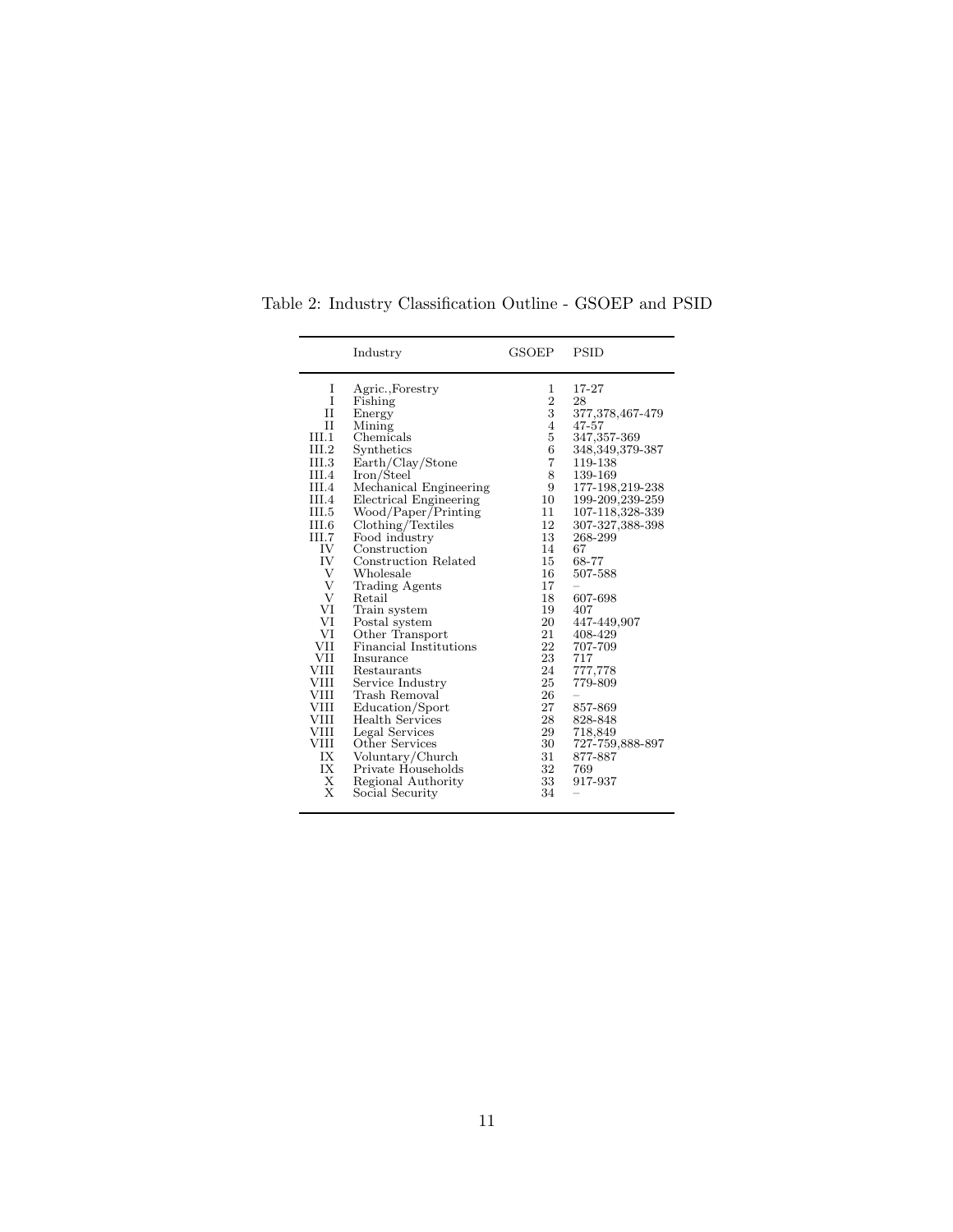|             | Industry                                         | <b>GSOEP</b>   | PSID                   |
|-------------|--------------------------------------------------|----------------|------------------------|
| Ι           | Agric., Forestry                                 | $\mathbf 1$    | 17-27                  |
| I           | Fishing                                          | $\frac{2}{3}$  | 28                     |
| $_{\rm II}$ | Energy                                           |                | 377, 378, 467-479      |
| $_{\rm II}$ | Mining                                           |                | 47-57                  |
| III.1       | Chemicals                                        | $\bf 5$        | 347,357-369            |
| III.2       | Synthetics                                       | $\,6$          | 348,349,379-387        |
| III.3       | Earth/Clay/Stone                                 | $\overline{7}$ | 119-138                |
| III.4       | Iron/Steel                                       | 8              | 139-169                |
| III.4       | Mechanical Engineering                           | 9              | 177-198,219-238        |
| III.4       | Electrical Engineering                           | 10             | 199-209,239-259        |
| III.5       | Wood/Paper/Printing                              | 11             | 107-118,328-339        |
| III.6       | Clothing/Textiles                                | 12             | 307-327,388-398        |
| III.7       | Food industry                                    | 13             | 268-299                |
| IV          | Construction                                     | 14             | 67                     |
| IV          | Construction Related                             | 15             | 68-77                  |
| V<br>V      | Wholesale                                        | 16             | 507-588                |
| V           | <b>Trading Agents</b>                            | 17             |                        |
|             | Retail                                           | 18             | 607-698                |
| VI<br>VI    | Train system                                     | 19             | 407                    |
| VI          | Postal system                                    | 20<br>21       | 447-449,907<br>408-429 |
| VII         | Other Transport<br><b>Financial Institutions</b> | 22             | 707-709                |
| VII         | Insurance                                        | 23             | 717                    |
| VIII        | Restaurants                                      | 24             | 777,778                |
| VIII        | Service Industry                                 | 25             | 779-809                |
| VIII        | Trash Removal                                    | 26             |                        |
| VIII        | Education/Sport                                  | 27             | 857-869                |
| VIII        | <b>Health Services</b>                           | 28             | 828-848                |
| VIII        | Legal Services                                   | 29             | 718,849                |
| VIII        | Other Services                                   | 30             | 727-759,888-897        |
| IX          | Voluntary/Church                                 | 31             | 877-887                |
| IX          | Private Households                               | 32             | 769                    |
| X           | Regional Authority                               | 33             | 917-937                |
| X           | Social Security                                  | 34             |                        |
|             |                                                  |                |                        |

Table 2: Industry Classification Outline - GSOEP and PSID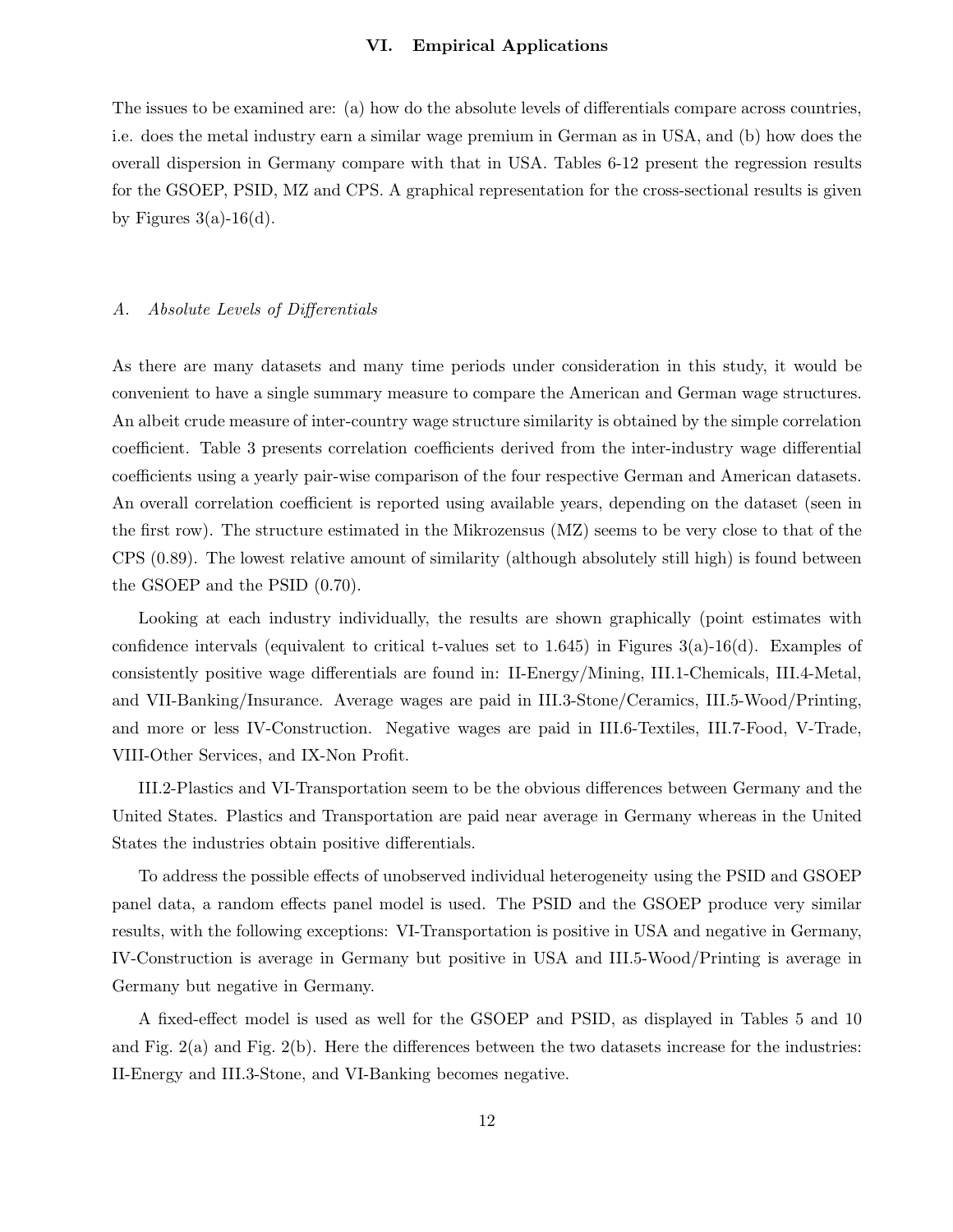#### **VI. Empirical Applications**

The issues to be examined are: (a) how do the absolute levels of differentials compare across countries, i.e. does the metal industry earn a similar wage premium in German as in USA, and (b) how does the overall dispersion in Germany compare with that in USA. Tables 6-12 present the regression results for the GSOEP, PSID, MZ and CPS. A graphical representation for the cross-sectional results is given by Figures  $3(a)$ -16(d).

#### *A. Absolute Levels of Differentials*

As there are many datasets and many time periods under consideration in this study, it would be convenient to have a single summary measure to compare the American and German wage structures. An albeit crude measure of inter-country wage structure similarity is obtained by the simple correlation coefficient. Table 3 presents correlation coefficients derived from the inter-industry wage differential coefficients using a yearly pair-wise comparison of the four respective German and American datasets. An overall correlation coefficient is reported using available years, depending on the dataset (seen in the first row). The structure estimated in the Mikrozensus (MZ) seems to be very close to that of the CPS (0.89). The lowest relative amount of similarity (although absolutely still high) is found between the GSOEP and the PSID (0.70).

Looking at each industry individually, the results are shown graphically (point estimates with confidence intervals (equivalent to critical t-values set to  $1.645$ ) in Figures  $3(a)-16(d)$ . Examples of consistently positive wage differentials are found in: II-Energy/Mining, III.1-Chemicals, III.4-Metal, and VII-Banking/Insurance. Average wages are paid in III.3-Stone/Ceramics, III.5-Wood/Printing, and more or less IV-Construction. Negative wages are paid in III.6-Textiles, III.7-Food, V-Trade, VIII-Other Services, and IX-Non Profit.

III.2-Plastics and VI-Transportation seem to be the obvious differences between Germany and the United States. Plastics and Transportation are paid near average in Germany whereas in the United States the industries obtain positive differentials.

To address the possible effects of unobserved individual heterogeneity using the PSID and GSOEP panel data, a random effects panel model is used. The PSID and the GSOEP produce very similar results, with the following exceptions: VI-Transportation is positive in USA and negative in Germany, IV-Construction is average in Germany but positive in USA and III.5-Wood/Printing is average in Germany but negative in Germany.

A fixed-effect model is used as well for the GSOEP and PSID, as displayed in Tables 5 and 10 and Fig.  $2(a)$  and Fig.  $2(b)$ . Here the differences between the two datasets increase for the industries: II-Energy and III.3-Stone, and VI-Banking becomes negative.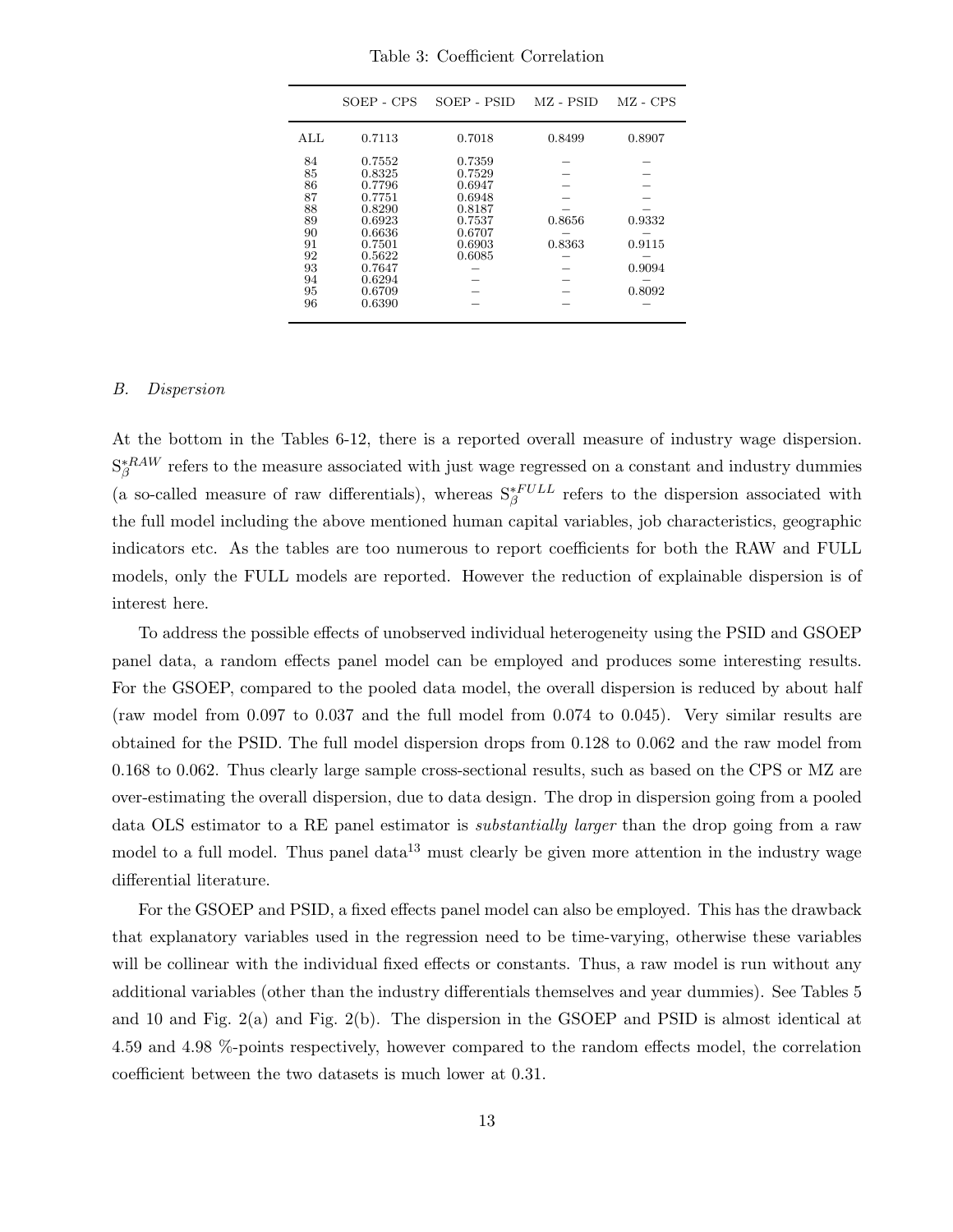|     | SOEP - CPS | SOEP - PSID | MZ - PSID | MZ - CPS |
|-----|------------|-------------|-----------|----------|
| ALL | 0.7113     | 0.7018      | 0.8499    | 0.8907   |
| 84  | 0.7552     | 0.7359      |           |          |
| 85  | 0.8325     | 0.7529      |           |          |
| 86  | 0.7796     | 0.6947      |           |          |
| 87  | 0.7751     | 0.6948      |           |          |
| 88  | 0.8290     | 0.8187      |           |          |
| 89  | 0.6923     | 0.7537      | 0.8656    | 0.9332   |
| 90  | 0.6636     | 0.6707      |           |          |
| 91  | 0.7501     | 0.6903      | 0.8363    | 0.9115   |
| 92  | 0.5622     | 0.6085      |           |          |
| 93  | 0.7647     |             |           | 0.9094   |
| 94  | 0.6294     |             |           |          |
| 95  | 0.6709     |             |           | 0.8092   |
| 96  | 0.6390     |             |           |          |
|     |            |             |           |          |

Table 3: Coefficient Correlation

#### *B. Dispersion*

At the bottom in the Tables 6-12, there is a reported overall measure of industry wage dispersion.  $S^{*RAW}_{\beta}$  refers to the measure associated with just wage regressed on a constant and industry dummies (a so-called measure of raw differentials), whereas  $S_{\beta}^{*FULL}$  refers to the dispersion associated with the full model including the above mentioned human capital variables, job characteristics, geographic indicators etc. As the tables are too numerous to report coefficients for both the RAW and FULL models, only the FULL models are reported. However the reduction of explainable dispersion is of interest here.

To address the possible effects of unobserved individual heterogeneity using the PSID and GSOEP panel data, a random effects panel model can be employed and produces some interesting results. For the GSOEP, compared to the pooled data model, the overall dispersion is reduced by about half (raw model from 0.097 to 0.037 and the full model from 0.074 to 0.045). Very similar results are obtained for the PSID. The full model dispersion drops from 0.128 to 0.062 and the raw model from 0.168 to 0.062. Thus clearly large sample cross-sectional results, such as based on the CPS or MZ are over-estimating the overall dispersion, due to data design. The drop in dispersion going from a pooled data OLS estimator to a RE panel estimator is *substantially larger* than the drop going from a raw model to a full model. Thus panel data<sup>13</sup> must clearly be given more attention in the industry wage differential literature.

For the GSOEP and PSID, a fixed effects panel model can also be employed. This has the drawback that explanatory variables used in the regression need to be time-varying, otherwise these variables will be collinear with the individual fixed effects or constants. Thus, a raw model is run without any additional variables (other than the industry differentials themselves and year dummies). See Tables 5 and 10 and Fig.  $2(a)$  and Fig.  $2(b)$ . The dispersion in the GSOEP and PSID is almost identical at 4.59 and 4.98 %-points respectively, however compared to the random effects model, the correlation coefficient between the two datasets is much lower at 0.31.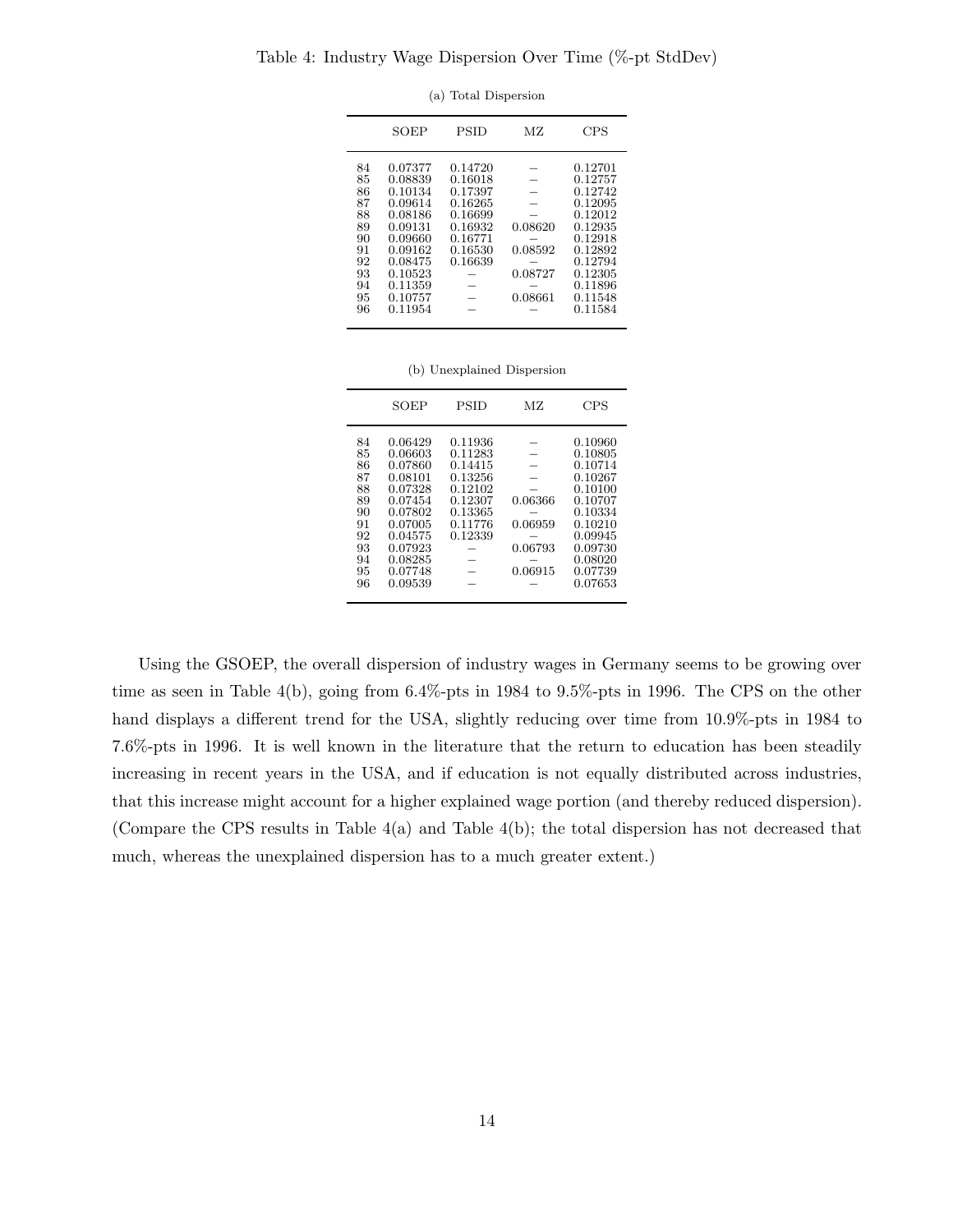Table 4: Industry Wage Dispersion Over Time (%-pt StdDev)

|                                                                            | <b>SOEP</b>                                                                                                                                 | <b>PSID</b>                                                                                     | МZ                                       | <b>CPS</b>                                                                                                                                  |
|----------------------------------------------------------------------------|---------------------------------------------------------------------------------------------------------------------------------------------|-------------------------------------------------------------------------------------------------|------------------------------------------|---------------------------------------------------------------------------------------------------------------------------------------------|
| 84<br>85<br>86<br>87<br>88<br>89<br>90<br>91<br>92<br>93<br>94<br>95<br>96 | 0.07377<br>0.08839<br>0.10134<br>0.09614<br>0.08186<br>0.09131<br>0.09660<br>0.09162<br>0.08475<br>0.10523<br>0.11359<br>0.10757<br>0.11954 | 0.14720<br>0.16018<br>0.17397<br>0.16265<br>0.16699<br>0.16932<br>0.16771<br>0.16530<br>0.16639 | 0.08620<br>0.08592<br>0.08727<br>0.08661 | 0.12701<br>0.12757<br>0.12742<br>0.12095<br>0.12012<br>0.12935<br>0.12918<br>0.12892<br>0.12794<br>0.12305<br>0.11896<br>0.11548<br>0.11584 |

(a) Total Dispersion

(b) Unexplained Dispersion

|                                                                            | SOEP                                                                                                                                        | <b>PSID</b>                                                                                     | МZ                                       | <b>CPS</b>                                                                                                                                  |
|----------------------------------------------------------------------------|---------------------------------------------------------------------------------------------------------------------------------------------|-------------------------------------------------------------------------------------------------|------------------------------------------|---------------------------------------------------------------------------------------------------------------------------------------------|
| 84<br>85<br>86<br>87<br>88<br>89<br>90<br>91<br>92<br>93<br>94<br>95<br>96 | 0.06429<br>0.06603<br>0.07860<br>0.08101<br>0.07328<br>0.07454<br>0.07802<br>0.07005<br>0.04575<br>0.07923<br>0.08285<br>0.07748<br>0.09539 | 0.11936<br>0.11283<br>0.14415<br>0.13256<br>0.12102<br>0.12307<br>0.13365<br>0.11776<br>0.12339 | 0.06366<br>0.06959<br>0.06793<br>0.06915 | 0.10960<br>0.10805<br>0.10714<br>0.10267<br>0.10100<br>0.10707<br>0.10334<br>0.10210<br>0.09945<br>0.09730<br>0.08020<br>0.07739<br>0.07653 |

Using the GSOEP, the overall dispersion of industry wages in Germany seems to be growing over time as seen in Table 4(b), going from 6.4%-pts in 1984 to 9.5%-pts in 1996. The CPS on the other hand displays a different trend for the USA, slightly reducing over time from 10.9%-pts in 1984 to 7.6%-pts in 1996. It is well known in the literature that the return to education has been steadily increasing in recent years in the USA, and if education is not equally distributed across industries, that this increase might account for a higher explained wage portion (and thereby reduced dispersion). (Compare the CPS results in Table  $4(a)$  and Table  $4(b)$ ; the total dispersion has not decreased that much, whereas the unexplained dispersion has to a much greater extent.)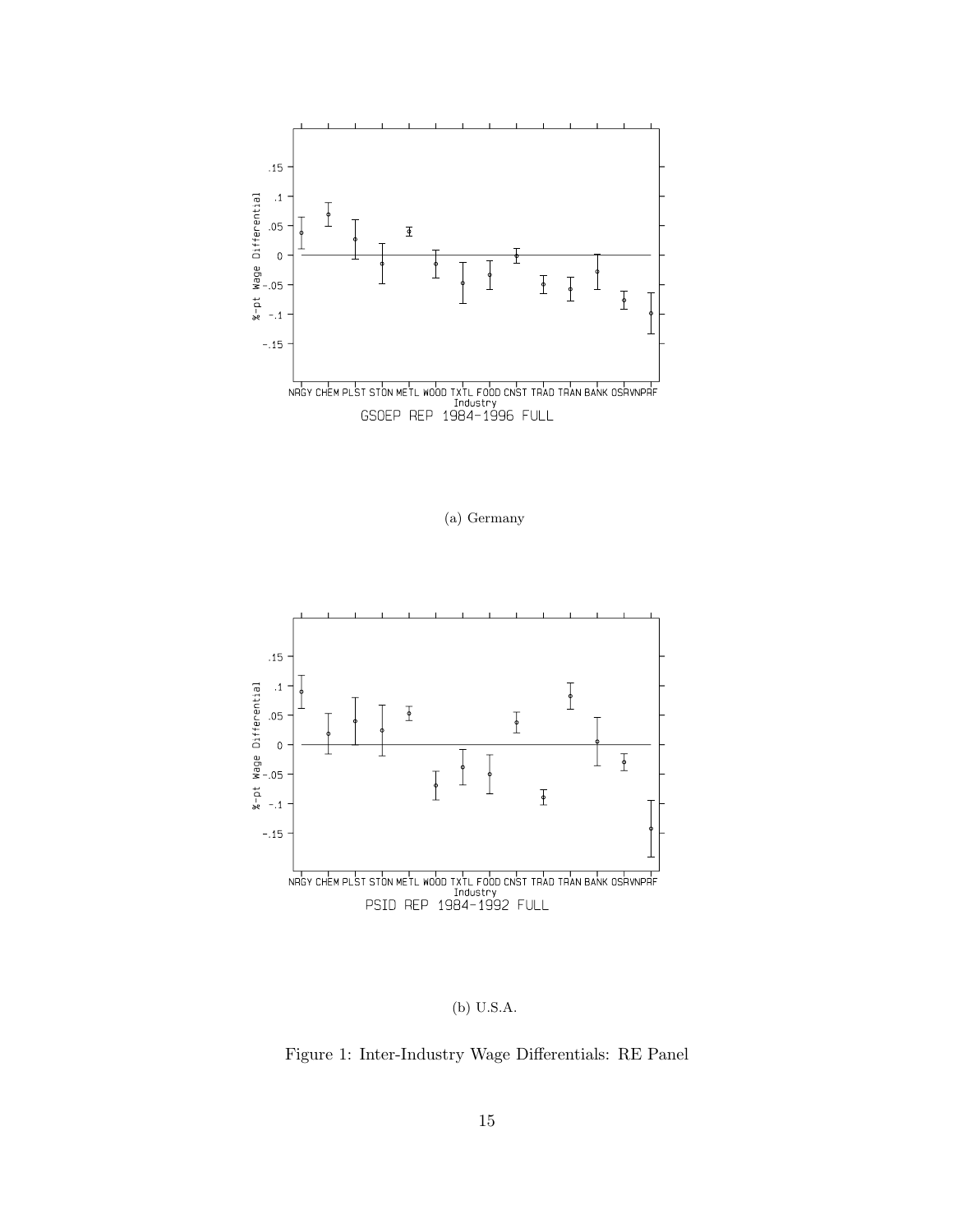

(a) Germany



(b) U.S.A.

Figure 1: Inter-Industry Wage Differentials: RE Panel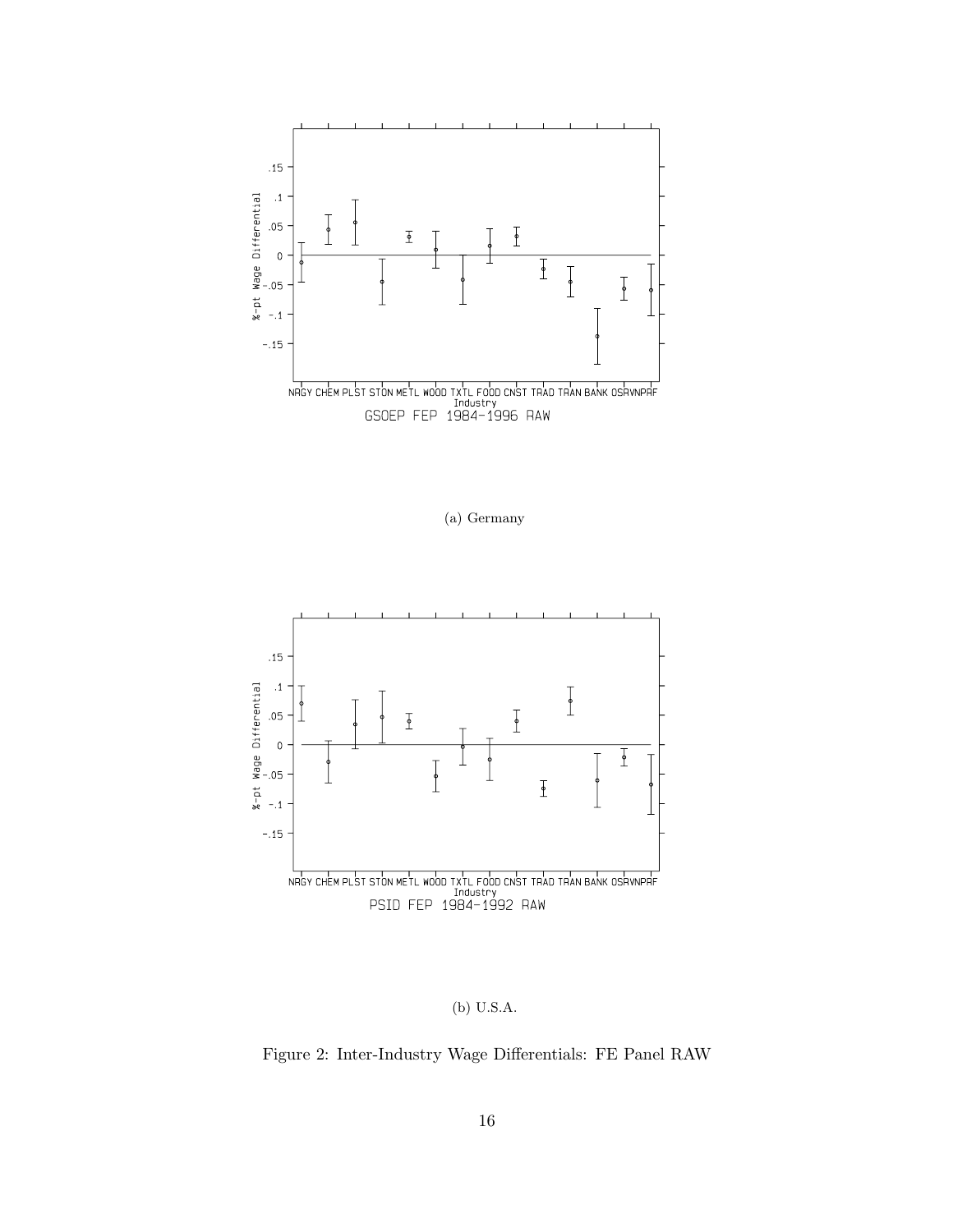

(a) Germany



(b) U.S.A.

Figure 2: Inter-Industry Wage Differentials: FE Panel RAW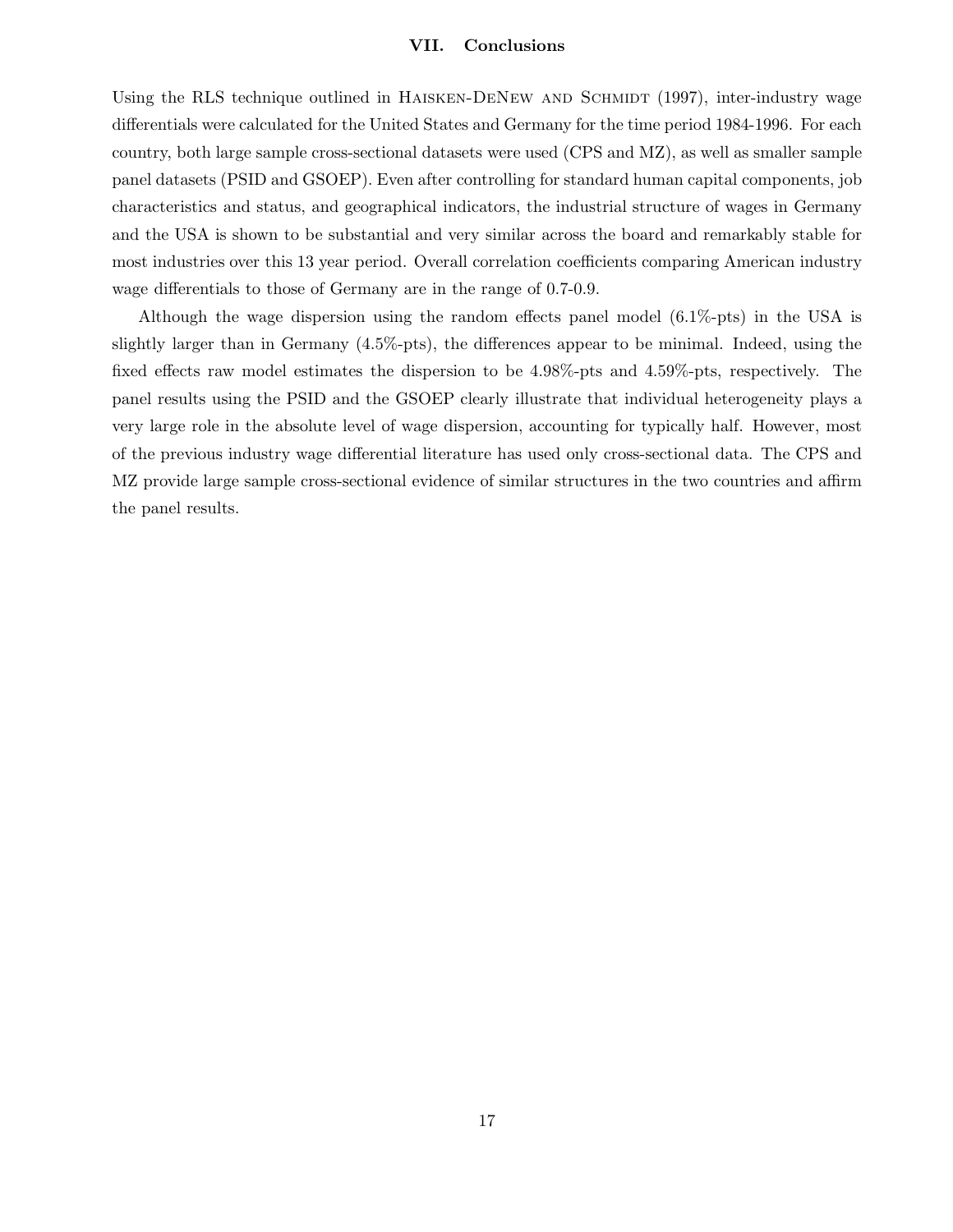#### **VII. Conclusions**

Using the RLS technique outlined in HAISKEN-DENEW AND SCHMIDT (1997), inter-industry wage differentials were calculated for the United States and Germany for the time period 1984-1996. For each country, both large sample cross-sectional datasets were used (CPS and MZ), as well as smaller sample panel datasets (PSID and GSOEP). Even after controlling for standard human capital components, job characteristics and status, and geographical indicators, the industrial structure of wages in Germany and the USA is shown to be substantial and very similar across the board and remarkably stable for most industries over this 13 year period. Overall correlation coefficients comparing American industry wage differentials to those of Germany are in the range of 0.7-0.9.

Although the wage dispersion using the random effects panel model  $(6.1\%$ -pts) in the USA is slightly larger than in Germany (4.5%-pts), the differences appear to be minimal. Indeed, using the fixed effects raw model estimates the dispersion to be 4.98%-pts and 4.59%-pts, respectively. The panel results using the PSID and the GSOEP clearly illustrate that individual heterogeneity plays a very large role in the absolute level of wage dispersion, accounting for typically half. However, most of the previous industry wage differential literature has used only cross-sectional data. The CPS and MZ provide large sample cross-sectional evidence of similar structures in the two countries and affirm the panel results.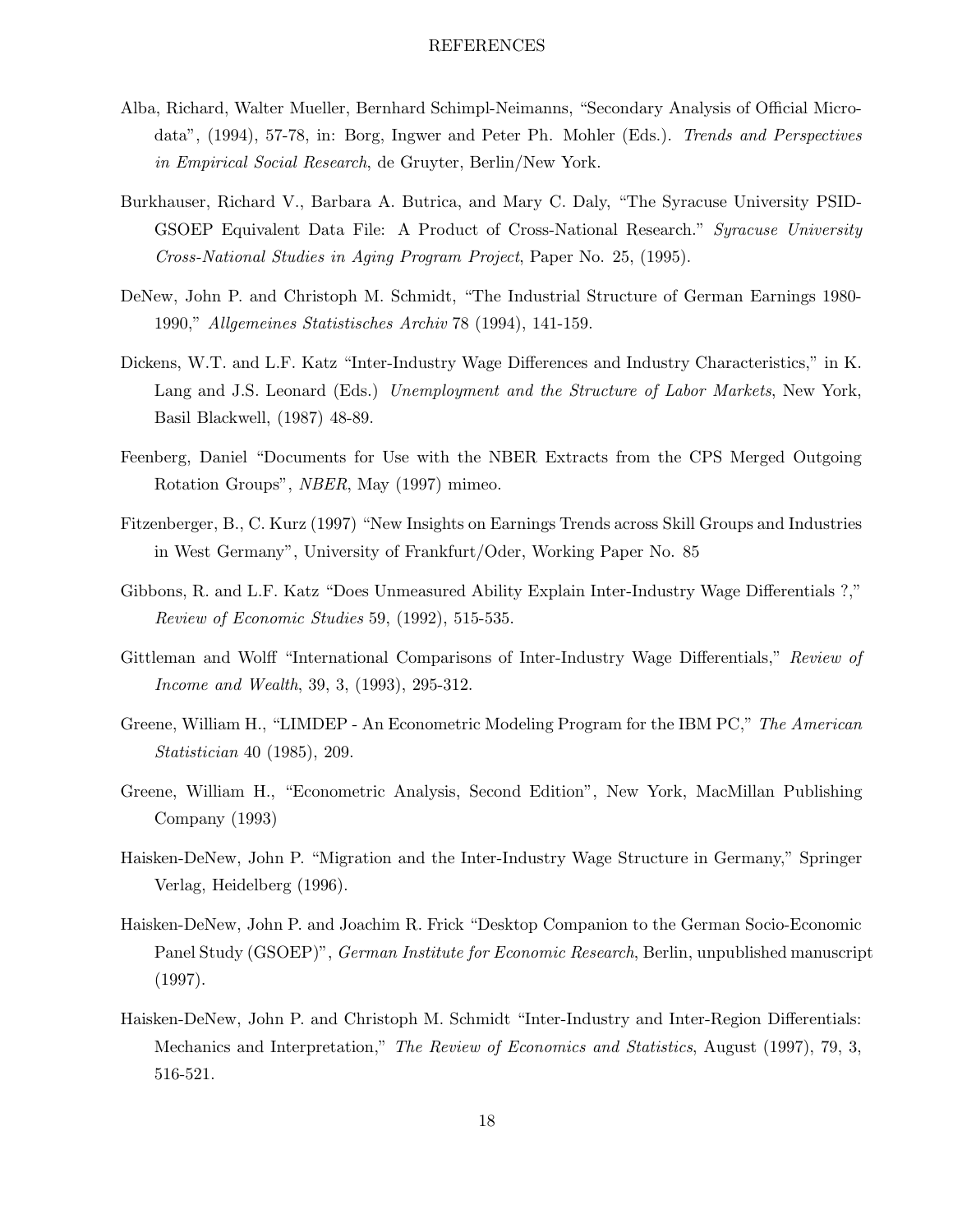#### REFERENCES

- Alba, Richard, Walter Mueller, Bernhard Schimpl-Neimanns, "Secondary Analysis of Official Microdata", (1994), 57-78, in: Borg, Ingwer and Peter Ph. Mohler (Eds.). *Trends and Perspectives in Empirical Social Research*, de Gruyter, Berlin/New York.
- Burkhauser, Richard V., Barbara A. Butrica, and Mary C. Daly, "The Syracuse University PSID-GSOEP Equivalent Data File: A Product of Cross-National Research." *Syracuse University Cross-National Studies in Aging Program Project*, Paper No. 25, (1995).
- DeNew, John P. and Christoph M. Schmidt, "The Industrial Structure of German Earnings 1980- 1990," *Allgemeines Statistisches Archiv* 78 (1994), 141-159.
- Dickens, W.T. and L.F. Katz "Inter-Industry Wage Differences and Industry Characteristics," in K. Lang and J.S. Leonard (Eds.) *Unemployment and the Structure of Labor Markets*, New York, Basil Blackwell, (1987) 48-89.
- Feenberg, Daniel "Documents for Use with the NBER Extracts from the CPS Merged Outgoing Rotation Groups", *NBER*, May (1997) mimeo.
- Fitzenberger, B., C. Kurz (1997)"New Insights on Earnings Trends across Skill Groups and Industries in West Germany", University of Frankfurt/Oder, Working Paper No. 85
- Gibbons, R. and L.F. Katz "Does Unmeasured Ability Explain Inter-Industry Wage Differentials ?," *Review of Economic Studies* 59, (1992), 515-535.
- Gittleman and Wolff "International Comparisons of Inter-Industry Wage Differentials," *Review of Income and Wealth*, 39, 3, (1993), 295-312.
- Greene, William H., "LIMDEP An Econometric Modeling Program for the IBM PC," *The American Statistician* 40 (1985), 209.
- Greene, William H., "Econometric Analysis, Second Edition", New York, MacMillan Publishing Company (1993)
- Haisken-DeNew, John P. "Migration and the Inter-Industry Wage Structure in Germany," Springer Verlag, Heidelberg (1996).
- Haisken-DeNew, John P. and Joachim R. Frick "Desktop Companion to the German Socio-Economic Panel Study (GSOEP)", *German Institute for Economic Research*, Berlin, unpublished manuscript (1997).
- Haisken-DeNew, John P. and Christoph M. Schmidt "Inter-Industry and Inter-Region Differentials: Mechanics and Interpretation," *The Review of Economics and Statistics*, August (1997), 79, 3, 516-521.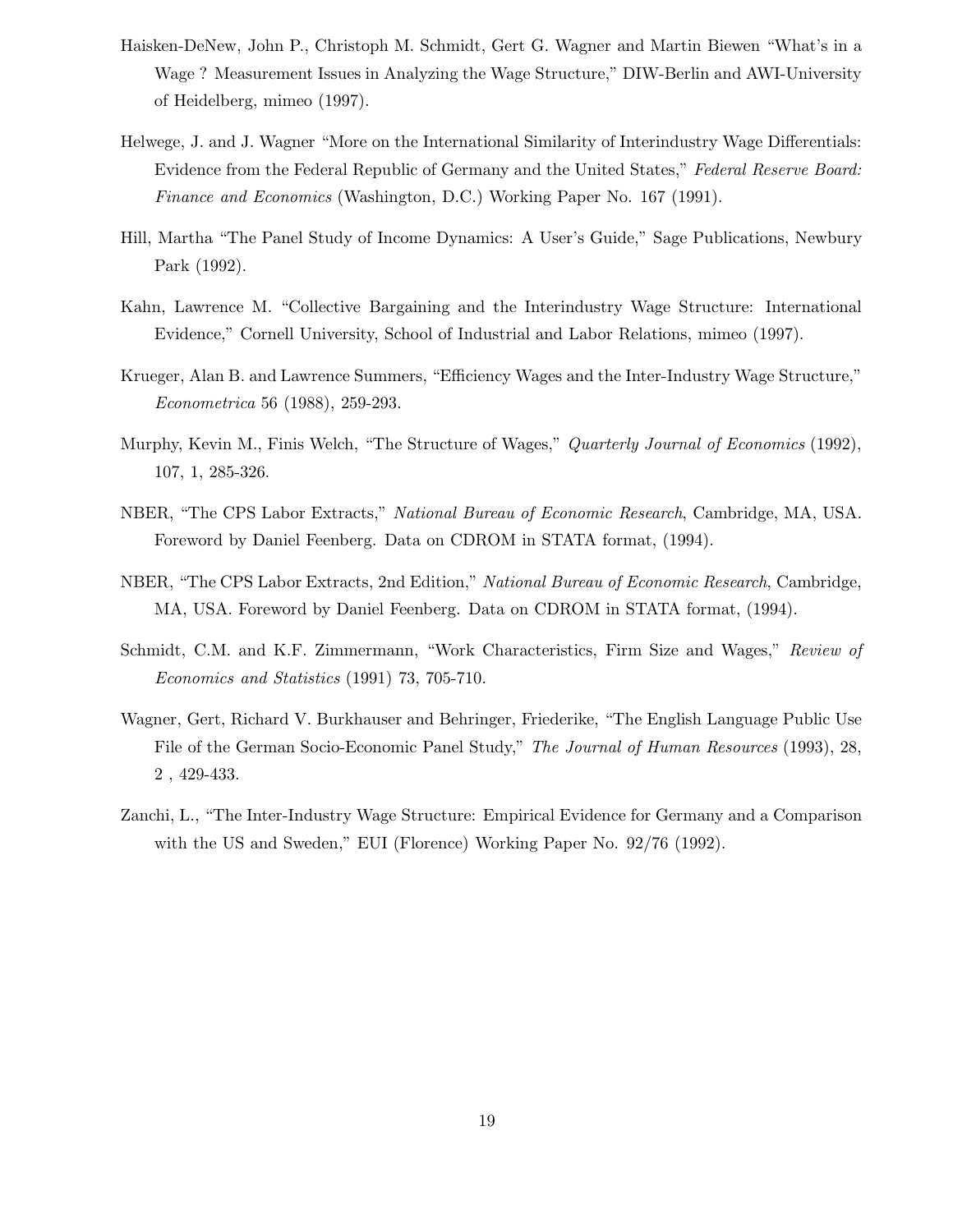- Haisken-DeNew, John P., Christoph M. Schmidt, Gert G. Wagner and Martin Biewen "What's in a Wage ? Measurement Issues in Analyzing the Wage Structure," DIW-Berlin and AWI-University of Heidelberg, mimeo (1997).
- Helwege, J. and J. Wagner "More on the International Similarity of Interindustry Wage Differentials: Evidence from the Federal Republic of Germany and the United States," *Federal Reserve Board: Finance and Economics* (Washington, D.C.)Working Paper No. 167 (1991).
- Hill, Martha "The Panel Study of Income Dynamics: A User's Guide," Sage Publications, Newbury Park (1992).
- Kahn, Lawrence M. "Collective Bargaining and the Interindustry Wage Structure: International Evidence," Cornell University, School of Industrial and Labor Relations, mimeo (1997).
- Krueger, Alan B. and Lawrence Summers, "Efficiency Wages and the Inter-Industry Wage Structure," *Econometrica* 56 (1988), 259-293.
- Murphy, Kevin M., Finis Welch, "The Structure of Wages," *Quarterly Journal of Economics* (1992), 107, 1, 285-326.
- NBER, "The CPS Labor Extracts," *National Bureau of Economic Research*, Cambridge, MA, USA. Foreword by Daniel Feenberg. Data on CDROM in STATA format, (1994).
- NBER, "The CPS Labor Extracts, 2nd Edition," *National Bureau of Economic Research*, Cambridge, MA, USA. Foreword by Daniel Feenberg. Data on CDROM in STATA format, (1994).
- Schmidt, C.M. and K.F. Zimmermann, "Work Characteristics, Firm Size and Wages," *Review of Economics and Statistics* (1991) 73, 705-710.
- Wagner, Gert, Richard V. Burkhauser and Behringer, Friederike, "The English Language Public Use File of the German Socio-Economic Panel Study," *The Journal of Human Resources* (1993), 28, 2 , 429-433.
- Zanchi, L., "The Inter-Industry Wage Structure: Empirical Evidence for Germany and a Comparison with the US and Sweden," EUI (Florence) Working Paper No. 92/76 (1992).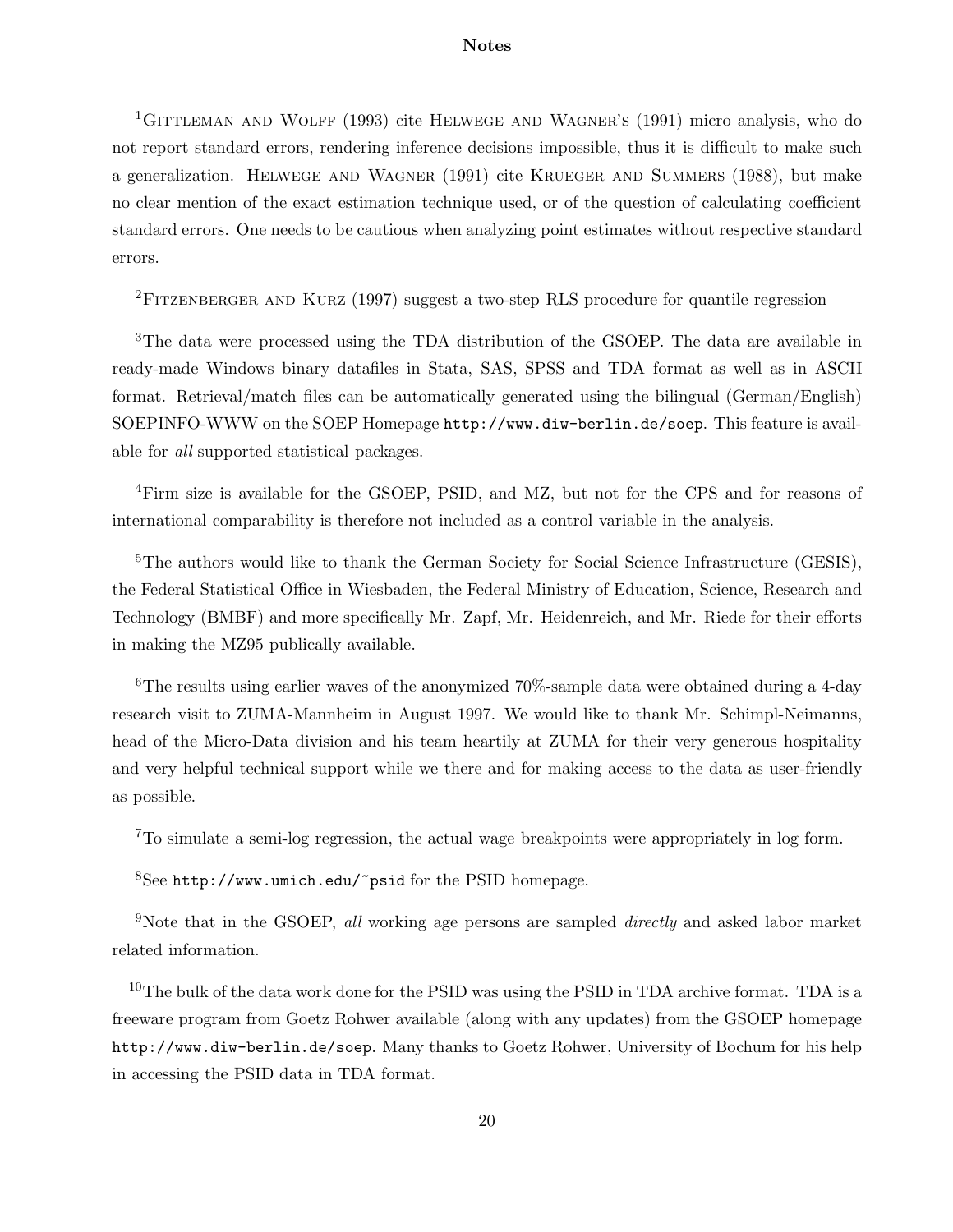#### **Notes**

<sup>1</sup>GITTLEMAN AND WOLFF (1993) cite HELWEGE AND WAGNER'S (1991) micro analysis, who do not report standard errors, rendering inference decisions impossible, thus it is difficult to make such a generalization. HELWEGE AND WAGNER (1991) cite KRUEGER AND SUMMERS (1988), but make no clear mention of the exact estimation technique used, or of the question of calculating coefficient standard errors. One needs to be cautious when analyzing point estimates without respective standard errors.

<sup>2</sup>FITZENBERGER AND KURZ (1997) suggest a two-step RLS procedure for quantile regression

<sup>3</sup>The data were processed using the TDA distribution of the GSOEP. The data are available in ready-made Windows binary datafiles in Stata, SAS, SPSS and TDA format as well as in ASCII format. Retrieval/match files can be automatically generated using the bilingual (German/English) SOEPINFO-WWW on the SOEP Homepage http://www.diw-berlin.de/soep. This feature is available for *all* supported statistical packages.

<sup>4</sup>Firm size is available for the GSOEP, PSID, and MZ, but not for the CPS and for reasons of international comparability is therefore not included as a control variable in the analysis.

<sup>5</sup>The authors would like to thank the German Society for Social Science Infrastructure (GESIS), the Federal Statistical Office in Wiesbaden, the Federal Ministry of Education, Science, Research and Technology (BMBF) and more specifically Mr. Zapf, Mr. Heidenreich, and Mr. Riede for their efforts in making the MZ95 publically available.

<sup>6</sup>The results using earlier waves of the anonymized  $70\%$ -sample data were obtained during a 4-day research visit to ZUMA-Mannheim in August 1997. We would like to thank Mr. Schimpl-Neimanns, head of the Micro-Data division and his team heartily at ZUMA for their very generous hospitality and very helpful technical support while we there and for making access to the data as user-friendly as possible.

<sup>7</sup>To simulate a semi-log regression, the actual wage breakpoints were appropriately in log form.

<sup>8</sup>See http://www.umich.edu/~psid for the PSID homepage.

<sup>9</sup>Note that in the GSOEP, *all* working age persons are sampled *directly* and asked labor market related information.

 $10$ The bulk of the data work done for the PSID was using the PSID in TDA archive format. TDA is a freeware program from Goetz Rohwer available (along with any updates) from the GSOEP homepage http://www.diw-berlin.de/soep. Many thanks to Goetz Rohwer, University of Bochum for his help in accessing the PSID data in TDA format.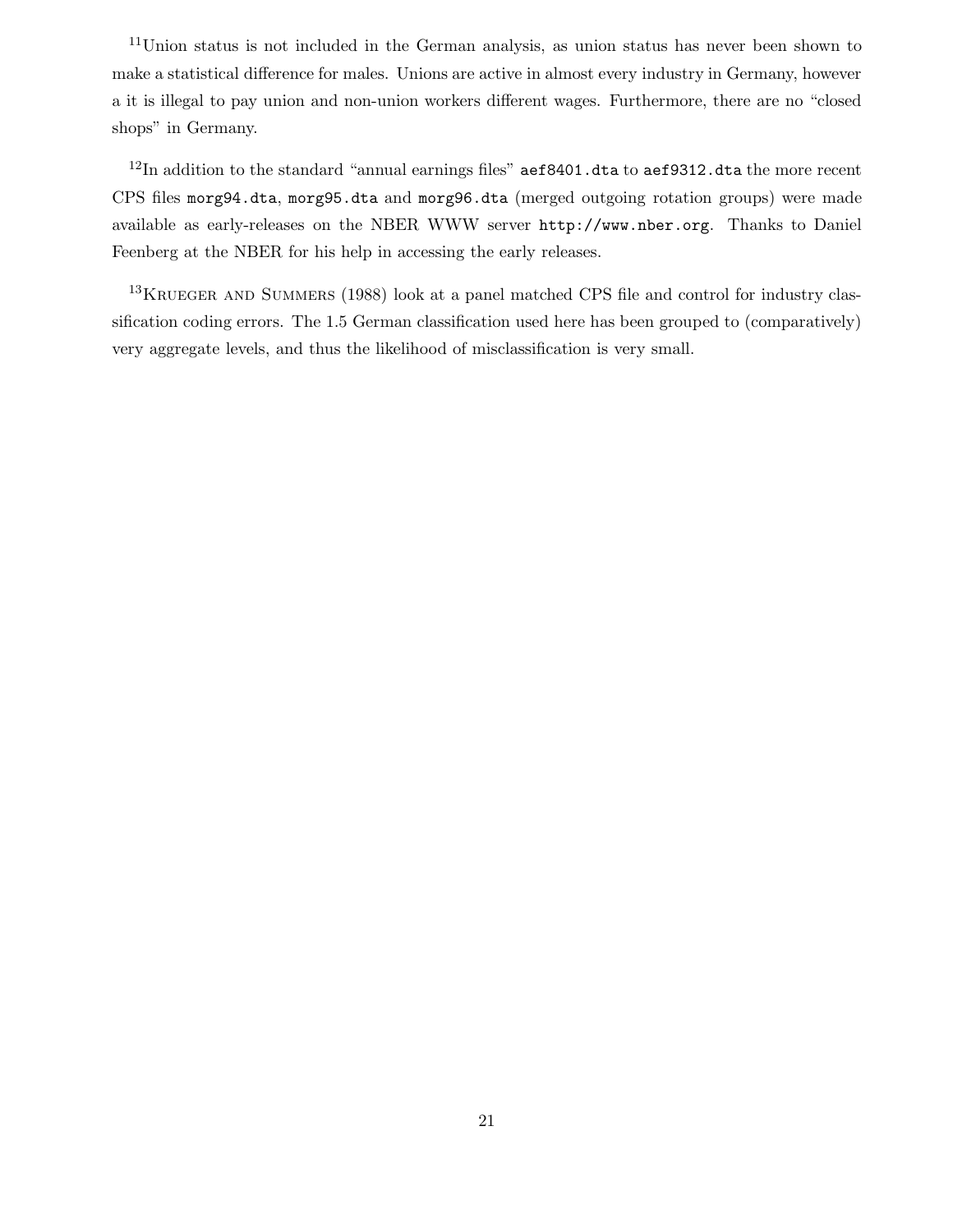<sup>11</sup>Union status is not included in the German analysis, as union status has never been shown to make a statistical difference for males. Unions are active in almost every industry in Germany, however a it is illegal to pay union and non-union workers different wages. Furthermore, there are no "closed shops" in Germany.

<sup>12</sup>In addition to the standard "annual earnings files" aef8401.dta to aef9312.dta the more recent CPS files morg94.dta, morg95.dta and morg96.dta (merged outgoing rotation groups) were made available as early-releases on the NBER WWW server http://www.nber.org. Thanks to Daniel Feenberg at the NBER for his help in accessing the early releases.

<sup>13</sup>KRUEGER AND SUMMERS (1988) look at a panel matched CPS file and control for industry classification coding errors. The 1.5 German classification used here has been grouped to (comparatively) very aggregate levels, and thus the likelihood of misclassification is very small.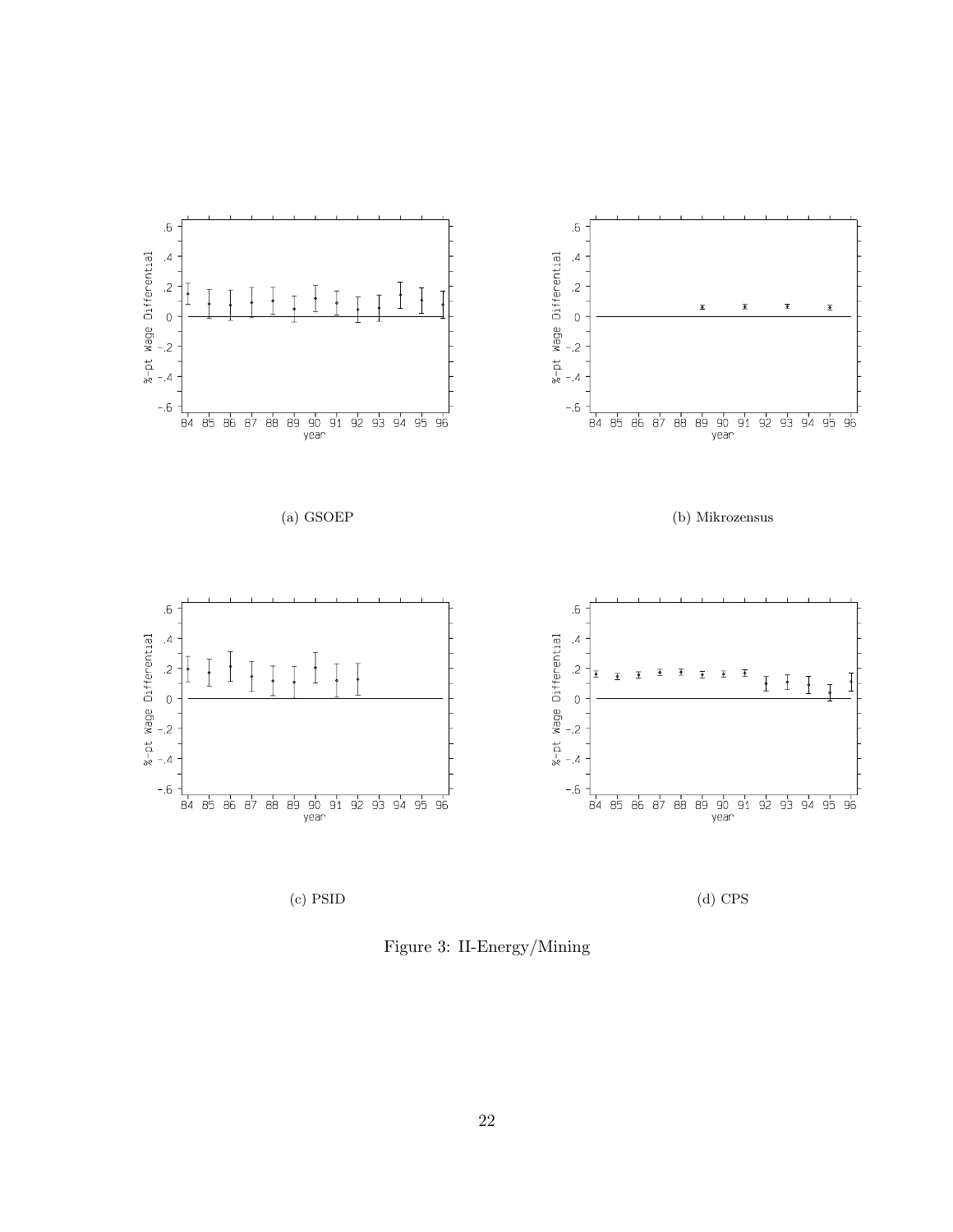

Figure 3: II-Energy/Mining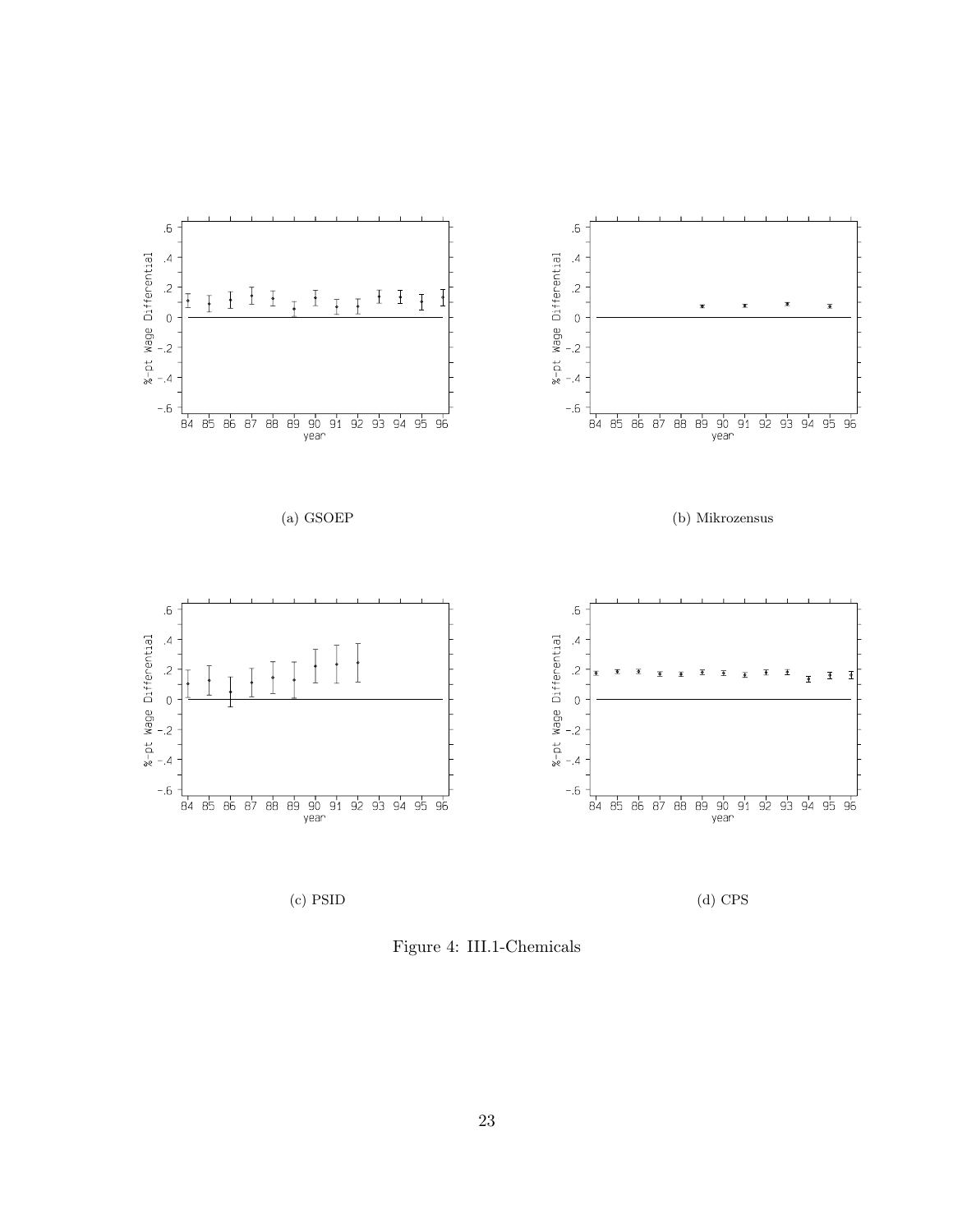

Figure 4: III.1-Chemicals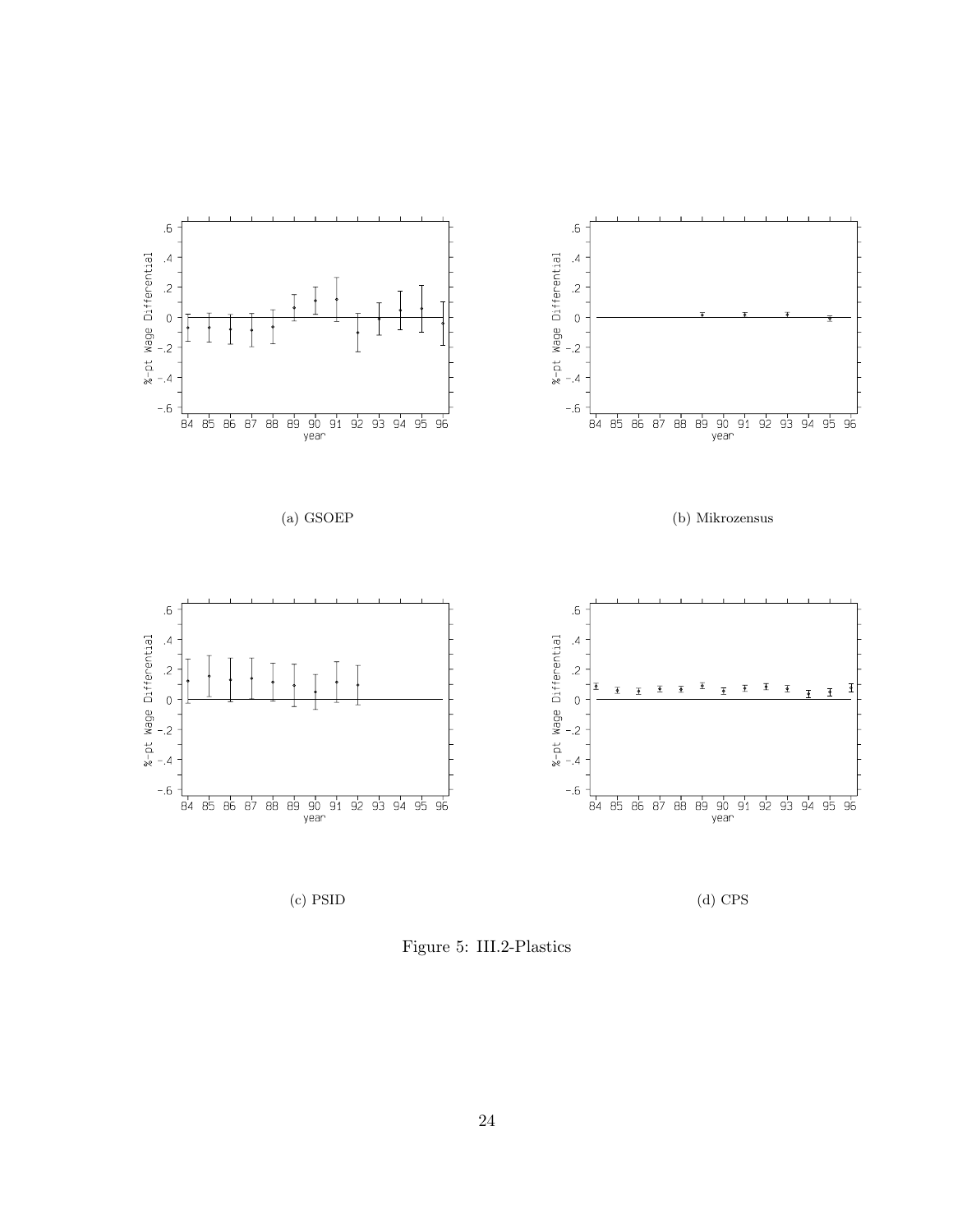

Figure 5: III.2-Plastics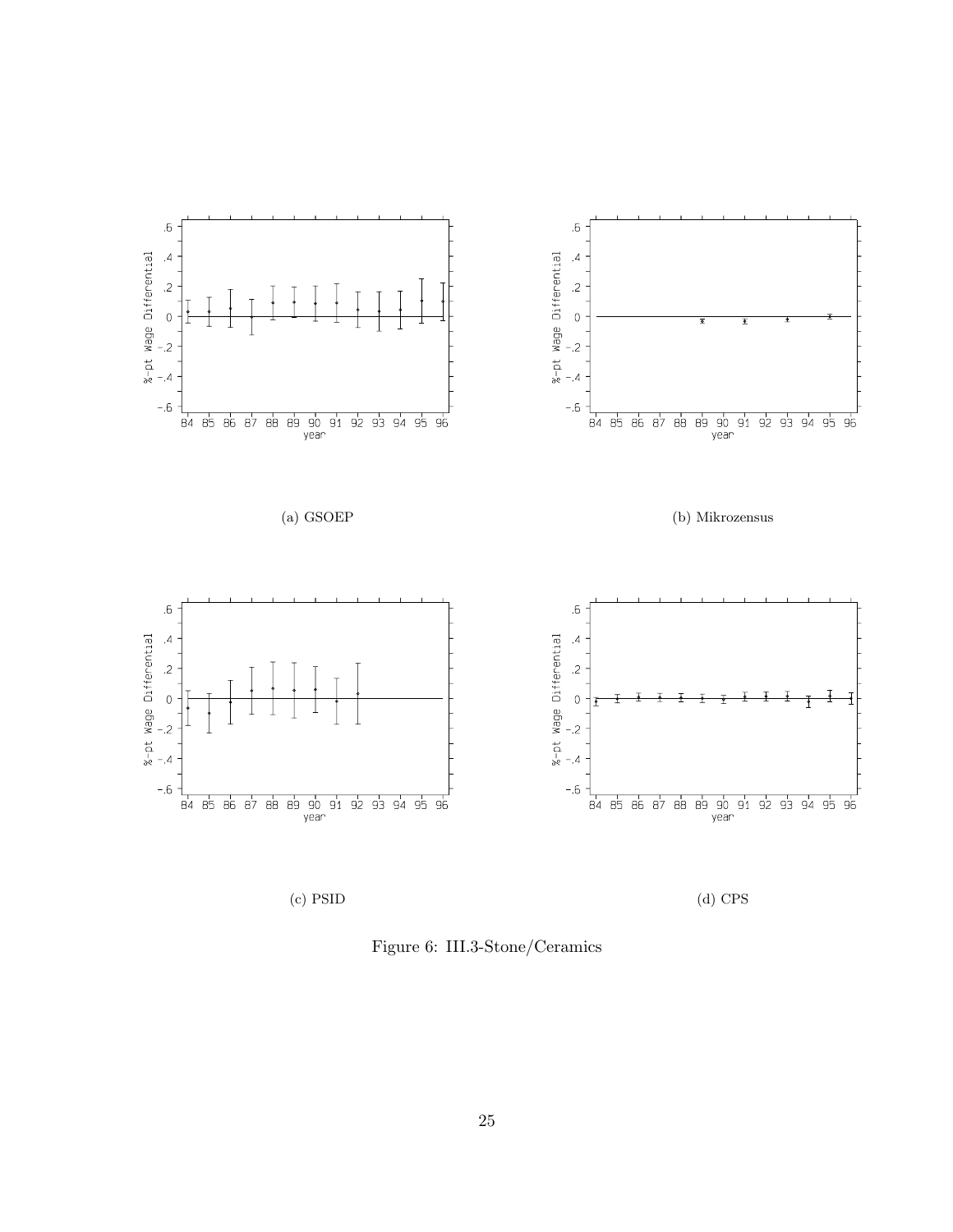

Figure 6: III.3-Stone/Ceramics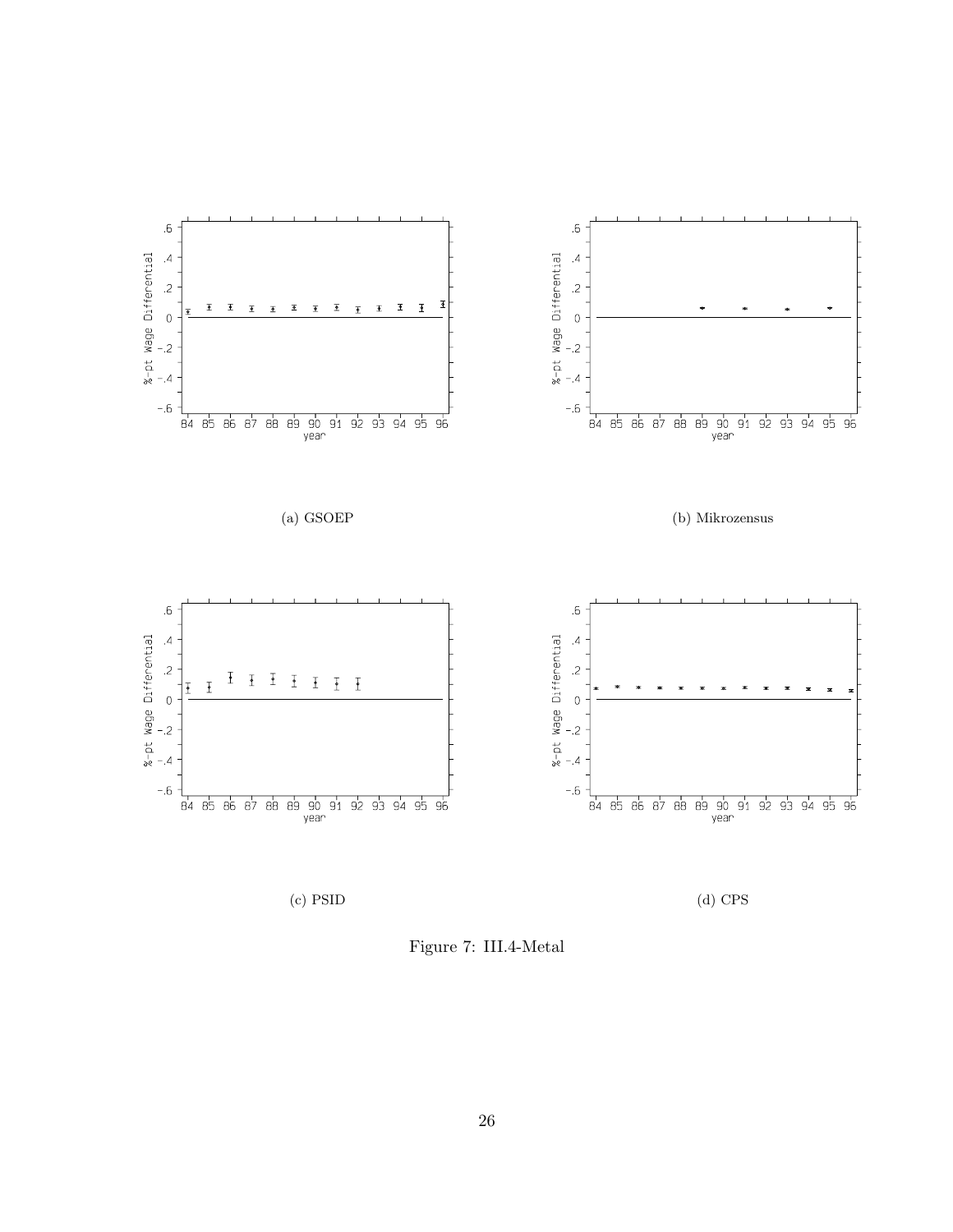

Figure 7: III.4-Metal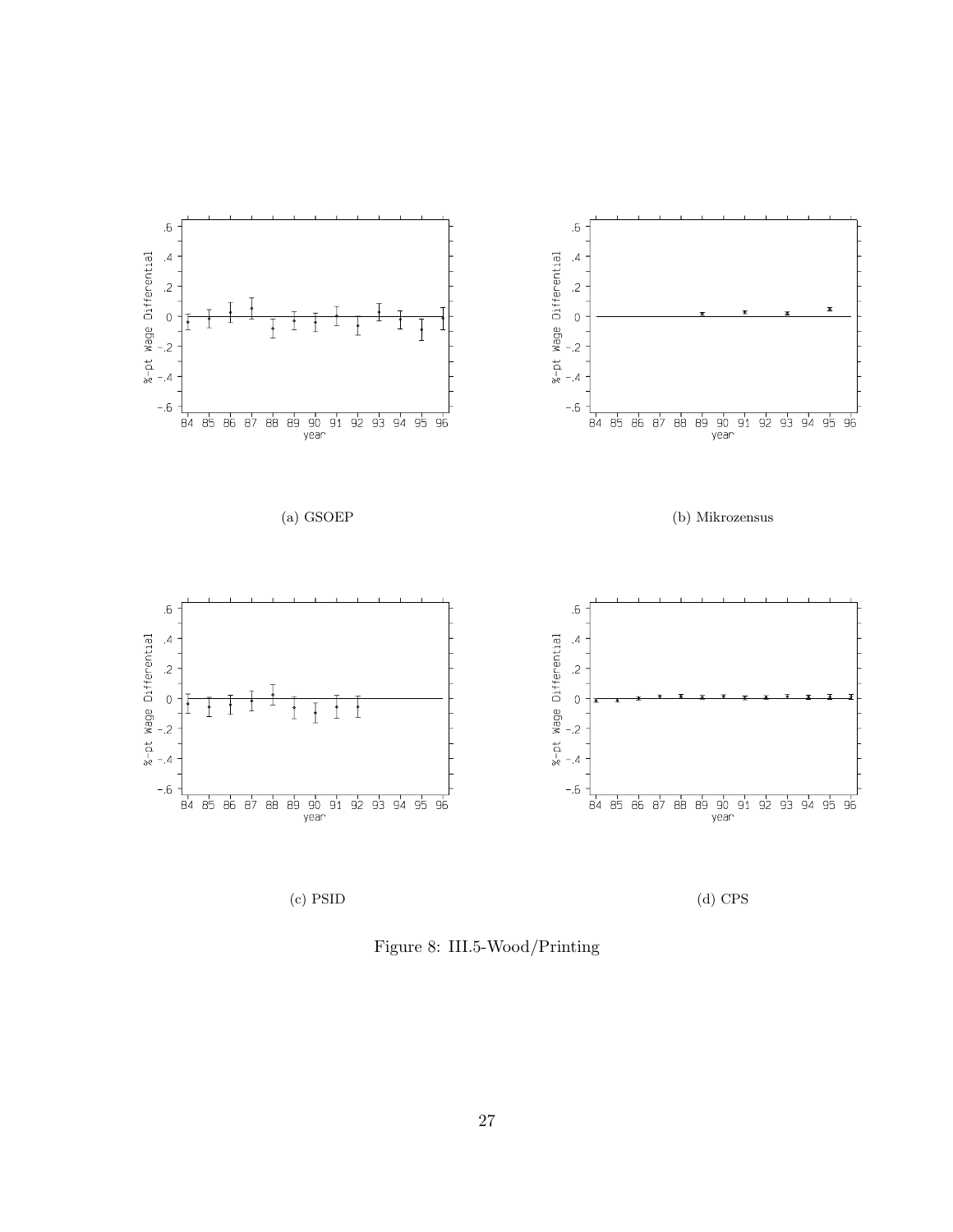

Figure 8: III.5-Wood/Printing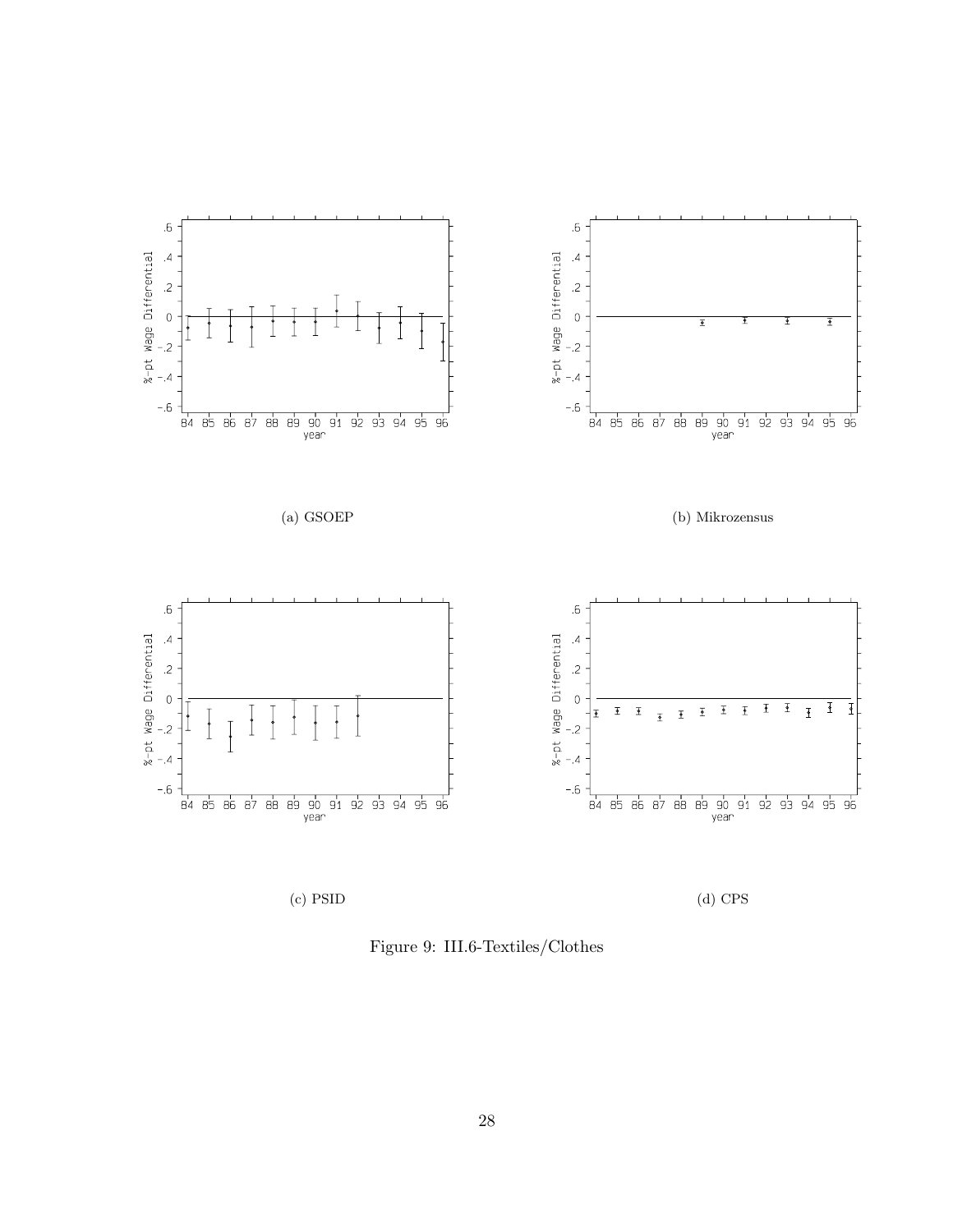

Figure 9: III.6-Textiles/Clothes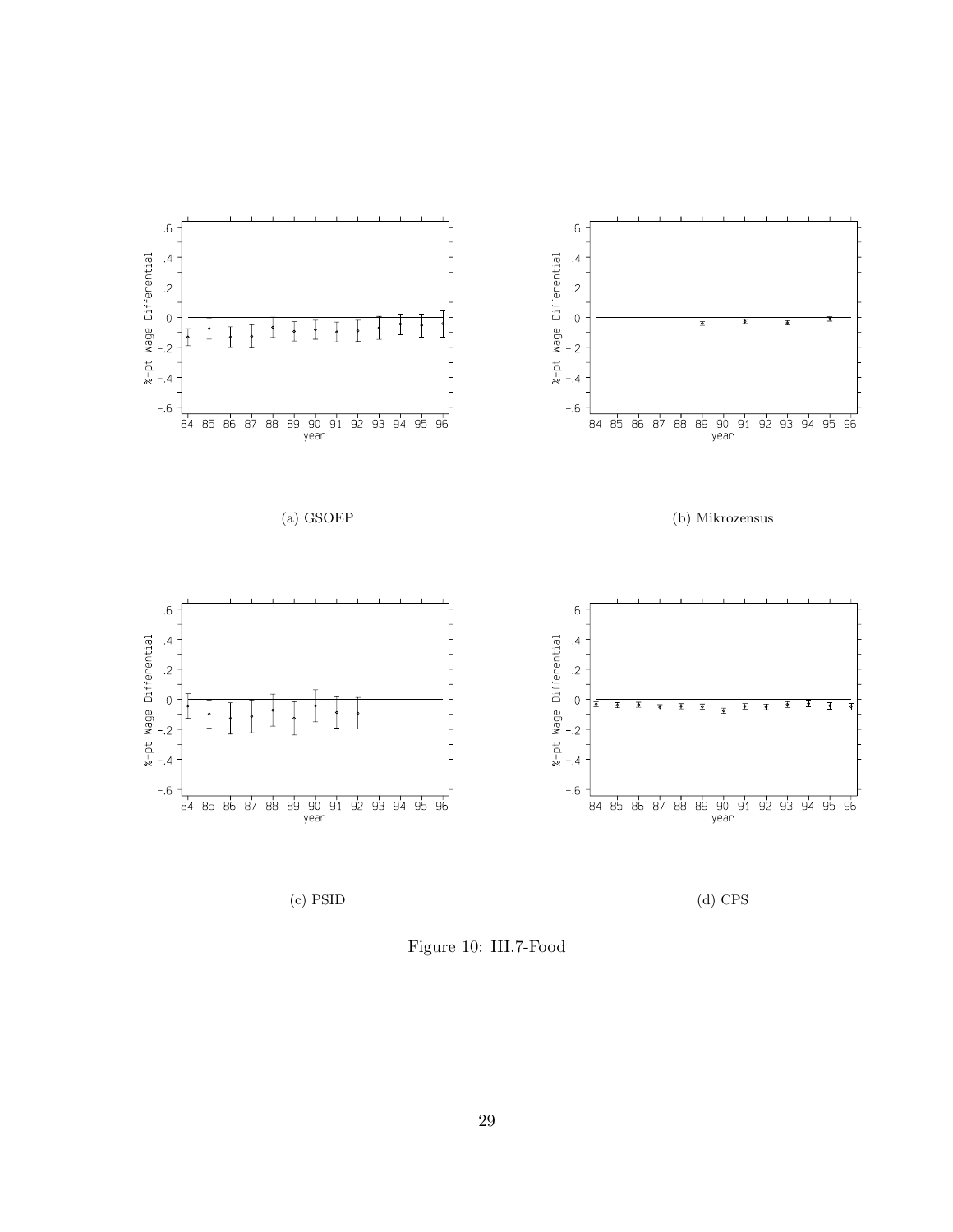

Figure 10: III.7-Food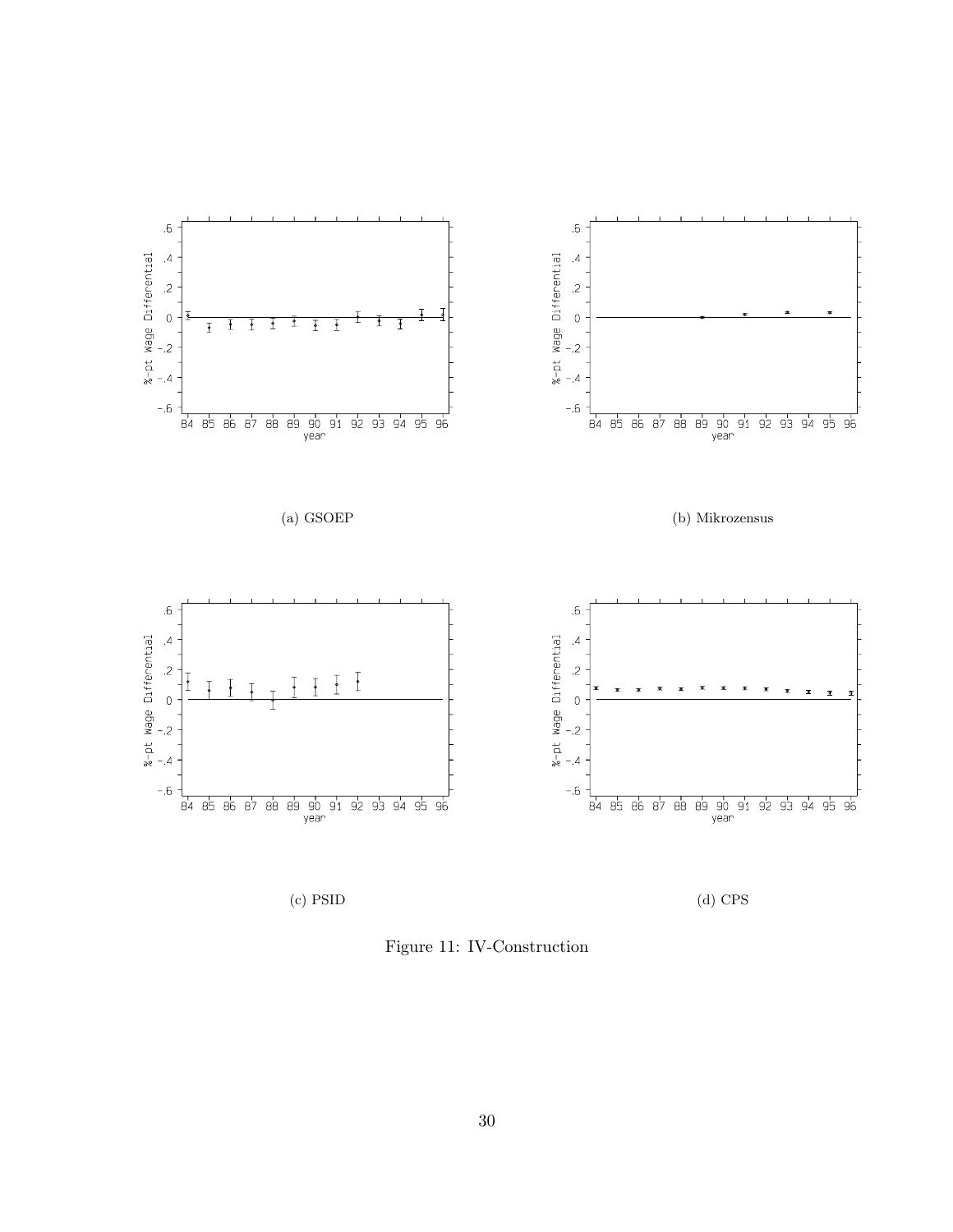

Figure 11: IV-Construction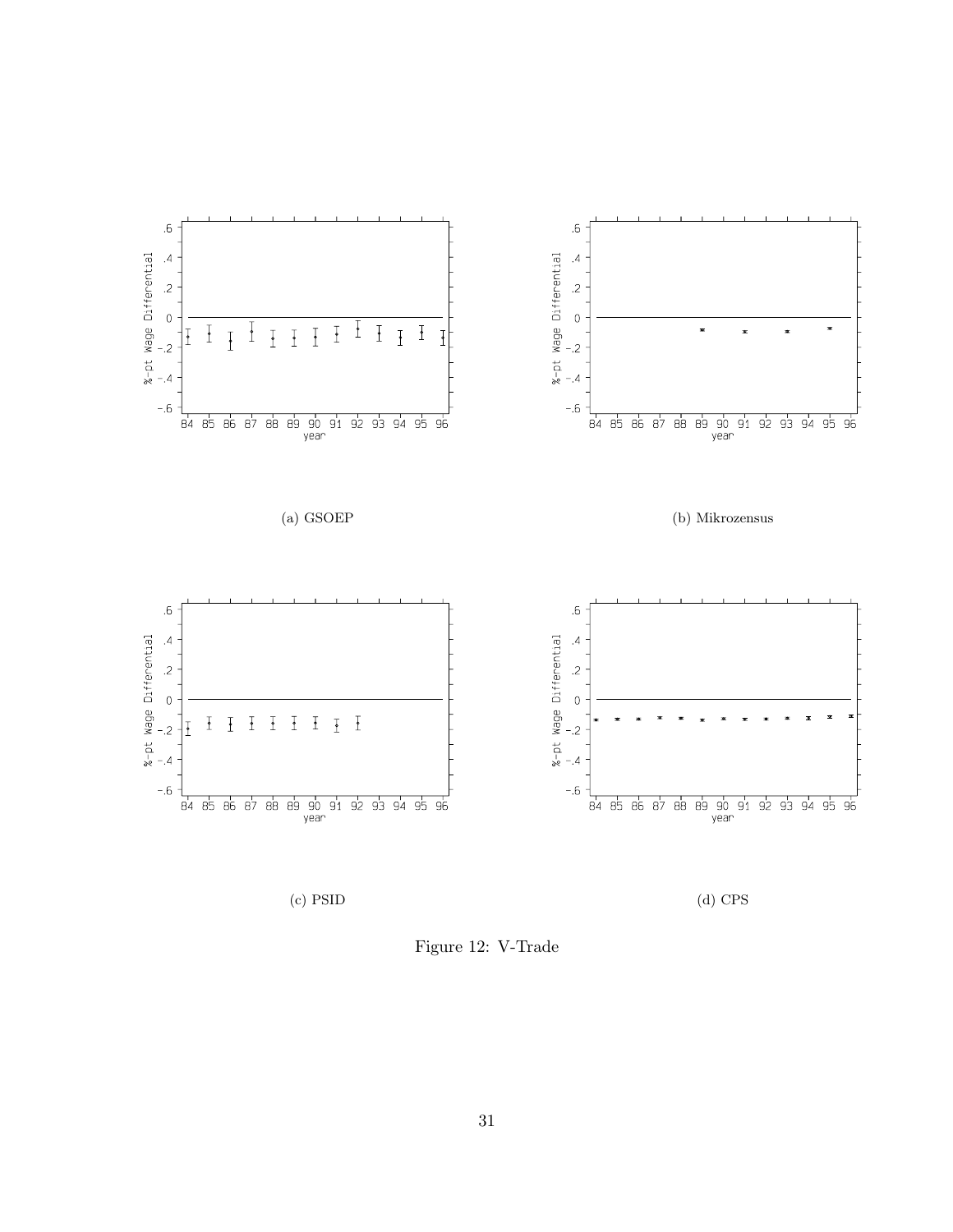

Figure 12: V-Trade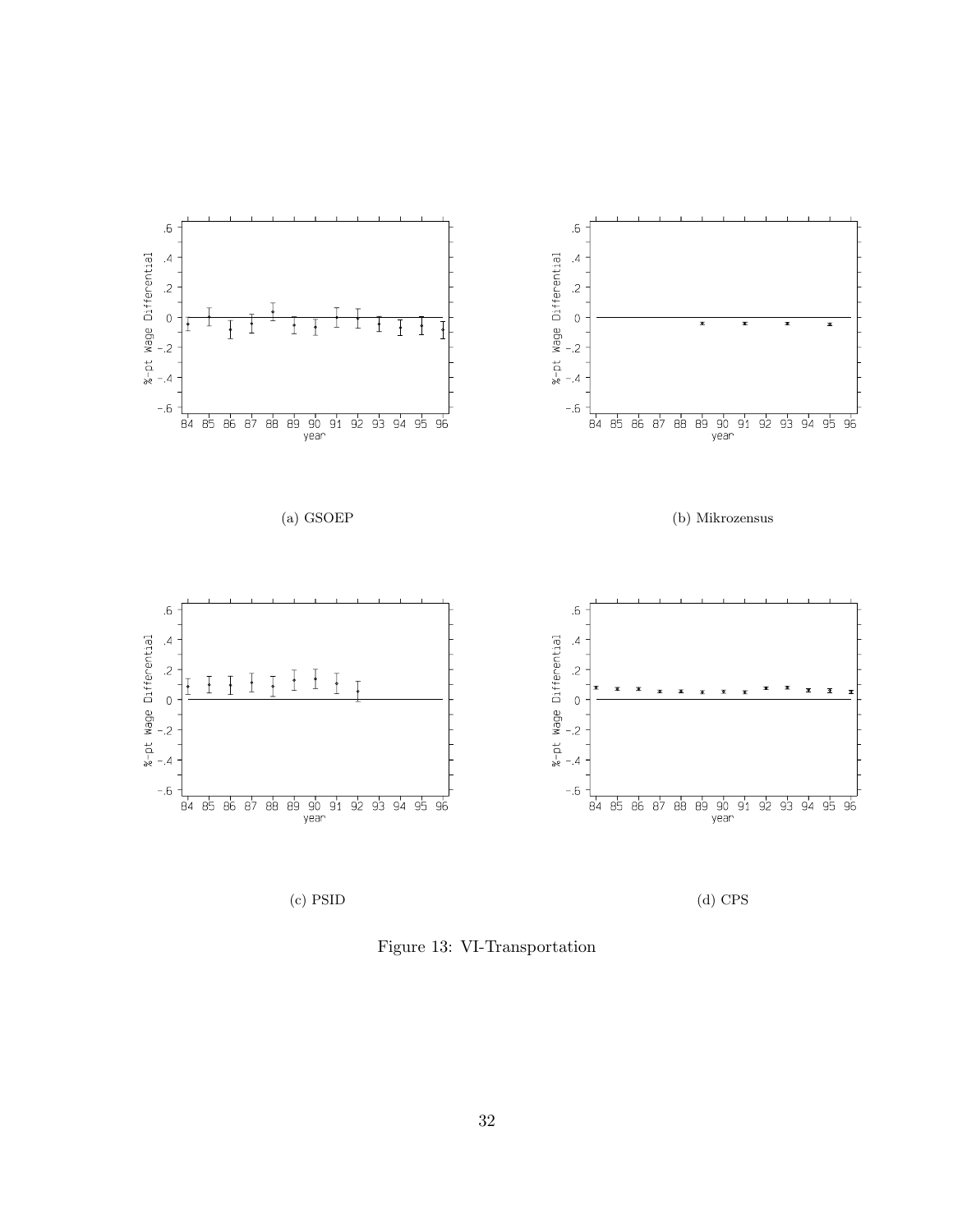

Figure 13: VI-Transportation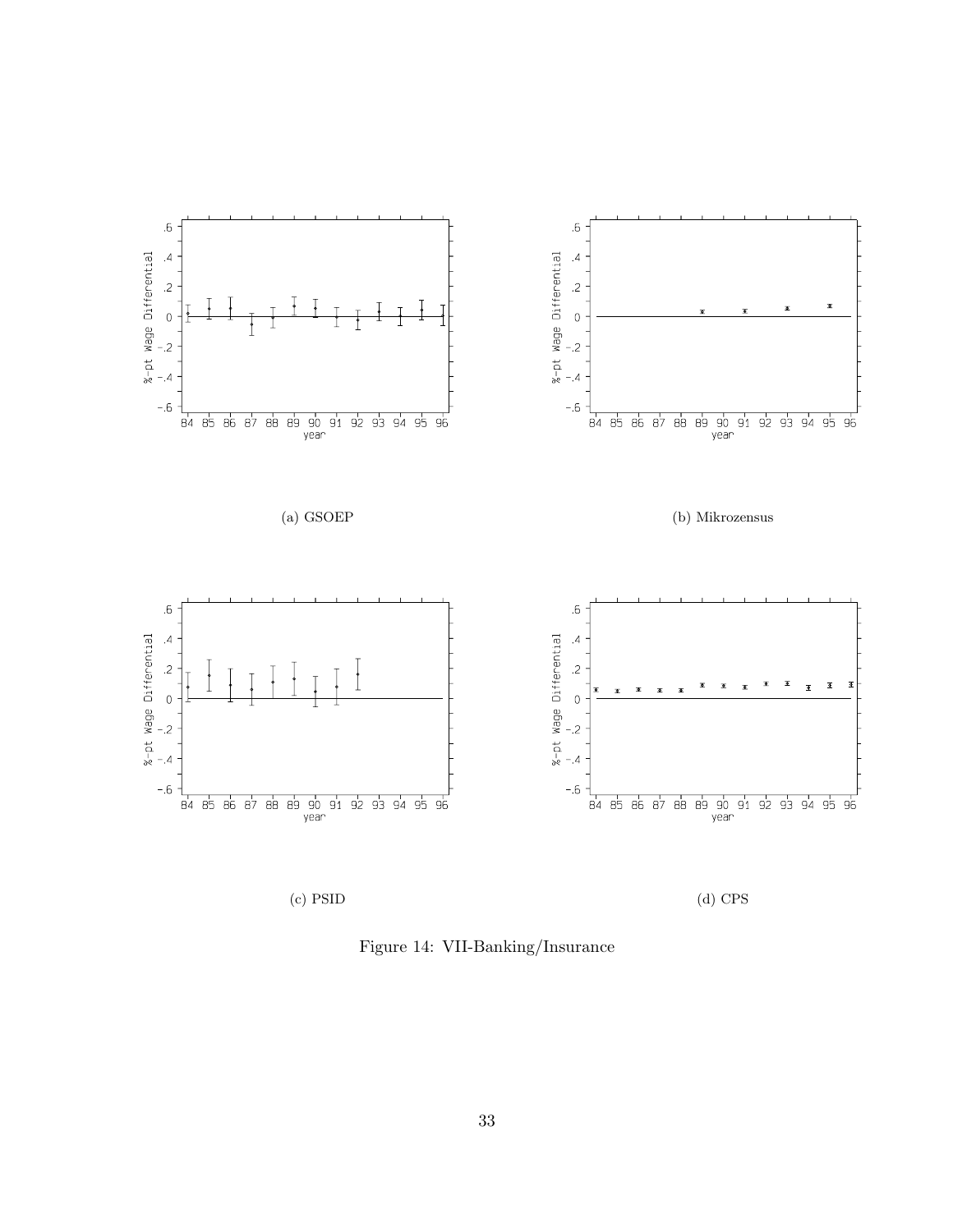

Figure 14: VII-Banking/Insurance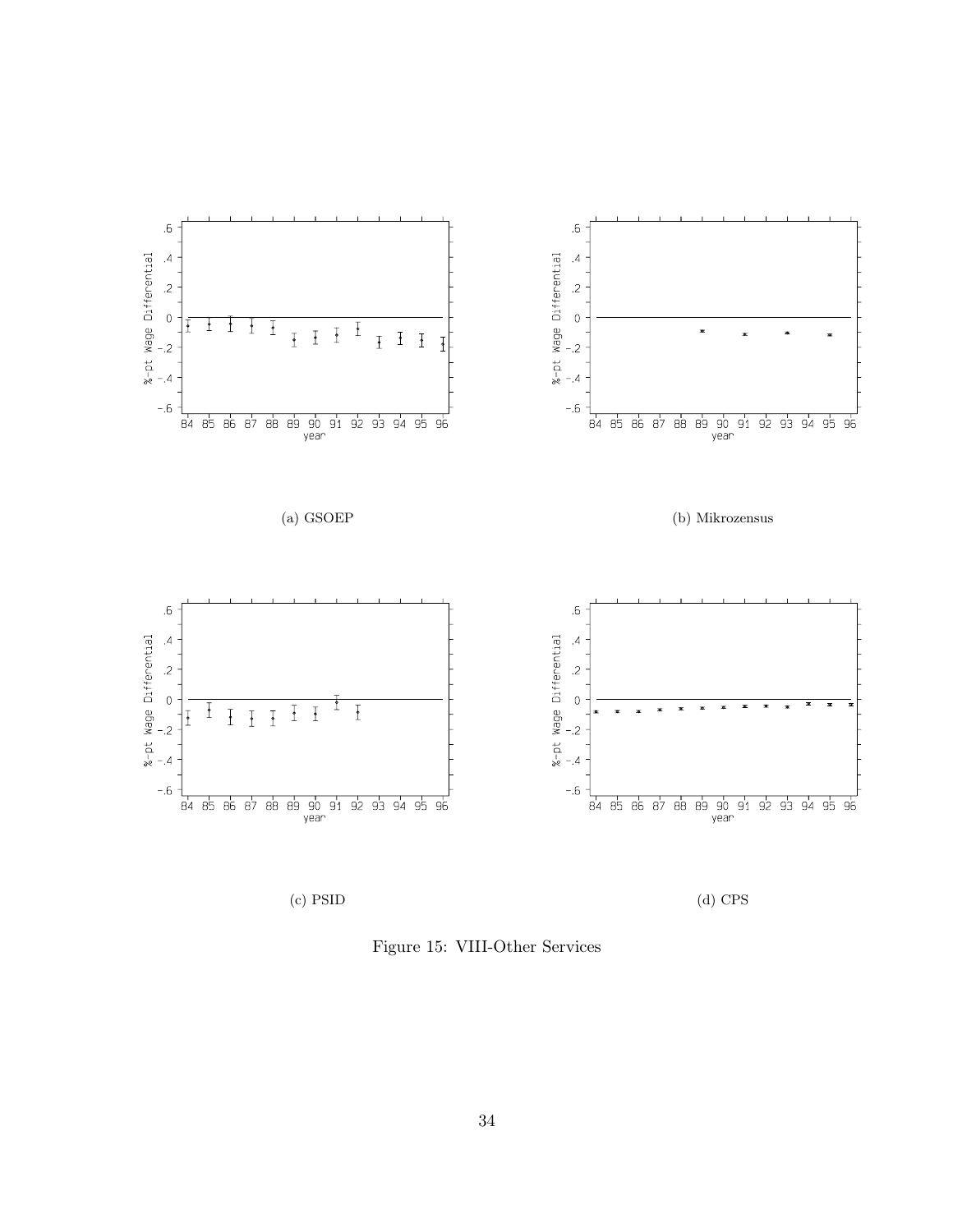

Figure 15: VIII-Other Services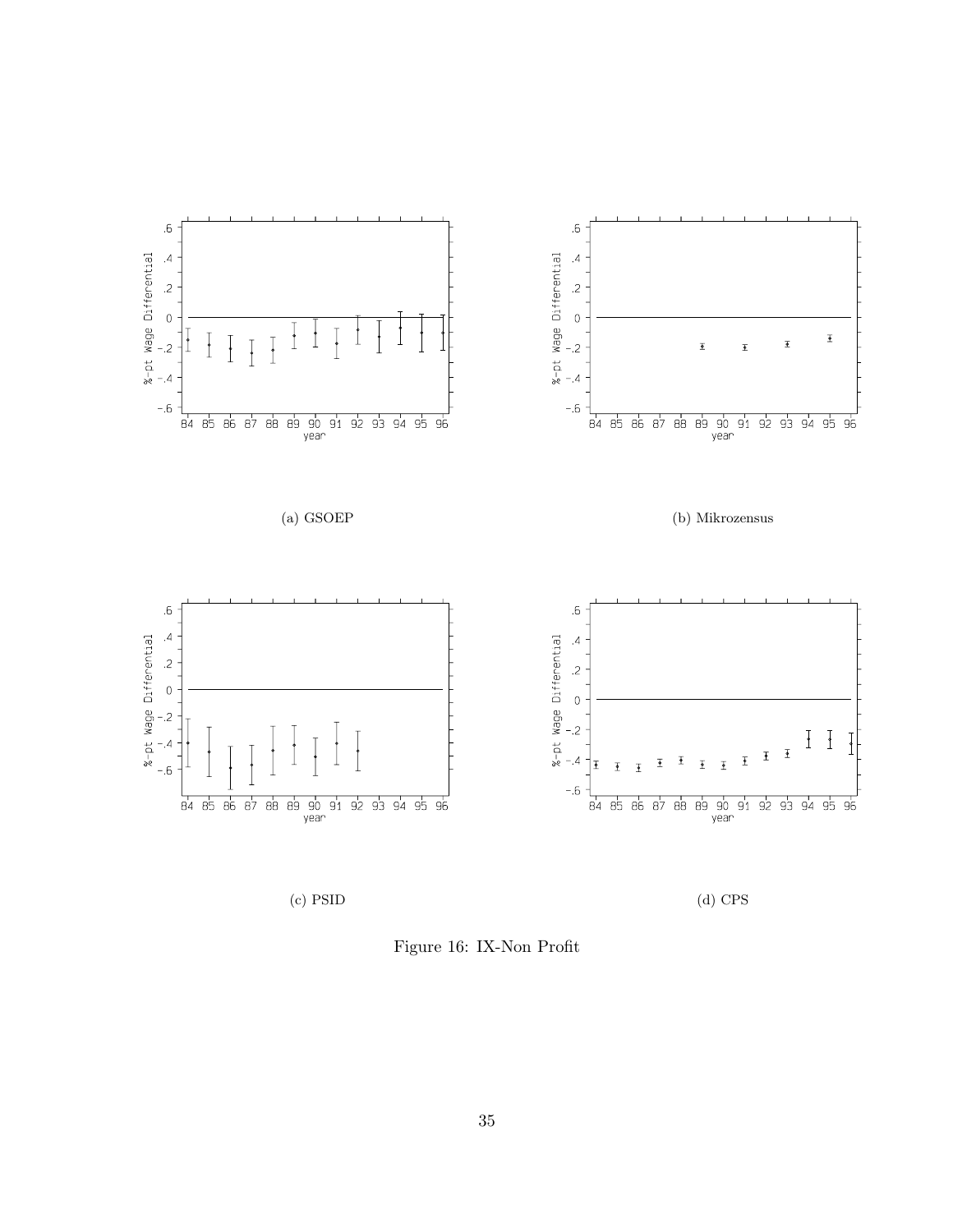

Figure 16: IX-Non Profit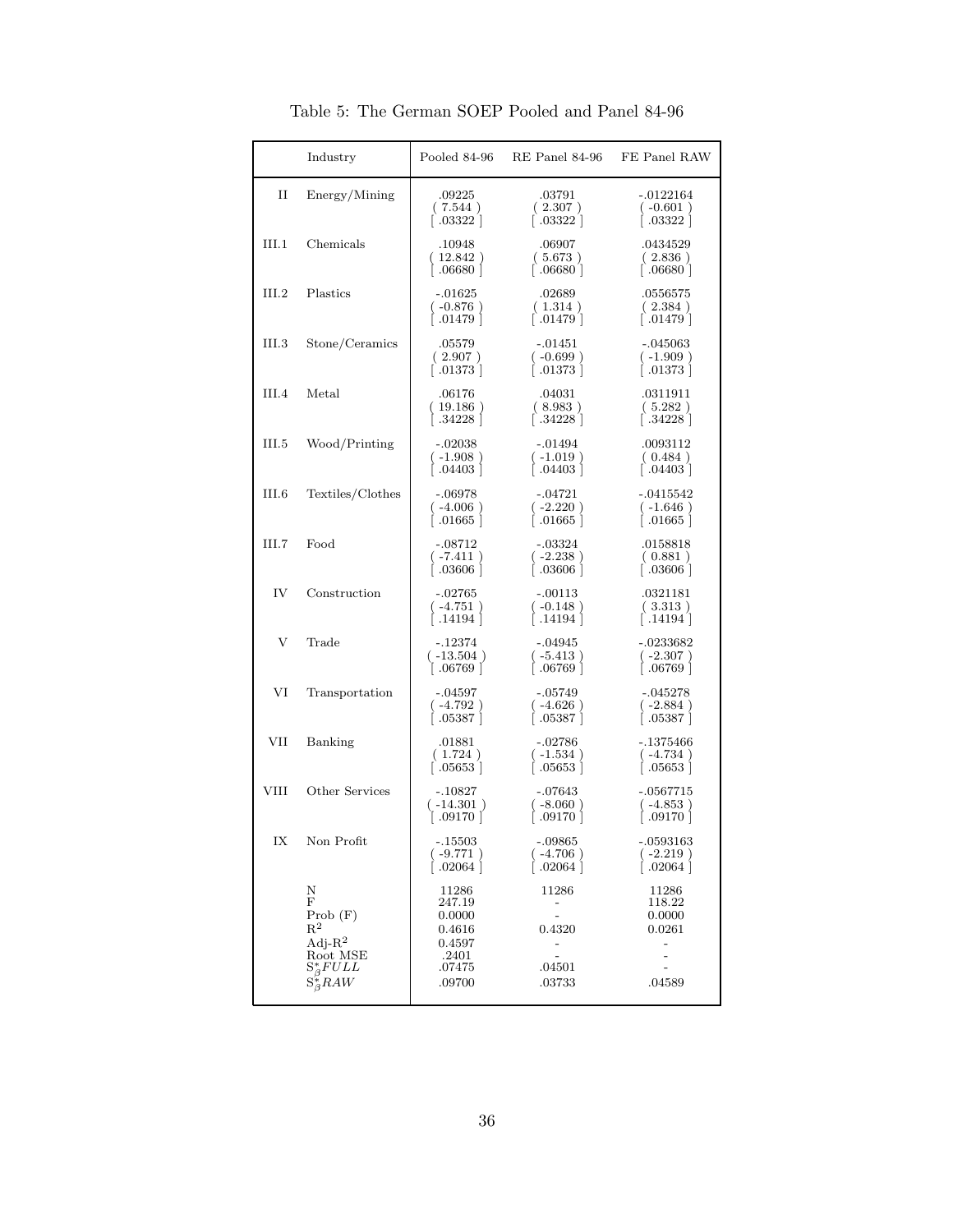|       | Industry                                                                                                     | Pooled 84-96                                                               | RE Panel 84-96                                                                         | FE Panel RAW                                                                                                            |
|-------|--------------------------------------------------------------------------------------------------------------|----------------------------------------------------------------------------|----------------------------------------------------------------------------------------|-------------------------------------------------------------------------------------------------------------------------|
| П     | Energy/Mining                                                                                                | .09225<br>(7.544)<br>$\left\lceil .03322 \right\rceil$                     | .03791<br>(2.307)<br>$\left[ .03322 \right]$                                           | $-.0122164$<br>$(-0.601)$<br>$\left[ .03322 \right]$                                                                    |
| III.1 | Chemicals                                                                                                    | .10948<br>(12.842)<br>$\lceil .06680 \rceil$                               | .06907<br>(5.673)<br>$\left[ .06680 \right]$                                           | .0434529<br>(2.836)<br>$\left[ .06680 \right]$                                                                          |
| III.2 | Plastics                                                                                                     | $-.01625$<br>$(-0.876)$<br>$\left[ .01479 \right]$                         | .02689<br>(1.314)<br>$\lceil .01479 \rceil$                                            | .0556575<br>(2.384)<br>$\mid .01479 \mid$                                                                               |
| III.3 | Stone/Ceramics                                                                                               | .05579<br>(2.907)<br>$\left[ .01373 \right]$                               | $-.01451$<br>$(-0.699)$<br>$\left[ .01373 \right]$                                     | $-.045063$<br>$(-1.909)$<br>[.01373]                                                                                    |
| III.4 | Metal                                                                                                        | .06176<br>(19.186)<br>$\left[ .34228 \ \right]$                            | .04031<br>(8.983)<br>$\left[ .34228 \right]$                                           | .0311911<br>(5.282)<br>$\left[ .34228 \right]$                                                                          |
| III.5 | Wood/Printing                                                                                                | $-.02038$<br>$(-1.908)$<br>$\lceil .04403 \rceil$                          | $-0.01494$<br>$(-1.019)$<br>$\lceil .04403 \rceil$                                     | .0093112<br>(0.484)<br>$\vert .04403 \vert$                                                                             |
| III.6 | Textiles/Clothes                                                                                             | $-.06978$<br>$(-4.006)$<br>$\vert$ .01665 $\vert$                          | $-.04721$<br>$(-2.220)$<br>$\vert$ .01665 $\vert$                                      | $-.0415542$<br>$(-1.646)$<br>$\vert .01665 \vert$                                                                       |
| III.7 | Food                                                                                                         | $-.08712$<br>$(-7.411)$<br>$\lceil .03606 \rceil$                          | $-.03324$<br>$(-2.238)$<br>$\left[ .03606 \right]$                                     | .0158818<br>(0.881)<br>[.03606]                                                                                         |
| IV    | Construction                                                                                                 | $-.02765$<br>$(-4.751)$<br>$\left[ .14194 \right]$                         | $-.00113$<br>$(-0.148)$<br>$\left[ .14194 \right]$                                     | .0321181<br>(3.313)<br> .14194                                                                                          |
| V     | Trade                                                                                                        | $-.12374$<br>$(-13.504)$<br>$\lceil .06769 \rceil$                         | $-.04945$<br>$(-5.413)$<br>$\lceil .06769 \rceil$                                      | $-.0233682$<br>$(-2.307)$<br>$\lceil .06769 \rceil$                                                                     |
| VI    | Transportation                                                                                               | $-.04597$<br>$(-4.792)$<br>$\left( .05387\right)$                          | -.05749<br>$(-4.626)$<br>$\left[ .05387 \right]$                                       | $-.045278$<br>$(-2.884)$<br>$\left[ .05387 \right]$                                                                     |
| VII   | Banking                                                                                                      | .01881<br>(1.724)<br>$\vert .05653 \vert$                                  | $-.02786$<br>$(-1.534)$<br>$\left[ .05653 \right]$                                     | $-.1375466$<br>$(-4.734)$<br>$\lceil .05653 \rceil$                                                                     |
| VIII  | Other Services                                                                                               | $-.10827$<br>$(-14.301)$<br>$\left[ .09170 \right]$                        | $-.07643$<br>$(-8.060)$<br>$\left[ .09170 \right]$                                     | -.0567715<br>$(-4.853)$<br>$\lceil .09170 \rceil$                                                                       |
| IX    | Non Profit                                                                                                   | -.15503<br>$(-9.771)$<br>$.02064$                                          | -.09865<br>$(-4.706)$<br>.02064                                                        | -.0593163<br>$(-2.219)$<br>$\mid .02064 \mid$                                                                           |
|       | Ν<br>F<br>Prob(F)<br>$\rm R^2$<br>Adj- $R^2$<br>Root MSE<br>$S^*_{\beta} FULL$<br>$S^{\tilde{*}}_{\beta}RAW$ | 11286<br>247.19<br>0.0000<br>0.4616<br>0.4597<br>.2401<br>.07475<br>.09700 | 11286<br>$\overline{\phantom{a}}$<br>0.4320<br>-<br>$\overline{a}$<br>.04501<br>.03733 | 11286<br>118.22<br>0.0000<br>0.0261<br>$\overline{\phantom{0}}$<br>$\overline{a}$<br>$\overline{\phantom{a}}$<br>.04589 |

Table 5: The German SOEP Pooled and Panel 84-96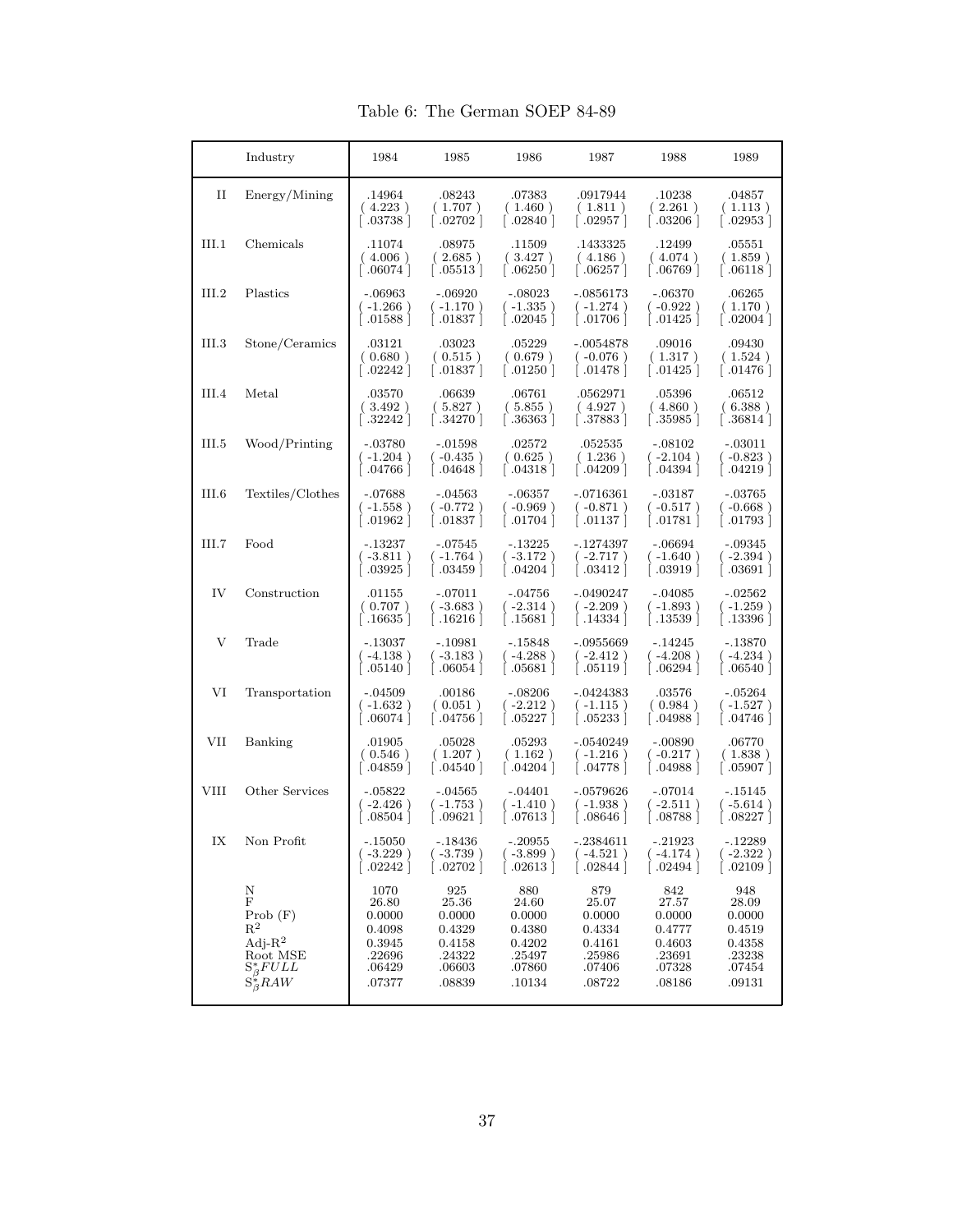Table 6: The German SOEP 84-89

|             | Industry                                                                                                           | 1984                                                                      | 1985                                                                     | 1986                                                                     | 1987                                                                     | 1988                                                                     | 1989                                                                             |
|-------------|--------------------------------------------------------------------------------------------------------------------|---------------------------------------------------------------------------|--------------------------------------------------------------------------|--------------------------------------------------------------------------|--------------------------------------------------------------------------|--------------------------------------------------------------------------|----------------------------------------------------------------------------------|
| П           | Energy/Mining                                                                                                      | .14964<br>(4.223)<br>$\mid .03738 \mid$                                   | .08243<br>(1.707)<br>$\mid .02702 \mid$                                  | .07383<br>(1.460)<br> .02840                                             | .0917944<br>(1.811)<br>$\mid .02957 \mid$                                | .10238<br>(2.261)<br>$\vert .03206 \vert$                                | .04857<br>(1.113)<br>$\mid .02953 \mid$                                          |
| III.1       | Chemicals                                                                                                          | .11074<br>(4.006)<br>  06074                                              | .08975<br>(2.685)<br>$\mid .05513 \mid$                                  | .11509<br>(.3.427)<br>$\mid .06250 \mid$                                 | .1433325<br>(4.186)<br>$\vert .06257 \vert$                              | .12499<br>(4.074)<br>  06769.                                            | .05551<br>(1.859)<br>$\vert .06118 \vert$                                        |
| III.2       | Plastics                                                                                                           | $-.06963$<br>$(-1.266)$<br>  .01588                                       | $-.06920$<br>$(-1.170)$<br>$\mid .01837 \mid$                            | $-.08023$<br>$(-1.335)$<br>$\left[ .02045 \ \right]$                     | $-.0856173$<br>$(-1.274)$<br>$\mid .01706 \mid$                          | $-.06370$<br>$(-0.922)$<br>  .01425                                      | .06265<br>(1.170)<br> .02004                                                     |
| III.3       | Stone/Ceramics                                                                                                     | .03121<br>(0.680)<br>  .02242                                             | .03023<br>(0.515)<br>$\mid .01837 \mid$                                  | .05229<br>(0.679)<br>  .01250                                            | $-.0054878$<br>$(-0.076)$<br>$\mid .01478 \mid$                          | .09016<br>(1.317)<br>$\mid .01425 \mid$                                  | .09430<br>(1.524)<br>$\vert$ .01476 $\vert$                                      |
| III.4       | Metal                                                                                                              | .03570<br>(.3.492)<br>  .32242                                            | .06639<br>(.5.827)<br>  .34270                                           | .06761<br>(.5.855)<br>  .36363                                           | .0562971<br>(4.927)<br>  .37883                                          | .05396<br>(4.860)<br>  .35985                                            | .06512<br>(6.388)<br>  36814                                                     |
| III.5       | Wood/Printing                                                                                                      | $-.03780$<br>$(-1.204)$<br>$\lceil .04766 \rceil$                         | $-.01598$<br>$(-0.435)$<br>$\lceil .04648 \rceil$                        | .02572<br>(0.625)<br>  .04318                                            | .052535<br>(1.236)<br>$\lceil .04209 \rceil$                             | $-.08102$<br>$(-2.104)$<br>  04394                                       | $-.03011$<br>$(-0.823)$<br>$\left[ .04219 \right]$                               |
| III.6       | Textiles/Clothes                                                                                                   | $-.07688$<br>$(-1.558)$<br>$.01962$                                       | $-.04563$<br>$(-0.772)$<br>$\mid .01837 \mid$                            | $-.06357$<br>$(-0.969)$<br>[ .01704 ]                                    | $-.0716361$<br>$(-0.871)$<br>  .01137                                    | $-.03187$<br>$(-0.517)$<br>  .01781                                      | $-.03765$<br>$(-0.668)$<br>$\left[ \begin{array}{c} 0.01793 \end{array} \right]$ |
| III.7       | Food                                                                                                               | $-.13237$<br>$(-3.811)$<br>$\left[ .03925 \right]$                        | $-.07545$<br>$(-1.764)$<br>$\left[ .03459 \right]$                       | $-.13225$<br>$(-3.172)$<br>$\left[ .04204 \right]$                       | $-.1274397$<br>$(-2.717)$<br>$\left[ .03412 \right]$                     | $-.06694$<br>$(-1.640)$<br>$\left[ .03919 \right]$                       | $-.09345$<br>$(-2.394)$<br>$\left[ .03691 \right]$                               |
| IV          | Construction                                                                                                       | .01155<br>(0.707)<br>$\mid .16635 \mid$                                   | $-.07011$<br>$(-3.683)$<br>$\mid .16216 \mid$                            | $-.04756$<br>$(-2.314)$<br>  .15681                                      | $-.0490247$<br>$(-2.209)$<br>  .14334                                    | $-.04085$<br>$(-1.893)$<br>  .13539                                      | $-.02562$<br>$(-1.259)$<br>[ .13396 ]                                            |
| V           | Trade                                                                                                              | $-.13037$<br>$(-4.138)$<br>$\left  .05140 \ \right $                      | - 10981<br>$(-3.183)$<br>$\mid .06054 \mid$                              | - 15848<br>$(-4.288)$<br>$0.05681$                                       | $-.0955669$<br>$(-2.412)$<br>$\mid .05119 \mid$                          | $-14245$<br>$(-4.208)$<br>$\left[ .06294\ \right]$                       | $-.13870$<br>$(-4.234)$<br>$\mid .06540 \mid$                                    |
| VI          | Transportation                                                                                                     | $-.04509$<br>$(-1.632)$<br>$\lceil .06074 \rceil$                         | .00186<br>(0.051)<br>$\mid .04756 \mid$                                  | $-.08206$<br>(-2.212 )<br>$\left[ \ \ .05227 \ \right]$                  | $-.0424383$<br>$(-1.115)$<br>$\mid .05233 \mid$                          | .03576<br>(0.984)<br>$\left[ .04988 \right]$                             | -.05264<br>$(-1.527)$<br>$\left[ .04746 \right]$                                 |
| VII         | Banking                                                                                                            | .01905<br>(0.546)<br>$\lceil .04859 \rceil$                               | .05028<br>(1.207)<br>$\lceil .04540 \rceil$                              | .05293<br>(1.162)<br>$\mid .04204 \mid$                                  | $-.0540249$<br>$(-1.216)$<br>$\vert$ .04778 $\vert$                      | $-.00890$<br>$(-0.217)$<br>  .04988                                      | .06770<br>(1.838)<br>$\mid .05907 \mid$                                          |
| <b>VIII</b> | Other Services                                                                                                     | $-.05822$<br>$(-2.426)$<br>$.08504$ ]                                     | -.04565<br>$(-1.753)$<br>$\mid .09621 \mid$                              | $-.04401$<br>$(-1.410)$<br>  .07613                                      | $-.0579626$<br>$(-1.938)$<br>$\vert$ .08646 $\vert$                      | $-.07014$<br>$(-2.511)$<br>  08788                                       | $-.15145$<br>$(-5.614)$<br>  .08227                                              |
| IX          | Non Profit                                                                                                         | -.15050<br>$-3.229$ )<br>.02242                                           | $-.18436$<br>$(-3.739)$<br>$\mid .02702 \mid$                            | $-.20955$<br>$(-3.899)$<br>$\mid .02613 \mid$                            | $-.2384611$<br>$(-4.521)$<br>$\vert$ .02844 $\vert$                      | $-.21923$<br>$(-4.174)$<br>$\mid .02494 \mid$                            | -.12289<br>$(-2.322)$<br>$\mid .02109 \mid$                                      |
|             | Ν<br>$\mathbf F$<br>Prob(F)<br>$\mathbb{R}^2$<br>Adj- $R^2$<br>Root MSE<br>$S^*_{\beta} FULL$<br>$S^*_{\beta}$ RAW | 1070<br>26.80<br>0.0000<br>0.4098<br>0.3945<br>.22696<br>.06429<br>.07377 | 925<br>25.36<br>0.0000<br>0.4329<br>0.4158<br>.24322<br>.06603<br>.08839 | 880<br>24.60<br>0.0000<br>0.4380<br>0.4202<br>.25497<br>.07860<br>.10134 | 879<br>25.07<br>0.0000<br>0.4334<br>0.4161<br>.25986<br>.07406<br>.08722 | 842<br>27.57<br>0.0000<br>0.4777<br>0.4603<br>.23691<br>.07328<br>.08186 | 948<br>28.09<br>0.0000<br>0.4519<br>0.4358<br>.23238<br>.07454<br>.09131         |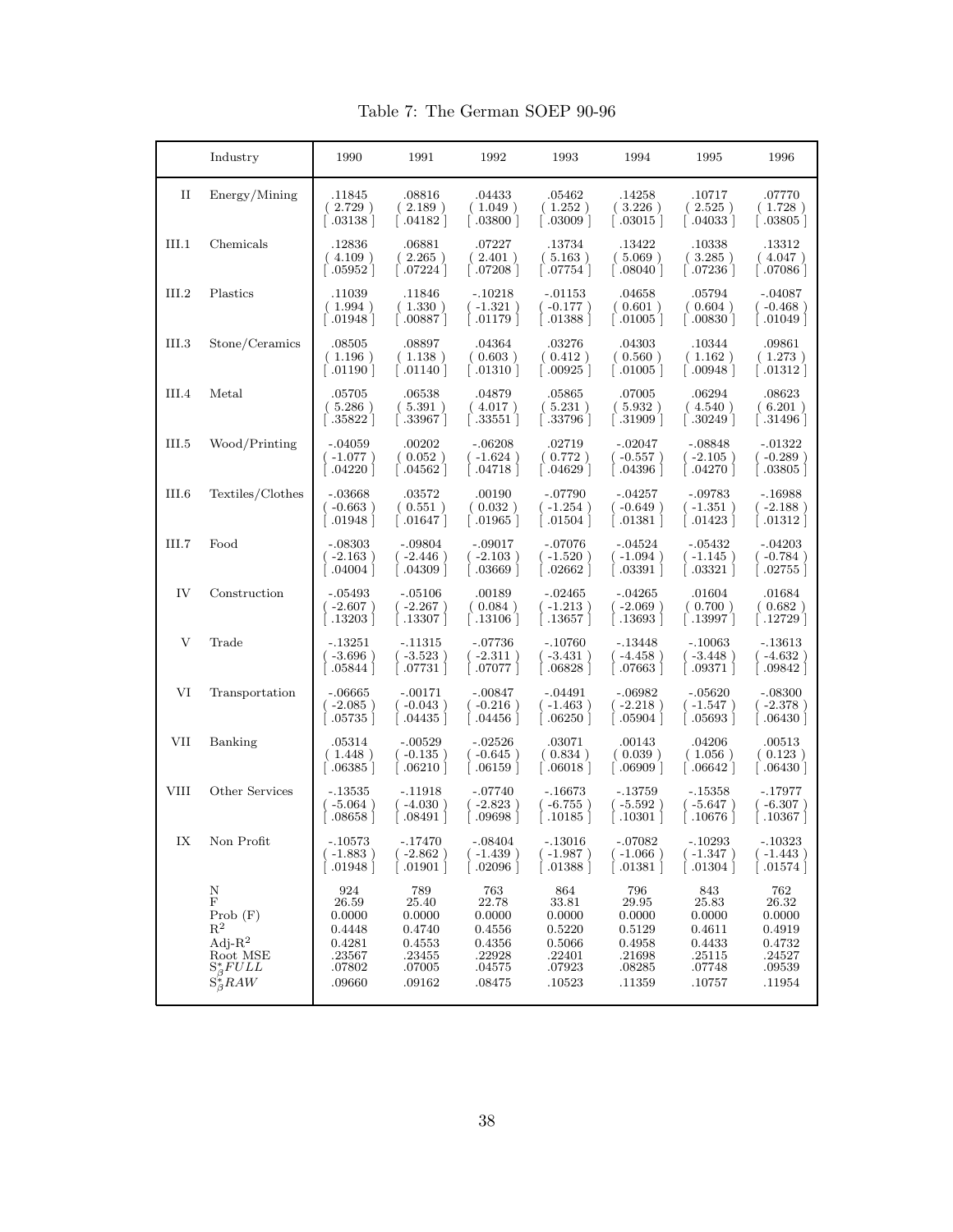Table 7: The German SOEP 90-96

|       | Industry                                                                                                     | 1990                                                                     | 1991                                                                     | 1992                                                                     | 1993                                                                     | 1994                                                                     | 1995                                                                     | 1996                                                                     |
|-------|--------------------------------------------------------------------------------------------------------------|--------------------------------------------------------------------------|--------------------------------------------------------------------------|--------------------------------------------------------------------------|--------------------------------------------------------------------------|--------------------------------------------------------------------------|--------------------------------------------------------------------------|--------------------------------------------------------------------------|
| П     | Energy/Mining                                                                                                | .11845<br>(2.729)<br>$\left[ .03138 \right]$                             | .08816<br>(2.189)<br>$\vert$ .04182 $\vert$                              | .04433<br>(1.049)<br>[ .03800 ]                                          | .05462<br>(1.252)<br>$\vert$ .03009 $\vert$                              | .14258<br>(.3.226)<br>  .03015                                           | .10717<br>(2.525)<br>$04033$                                             | .07770<br>(1.728)<br>$\mid .03805 \mid$                                  |
| III.1 | Chemicals                                                                                                    | .12836<br>(4.109)<br>$\mid .05952 \mid$                                  | .06881<br>(2.265)<br>$\lfloor .07224 \rfloor$                            | .07227<br>(2.401)<br>  07208                                             | .13734<br>(.5.163)<br>  .07754                                           | .13422<br>(5.069)<br>$\mid .08040 \mid$                                  | .10338<br>(.3.285)<br>$\mid .07236 \mid$                                 | .13312<br>(4.047)<br>  07086                                             |
| III.2 | Plastics                                                                                                     | .11039<br>(1.994)<br>$\lceil .01948 \rceil$                              | .11846<br>(1.330)<br>$\mid .00887 \mid$                                  | $-.10218$<br>(-1.321 )<br>.01179                                         | $-.01153$<br>$(-0.177)$<br>$.01388$                                      | .04658<br>(0.601)<br>$\mid .01005 \mid$                                  | .05794<br>(0.604)<br>  .00830                                            | $-.04087$<br>( -0.468 )<br>$\mid .01049 \mid$                            |
| III.3 | Stone/Ceramics                                                                                               | .08505<br>(1.196)<br> .01190                                             | .08897<br>(1.138)<br>$\vert$ .01140 $\vert$                              | .04364<br>(0.603)<br>  .01310                                            | .03276<br>(0.412)<br>$\mid .00925 \mid$                                  | .04303<br>(0.560)<br>$\mid .01005 \mid$                                  | .10344<br>(1.162)<br>00948                                               | .09861<br>(1.273)<br>  .01312                                            |
| III.4 | Metal                                                                                                        | .05705<br>(5.286)<br>  .35822                                            | .06538<br>(.5.391)<br>  .33967                                           | .04879<br>(4.017)<br>  .33551                                            | .05865<br>(.5.231)<br>  .33796                                           | .07005<br>(.5.932.)<br>  .31909                                          | .06294<br>(4.540)<br>$\mid .30249 \mid$                                  | .08623<br>(6.201)<br>  .31496                                            |
| III.5 | Wood/Printing                                                                                                | $-.04059$<br>( -1.077 )<br>$\vert .04220 \vert$                          | .00202<br>(0.052)<br>$\left[ .04562 \right]$                             | $-.06208$<br>( -1.624 )<br>  04718.                                      | .02719<br>(0.772)<br>$\mid .04629 \mid$                                  | $-.02047$<br>$(-0.557)$<br>[ .04396 ]                                    | $-.08848$<br>$(-2.105)$<br>$.04270$ $\mid$                               | $-0.01322$<br>$(-0.289)$<br>$\left[ \ \ .03805 \ \right]$                |
| III.6 | Textiles/Clothes                                                                                             | $-.03668$<br>(-0.663)<br>  01948.                                        | .03572<br>(0.551)<br>$\mid .01647 \mid$                                  | .00190<br>(0.032)<br>  .01965                                            | $-.07790$<br>$(-1.254)$<br>$.01504$                                      | $-.04257$<br>$(-0.649)$<br>$.01381$ ]                                    | $-.09783$<br>$(-1.351)$<br>.01423                                        | - 16988<br>( -2.188 )<br>$\mid .01312 \mid$                              |
| III.7 | Food                                                                                                         | $-.08303$<br>$(-2.163)$<br>$\lceil .04004 \rceil$                        | $-.09804$<br>$(-2.446)$<br>$\mid .04309 \mid$                            | $-.09017$<br>$(-2.103)$<br>  03669                                       | $-.07076$<br>$(-1.520)$<br>$\left[ .02662 \right]$                       | -.04524<br>$(-1.094)$<br>  .03391                                        | $-.05432$<br>$(-1.145)$<br>$\left[ .03321 \right]$                       | $-.04203$<br>( -0.784 )<br>$\left[ .02755 \right]$                       |
| IV    | Construction                                                                                                 | $-.05493$<br>(-2.607)<br>$\mid .13203 \mid$                              | $-.05106$<br>(-2.267)<br>  .13307                                        | .00189<br>(0.084)<br>  .13106                                            | $-.02465$<br>$(-1.213)$<br>$.13657$                                      | $-.04265$<br>$(-2.069)$<br>  .13693                                      | .01604<br>(0.700)<br>  .13997                                            | .01684<br>(0.682)<br>  12729                                             |
| V     | Trade                                                                                                        | $-.13251$<br>$(-3.696)$<br>0.05844                                       | - 11315<br>$(-3.523)$<br>.07731                                          | $-.07736$<br>( -2.311 )<br>.07077                                        | $-.10760$<br>( -3.431 )<br>.06828                                        | - 13448<br>$(-4.458)$<br>$.07663$ $\mid$                                 | $-.10063$<br>$(-3.448)$<br>.09371                                        | - 13613<br>(-4.632 )<br>$\mid .09842 \mid$                               |
| VI    | Transportation                                                                                               | -.06665<br>$(-2.085)$<br>[ .05735]                                       | $-.00171$<br>( -0.043 )<br>  .04435                                      | $-.00847$<br>$(-0.216)$<br>  .04456                                      | $-.04491$<br>$(-1.463)$<br>$\mid .06250 \mid$                            | -.06982<br>$(-2.218)$<br>  05904                                         | $-.05620$<br>( -1.547 )<br>$\left[ .05693 \ \right]$                     | $-.08300$<br>(-2.378)<br>$\left[ .06430 \right]$                         |
| VII   | Banking                                                                                                      | .05314<br>(1.448)<br>$\vert$ .06385 $\vert$                              | $-.00529$<br>( $-0.135$ )<br>$.06210$                                    | $-.02526$<br>( - $0.645$ )<br>.06159                                     | .03071<br>(0.834)<br>$\vert$ .06018 $\vert$                              | .00143<br>(0.039)<br>[ 06909 ]                                           | .04206<br>(1.056)<br>$\mid .06642 \mid$                                  | .00513<br>(0.123)<br>  06430                                             |
| VIII  | Other Services                                                                                               | $-.13535$<br>( -5.064 )<br>$\mid .08658 \mid$                            | $-.11918$<br>$(-4.030)$<br>  .08491                                      | $-.07740$<br>(-2.823)<br>  09698.                                        | $-.16673$<br>(-6.755 )<br>$.10185$                                       | - 13759<br>( -5.592 )<br>.10301                                          | $-.15358$<br>$(-5.647)$<br>$.10676$ $\mid$                               | - 17977<br>(-6.307)<br>  .10367                                          |
| IX    | Non Profit                                                                                                   | $-.10573$<br>$-1.883$ )<br>$\left[ \ \ .01948 \ \right]$                 | $-.17470$<br>$(-2.862)$<br>$\left[ .01901 \right]$                       | $-.08404$<br>$(-1.439)$<br>$\lceil .02096 \rceil$                        | $-.13016$<br>$(-1.987)$<br>$\left[ \ \ .01388 \ \right]$                 | $-.07082$<br>$(-1.066)$<br>$.01381$ ]                                    | $-.10293$<br>$(-1.347)$<br>$.01304$ ]                                    | $-.10323$<br>$(-1.443)$<br>$\left[ \ \ .01574 \ \right]$                 |
|       | Ν<br>F<br>Prob(F)<br>$\rm R^2$<br>Adj- $R^2$<br>Root MSE<br>$S^*_{\beta} FULL$<br>$S^{\tilde{*}}_{\beta}RAW$ | 924<br>26.59<br>0.0000<br>0.4448<br>0.4281<br>.23567<br>.07802<br>.09660 | 789<br>25.40<br>0.0000<br>0.4740<br>0.4553<br>.23455<br>.07005<br>.09162 | 763<br>22.78<br>0.0000<br>0.4556<br>0.4356<br>.22928<br>.04575<br>.08475 | 864<br>33.81<br>0.0000<br>0.5220<br>0.5066<br>.22401<br>.07923<br>.10523 | 796<br>29.95<br>0.0000<br>0.5129<br>0.4958<br>.21698<br>.08285<br>.11359 | 843<br>25.83<br>0.0000<br>0.4611<br>0.4433<br>.25115<br>.07748<br>.10757 | 762<br>26.32<br>0.0000<br>0.4919<br>0.4732<br>.24527<br>.09539<br>.11954 |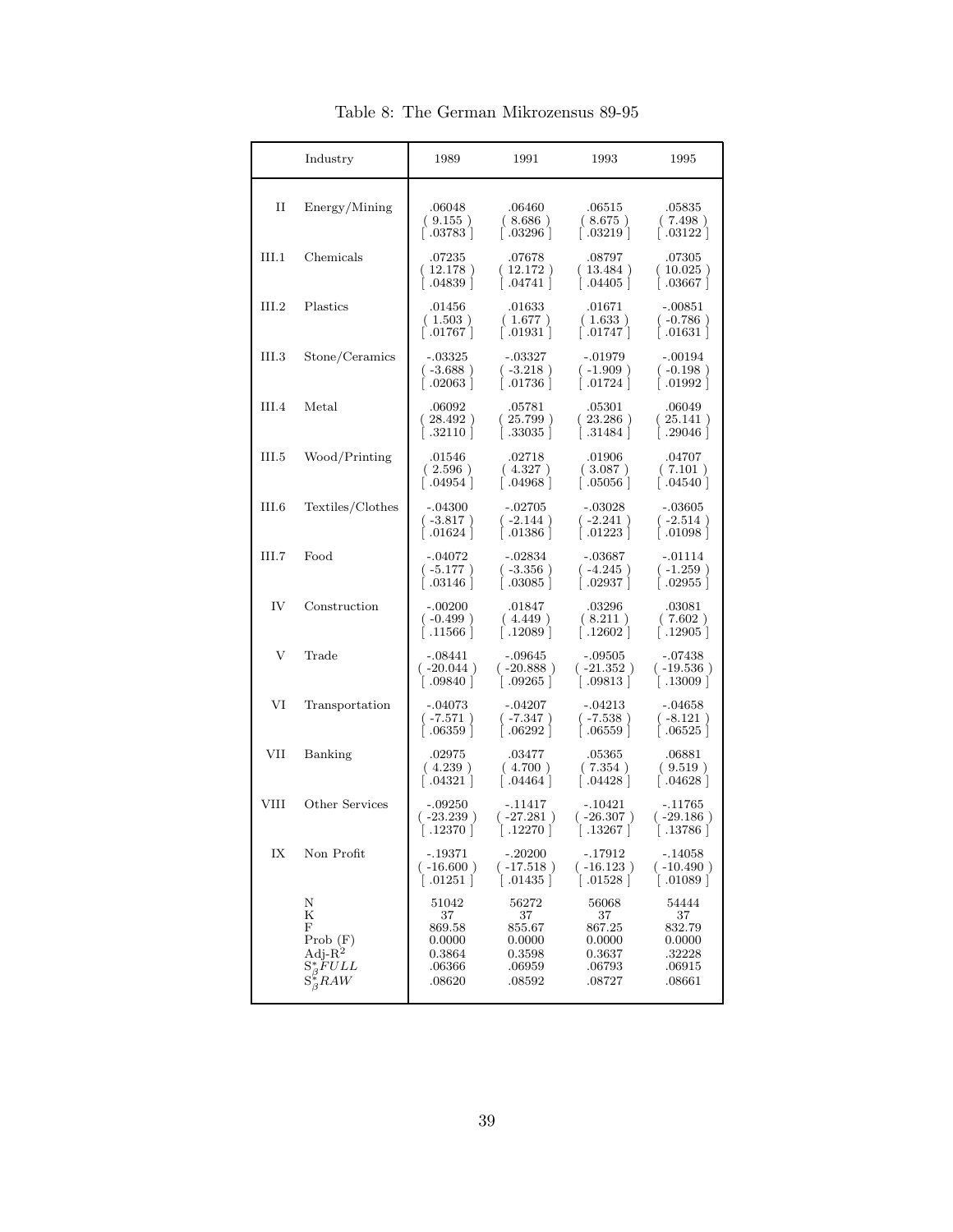|       | Industry                                                                                 | 1989                                                                      | 1991                                                          | 1993                                                          | 1995                                                          |
|-------|------------------------------------------------------------------------------------------|---------------------------------------------------------------------------|---------------------------------------------------------------|---------------------------------------------------------------|---------------------------------------------------------------|
| П     | Energy/Mining                                                                            | .06048<br>(9.155)<br>$\left[ \begin{array}{c} .03783 \end{array} \right]$ | .06460<br>(8.686)<br>$\mid .03296 \mid$                       | .06515<br>(8.675)<br>$\mid .03219 \mid$                       | .05835<br>(7.498)<br>$\mid .03122 \mid$                       |
| III.1 | Chemicals                                                                                | .07235<br>(12.178)<br>$\vert$ .04839 $\vert$                              | .07678<br>(12.172)<br> .04741                                 | .08797<br>(13.484)<br>$\vert .04405 \vert$                    | .07305<br>(10.025)<br>$\vert .03667 \vert$                    |
| III.2 | Plastics                                                                                 | .01456<br>(1.503)<br>$\vert$ .01767 $\vert$                               | .01633<br>(1.677)<br>$\lceil .01931 \rceil$                   | .01671<br>(1.633)<br>$\mid .01747 \mid$                       | $-.00851$<br>$(-0.786)$<br>$\mid .01631 \mid$                 |
| III.3 | Stone/Ceramics                                                                           | -.03325<br>$(-3.688)$<br>$\vert .02063 \vert$                             | $-.03327$<br>$(-3.218)$<br>$\lceil .01736 \rceil$             | $-.01979$<br>$(-1.909)$<br>$\mid .01724 \mid$                 | $-.00194$<br>$(-0.198)$<br>$\mid .01992 \mid$                 |
| III.4 | Metal                                                                                    | .06092<br>(28.492)<br>$\vert .32110 \vert$                                | .05781<br>(.25.799.)<br>$\vert .33035 \vert$                  | .05301<br>(23.286)<br>$\vert .31484 \vert$                    | .06049<br>(25.141)<br>  .29046                                |
| III.5 | Wood/Printing                                                                            | .01546<br>(2.596)<br>$\vert$ .04954 $\vert$                               | .02718<br>(4.327)<br>$\vert$ .04968 $\vert$                   | .01906<br>(3.087)<br>$\vert$ .05056 $\vert$                   | .04707<br>(7.101)<br>$\mid .04540 \mid$                       |
| III.6 | Textiles/Clothes                                                                         | $-.04300$<br>$(-3.817)$<br>$\vert$ .01624 $\vert$                         | $-.02705$<br>$(-2.144)$<br>$\left[ .01386 \right]$            | $-.03028$<br>$(-2.241)$<br>$\left[ .01223 \right]$            | $-.03605$<br>$(-2.514)$<br>$\lceil .01098 \rceil$             |
| III.7 | Food                                                                                     | $-.04072$<br>$(-5.177)$<br>$\lceil .03146 \rceil$                         | $-.02834$<br>$(-3.356)$<br>$\vert .03085 \vert$               | - 03687<br>$(-4.245)$<br>$\left[ .02937 \right]$              | $-.01114$<br>$(-1.259)$<br>$\vert$ .02955 $\vert$             |
| IV    | Construction                                                                             | $-.00200$<br>$(-0.499)$<br>$\lceil .11566 \rceil$                         | .01847<br>(4.449)<br>$\vert$ .12089 $\vert$                   | .03296<br>(8.211)<br>$\vert$ .12602 $\vert$                   | .03081<br>(7.602)<br>$\mid .12905 \mid$                       |
| V     | Trade                                                                                    | -.08441<br>$(-20.044)$<br>$\left[ .09840 \right]$                         | $-.09645$<br>$(-20.888)$<br>$\vert .09265 \vert$              | -.09505<br>$(-21.352)$<br>$\left[ .09813 \right]$             | -.07438<br>$(-19.536)$<br>$\lceil .13009 \rceil$              |
| VI    | Transportation                                                                           | $-.04073$<br>$(-7.571)$<br>$\vert$ .06359 $\vert$                         | $-.04207$<br>( -7.347 )<br>$\vert$ .06292 $\vert$             | $-.04213$<br>(-7.538)<br> .06559                              | $-.04658$<br>$(-8.121)$<br>$\vert .06525 \vert$               |
| VII   | Banking                                                                                  | .02975<br>(4.239)<br>$\left[ .04321 \right]$                              | .03477<br>(4.700)<br>$\mid .04464 \mid$                       | .05365<br>(7.354)<br>$\vert .04428 \vert$                     | .06881<br>(9.519)<br>$\vert .04628 \vert$                     |
| VIII  | Other Services                                                                           | -.09250<br>(-23.239 )<br>$\left[ .12370 \ \right]$                        | -.11417<br>$(-27.281)$<br>$\lceil .12270 \rceil$              | - 10421<br>$(-26.307)$<br>$\left[ \ \ .13267 \ \right]$       | - 11765<br>$(-29.186)$<br>  .13786                            |
| IX    | Non Profit                                                                               | - 19371<br>$( -16.600 )$<br>  $.01251$                                    | $-.20200$<br>(.17.518)<br>$\vert$ .01435 $\vert$              | - 17912<br>$(-16.123)$<br>$\vert$ .01528 $\vert$              | -.14058<br>$(-10.490)$<br>$\vert$ .01089 $\vert$              |
|       | Ν<br>Κ<br>F<br>Prob(F)<br>Adj- $R^2$<br>$S^*_{\beta} FULL$<br>$S^{\tilde{*}}_{\beta}RAW$ | 51042<br>37<br>869.58<br>0.0000<br>0.3864<br>.06366<br>.08620             | 56272<br>37<br>855.67<br>0.0000<br>0.3598<br>.06959<br>.08592 | 56068<br>37<br>867.25<br>0.0000<br>0.3637<br>.06793<br>.08727 | 54444<br>37<br>832.79<br>0.0000<br>.32228<br>.06915<br>.08661 |

Table 8: The German Mikrozensus 89-95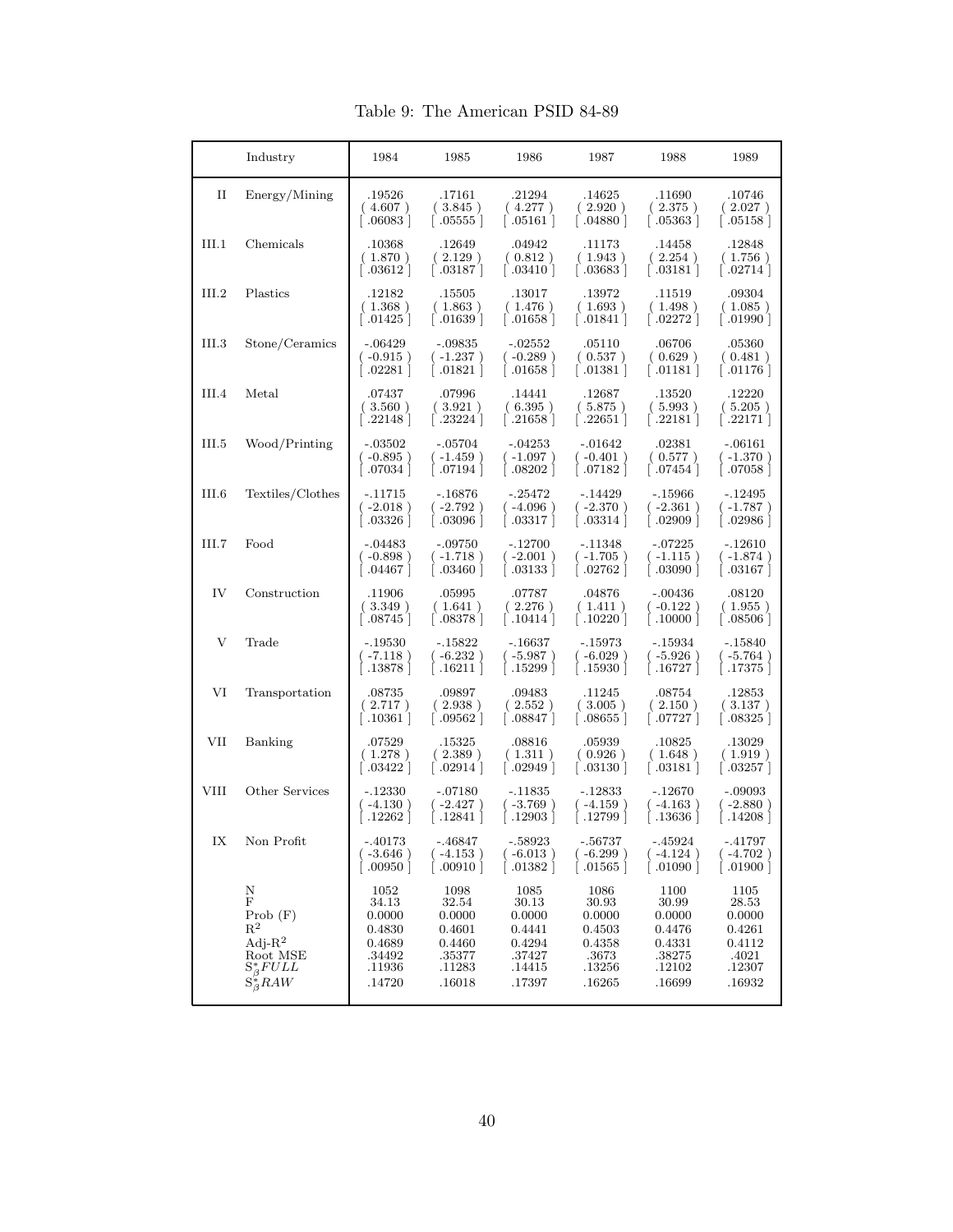Table 9: The American PSID 84-89

|       | Industry                                                                                                          | 1984                                                                      | 1985                                                                      | 1986                                                                      | 1987                                                                     | 1988                                                                      | 1989                                                                     |
|-------|-------------------------------------------------------------------------------------------------------------------|---------------------------------------------------------------------------|---------------------------------------------------------------------------|---------------------------------------------------------------------------|--------------------------------------------------------------------------|---------------------------------------------------------------------------|--------------------------------------------------------------------------|
| П     | Energy/Mining                                                                                                     | .19526<br>(4.607)<br>$\left[ \ \ .06083 \ \right]$                        | .17161<br>(.3.845)<br>$\vert$ .05555 $\vert$                              | .21294<br>(4.277)<br>$\vert$ .05161 $\vert$                               | .14625<br>(2.920)<br>$\lceil .04880 \rceil$                              | .11690<br>(2.375)<br>$\mid .05363 \mid$                                   | .10746<br>(2.027)<br>$\vert$ .05158 $\vert$                              |
| III.1 | Chemicals                                                                                                         | .10368<br>(1.870)<br>$\left[ .03612 \right]$                              | .12649<br>(2.129)<br>$\vert .03187 \vert$                                 | .04942<br>(0.812)<br>  .03410                                             | .11173<br>(1.943)<br>$\vert .03683 \vert$                                | .14458<br>(2.254)<br>$\vert$ .03181 $\vert$                               | .12848<br>(1.756)<br>$\mid .02714 \mid$                                  |
| III.2 | Plastics                                                                                                          | .12182<br>(1.368)<br>$\mid .01425 \mid$                                   | .15505<br>(1.863)<br>$\vert$ .01639 $\vert$                               | .13017<br>(1.476)<br>$\mid .01658 \mid$                                   | .13972<br>(1.693)<br> .01841                                             | .11519<br>(1.498)<br>$\mid .02272 \mid$                                   | .09304<br>(1.085)<br>$\mid .01990 \mid$                                  |
| III.3 | Stone/Ceramics                                                                                                    | $-.06429$<br>$(-0.915)$<br>$.02281$ ]                                     | $-.09835$<br>$(-1.237)$<br>  .01821                                       | $-.02552$<br>$(-0.289)$<br>$\left[ \ \ .01658 \ \right]$                  | .05110<br>(0.537)<br>$\mid .01381 \mid$                                  | .06706<br>(0.629)<br>  .01181                                             | .05360<br>(0.481)<br>$\mid .01176 \mid$                                  |
| III.4 | Metal                                                                                                             | .07437<br>(.3.560)<br>$\mid .22148 \mid$                                  | .07996<br>(.3.921)<br>$\vert .23224 \vert$                                | .14441<br>(6.395)<br>  .21658 $\vert$                                     | .12687<br>(.5.875)<br>  .22651                                           | .13520<br>(.5.993.)<br>$\vert .22181 \vert$                               | .12220<br>(.5.205.)<br>$\mid .22171 \mid$                                |
| III.5 | Wood/Printing                                                                                                     | $-.03502$<br>$(-0.895)$<br>  07034                                        | $-.05704$<br>$(-1.459)$<br>$\vert$ .07194 $\vert$                         | $-.04253$<br>( -1.097 )<br>$\mid .08202 \mid$                             | $-.01642$<br>$(-0.401)$<br>$\vert .07182 \vert$                          | .02381<br>(0.577)<br>$\mid .07454 \mid$                                   | $-.06161$<br>$(-1.370)$<br>  .07058                                      |
| III.6 | Textiles/Clothes                                                                                                  | -.11715<br>$(-2.018)$<br>[ .03326 ]                                       | - 16876<br>$(-2.792)$<br>$\lceil .03096 \rceil$                           | $-.25472$<br>$(-4.096)$<br>[ .03317 ]                                     | -.14429<br>$(-2.370)$<br>$\mid .03314 \mid$                              | $-.15966$<br>$(-2.361)$<br>$\mid .02909 \mid$                             | $-.12495$<br>( -1.787 )<br>$\mid .02986 \mid$                            |
| III.7 | Food                                                                                                              | -.04483<br>$(-0.898)$<br>$\lceil .04467 \rceil$                           | $-.09750$<br>$(-1.718)$<br>$\lceil .03460 \rceil$                         | $-.12700$<br>$(-2.001)$<br>$\left[ \ \ .03133 \ \right]$                  | -.11348<br>$(-1.705)$<br>$\left[ .02762 \right]$                         | $-.07225$<br>$(-1.115)$<br>$\lceil .03090 \rceil$                         | -.12610<br>$(-1.874)$<br>$\mid .03167 \mid$                              |
| IV    | Construction                                                                                                      | .11906<br>(.3.349)<br>$\vert$ .08745 $\vert$                              | .05995<br>(1.641)<br>  .08378                                             | .07787<br>(2.276)<br>$\vert .10414 \vert$                                 | .04876<br>(1.411)<br>$\vert .10220 \vert$                                | $-.00436$<br>$(-0.122)$<br>$\lceil .10000 \rceil$                         | .08120<br>(1.955)<br>$\vert$ .08506 $\vert$                              |
| V     | Trade                                                                                                             | - 19530<br>( -7.118 )<br>.13878 ]                                         | $-.15822$<br>$(-6.232)$<br>$.16211$                                       | $-.16637$<br>(-5.987)<br>  .15299                                         | - 15973<br>$(-6.029)$<br>  .15930                                        | $-.15934$<br>$(-5.926)$<br>$\mid .16727 \mid$                             | $-.15840$<br>$(-5.764)$<br>  .17375                                      |
| VI    | Transportation                                                                                                    | .08735<br>(2.717)<br>$[.10361]$                                           | .09897<br>(2.938)<br>$\left[ .09562 \right]$                              | .09483<br>(2.552)<br>$\vert$ .08847 $\vert$                               | .11245<br>(3.005)<br>[.08655]                                            | .08754<br>(2.150)<br>$\left[ .07727 \right]$                              | .12853<br>(.3.137)<br>$\vert$ .08325 $\vert$                             |
| VII   | Banking                                                                                                           | .07529<br>(1.278)<br>$\left[ .03422 \right]$                              | .15325<br>(2.389)<br>$\vert .02914 \vert$                                 | .08816<br>(1.311)<br> .02949                                              | .05939<br>(0.926)<br>  .03130                                            | .10825<br>(1.648)<br>$\left[ .03181 \right]$                              | .13029<br>(1.919)<br>$\mid .03257 \mid$                                  |
| VIII  | Other Services                                                                                                    | $-.12330$<br>( -4.130 )<br>$.12262$                                       | $-.07180$<br>$(-2.427)$<br>.12841                                         | $-.11835$<br>(-3.769)<br>$\left[ \ \ .12903 \ \right]$                    | - 12833<br>$(-4.159)$<br>  12799                                         | $-.12670$<br>$(-4.163)$<br>[ .13636 ]                                     | -.09093<br>$(-2.880)$<br>  14208                                         |
| IX    | Non Profit                                                                                                        | $-.40173$<br>$-3.646$ )<br>$.00950$                                       | -.46847<br>$(-4.153)$<br>$\lceil .00910 \rceil$                           | - 58923<br>$(-6.013)$<br>$\left[ .01382 \right]$                          | -.56737<br>$(-6.299)$<br>$\lceil .01565 \rceil$                          | $-.45924$<br>$(-4.124)$<br>$\lceil .01090 \rceil$                         | -.41797<br>$(-4.702)$<br>$\lceil .01900 \rceil$                          |
|       | Ν<br>F<br>Prob(F)<br>$\mathrm{R}^2$<br>Adj- $R^2$<br>Root MSE<br>$S^*_{\beta} FULL$<br>$S^{\tilde{*}}_{\beta}RAW$ | 1052<br>34.13<br>0.0000<br>0.4830<br>0.4689<br>.34492<br>.11936<br>.14720 | 1098<br>32.54<br>0.0000<br>0.4601<br>0.4460<br>.35377<br>.11283<br>.16018 | 1085<br>30.13<br>0.0000<br>0.4441<br>0.4294<br>.37427<br>.14415<br>.17397 | 1086<br>30.93<br>0.0000<br>0.4503<br>0.4358<br>.3673<br>.13256<br>.16265 | 1100<br>30.99<br>0.0000<br>0.4476<br>0.4331<br>.38275<br>.12102<br>.16699 | 1105<br>28.53<br>0.0000<br>0.4261<br>0.4112<br>.4021<br>.12307<br>.16932 |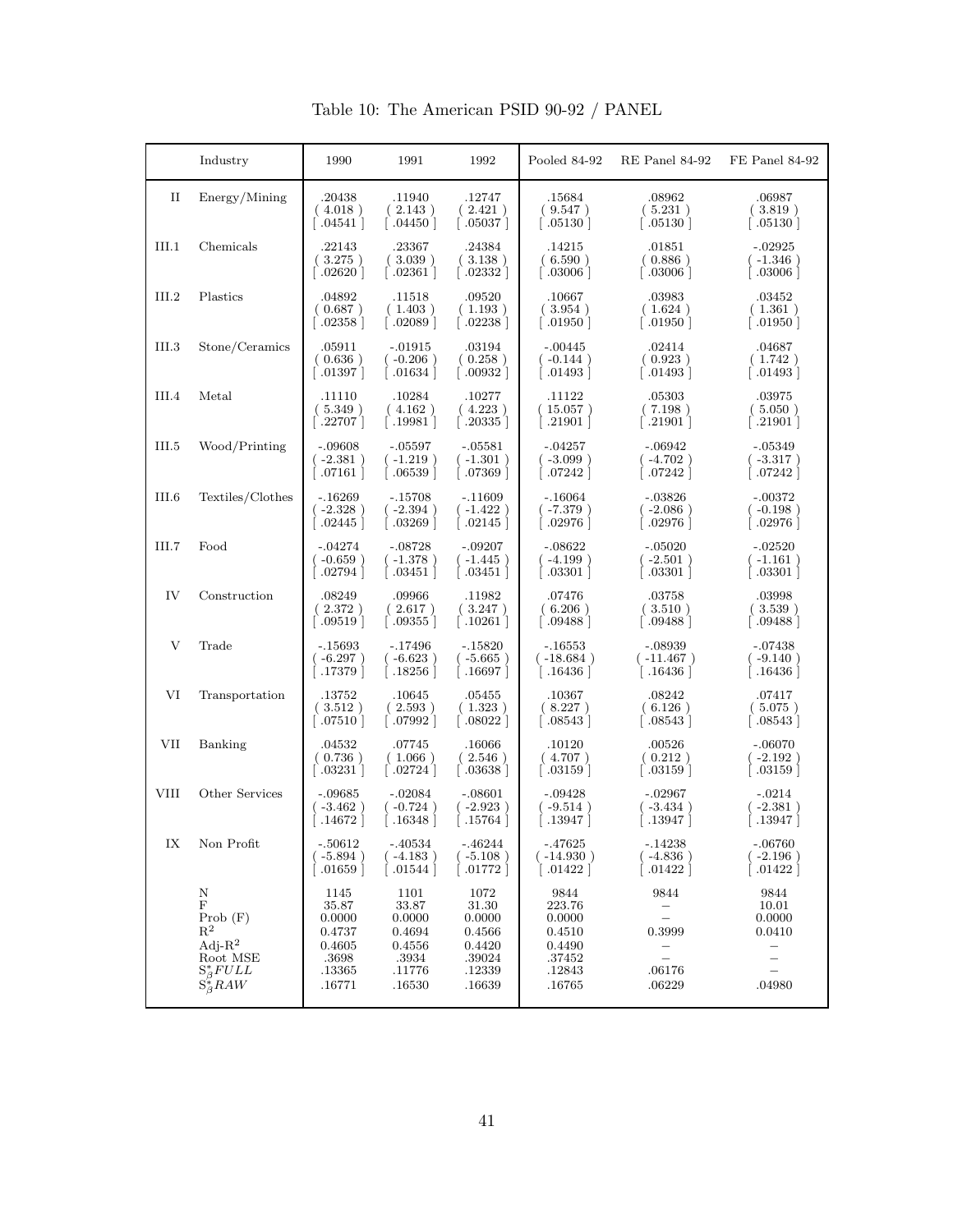|             | Industry                                                                                               | 1990                                                                     | 1991                                                                     | 1992                                                                      | Pooled 84-92                                                               | RE Panel 84-92                                                                  | FE Panel 84-92                                                                                                                  |
|-------------|--------------------------------------------------------------------------------------------------------|--------------------------------------------------------------------------|--------------------------------------------------------------------------|---------------------------------------------------------------------------|----------------------------------------------------------------------------|---------------------------------------------------------------------------------|---------------------------------------------------------------------------------------------------------------------------------|
| П           | Energy/Mining                                                                                          | .20438<br>(4.018)<br>$\vert .04541 \vert$                                | .11940<br>(2.143)<br>$\vert .04450 \vert$                                | .12747<br>(2.421)<br>  .05037                                             | .15684<br>(9.547)<br>$\left[ .05130 \ \right]$                             | .08962<br>(.5.231)<br>$\mid .05130 \mid$                                        | .06987<br>(.3.819)<br>  .05130                                                                                                  |
| III.1       | Chemicals                                                                                              | .22143<br>(.3.275)<br> .02620                                            | .23367<br>(3.039)<br>$\mid .02361 \mid$                                  | .24384<br>(.3.138)<br>  .02332                                            | .14215<br>(6.590)<br>$\mid .03006 \mid$                                    | .01851<br>(0.886)<br> .03006                                                    | $-.02925$<br>$(-1.346)$<br>$.03006$ $ $                                                                                         |
| III.2       | Plastics                                                                                               | .04892<br>(0.687)<br>$\mid .02358 \mid$                                  | .11518<br>(1.403)<br>$\lceil .02089 \rceil$                              | .09520<br>(1.193)<br>  02238                                              | .10667<br>(3.954)<br>$\mid .01950 \mid$                                    | .03983<br>(1.624)<br>$\mid .01950 \mid$                                         | .03452<br>(1.361)<br>  .01950                                                                                                   |
| III.3       | Stone/Ceramics                                                                                         | .05911<br>(0.636)<br>  .01397                                            | $-.01915$<br>$(-0.206)$<br>$\mid .01634 \mid$                            | .03194<br>(0.258)<br>$\mid .00932 \mid$                                   | $-.00445$<br>$(-0.144)$<br>$\mid .01493 \mid$                              | .02414<br>(0.923)<br>$\mid .01493 \mid$                                         | .04687<br>(1.742)<br>  .01493                                                                                                   |
| III.4       | Metal                                                                                                  | .11110<br>(.5.349)<br>  .22707                                           | .10284<br>(4.162)<br>  19981                                             | .10277<br>(4.223)<br>  .20335                                             | .11122<br>15.057)<br>.21901                                                | .05303<br>(7.198)<br>$\mid .21901 \rceil$                                       | .03975<br>(.5.050.)<br>.21901                                                                                                   |
| III.5       | Wood/Printing                                                                                          | $-.09608$<br>$-2.381$ )<br>.07161                                        | $-.05597$<br>$(-1.219)$<br>$.06539$ $ $                                  | $-.05581$<br>$(-1.301)$<br>.07369                                         | $-.04257$<br>(-3.099 )<br>.07242                                           | $-.06942$<br>$(-4.702)$<br>$\left[ \ \ .07242 \ \right]$                        | -.05349<br>(-3.317)<br>.07242                                                                                                   |
| III.6       | Textiles/Clothes                                                                                       | $-.16269$<br>$(-2.328)$<br>.02445 ]                                      | $-.15708$<br>$(-2.394)$<br>  03269                                       | -.11609<br>$(-1.422)$<br>.02145                                           | $-.16064$<br>(-7.379 )<br>.02976 ]                                         | $-.03826$<br>$(-2.086)$<br>$\left[ \begin{array}{c} 0.2976 \end{array} \right]$ | $-.00372$<br>( -0.198 )<br>$.02976$ $\mid$                                                                                      |
| III.7       | Food                                                                                                   | $-.04274$<br>$(-0.659)$<br>$.02794$ ]                                    | $-.08728$<br>( -1.378 )<br>[ .03451 ]                                    | $-.09207$<br>$(-1.445)$<br>0.3451                                         | $-.08622$<br>$(-4.199)$<br>$.03301$                                        | $-.05020$<br>$(-2.501)$<br>$\left[ \ \ .03301 \ \right]$                        | $-.02520$<br>$(-1.161)$<br>.03301                                                                                               |
| IV          | Construction                                                                                           | .08249<br>(2.372)<br>.09519                                              | .09966<br>(2.617)<br>  .09355                                            | .11982<br>(.3.247)<br>$\mid .10261 \mid$                                  | .07476<br>(6.206)<br>$\vert$ .09488 $\vert$                                | .03758<br>(.3.510)<br>$\vert$ .09488 $\vert$                                    | .03998<br>(.3.539)<br>$\mid .09488 \mid$                                                                                        |
| V           | Trade                                                                                                  | - 15693<br>$(-6.297)$<br>.17379                                          | $-.17496$<br>$(-6.623)$<br>$\mid .18256 \mid$                            | $-.15820$<br>$(-5.665)$<br>.16697                                         | $-.16553$<br>(.18.684)<br>$.16436$                                         | $-.08939$<br>$(-11.467)$<br>$\mid .16436 \mid$                                  | $-.07438$<br>$(-9.140)$<br>.16436                                                                                               |
| VI          | Transportation                                                                                         | .13752<br>(.3.512)<br>  .07510                                           | .10645<br>(2.593)<br>$\mid .07992 \mid$                                  | .05455<br>(1.323)<br>$\vert$ .08022 $\vert$                               | .10367<br>(8.227)<br> .08543                                               | .08242<br>(6.126)<br>$\left[ .08543 \right]$                                    | .07417<br>(.5.075)<br>  .08543                                                                                                  |
| VII         | Banking                                                                                                | .04532<br>(0.736)<br>$\left[ .03231 \right]$                             | .07745<br>(1.066)<br>$\mid .02724 \mid$                                  | .16066<br>(2.546)<br>  .03638                                             | .10120<br>(4.707)<br>$\mid .03159 \mid$                                    | .00526<br>(0.212)<br>$\mid .03159 \mid$                                         | $-.06070$<br>$(-2.192)$<br>  .03159                                                                                             |
| <b>VIII</b> | Other Services                                                                                         | $-.09685$<br>(-3.462 )<br>.14672                                         | $-.02084$<br>$(-0.724)$<br>  16348                                       | $-.08601$<br>(-2.923)<br>$\mid .15764 \mid$                               | $-.09428$<br>( -9.514 )<br>.13947                                          | $-.02967$<br>(-3.434 )<br>.13947                                                | $-.0214$<br>(-2.381 )<br>.13947                                                                                                 |
| ${\it IX}$  | Non Profit                                                                                             | $-.50612$<br>$-5.894$ )<br>.01659                                        | -.40534<br>( -4.183 )<br>.01544                                          | -.46244<br>$-5.108$ )<br>.01772                                           | $-.47625$<br>$(-14.930)$<br>.01422                                         | -.14238<br>$-4.836$ )<br>.01422                                                 | $-.06760$<br>$-2.196$ )<br>.01422                                                                                               |
|             | Ν<br>F<br>Prob(F)<br>$R^2$<br>Adj- $R^2$<br>Root MSE<br>$S^*_{\beta}$ FULL<br>$S^*_{\beta}$ <i>RAW</i> | 1145<br>35.87<br>0.0000<br>0.4737<br>0.4605<br>.3698<br>.13365<br>.16771 | 1101<br>33.87<br>0.0000<br>0.4694<br>0.4556<br>.3934<br>.11776<br>.16530 | 1072<br>31.30<br>0.0000<br>0.4566<br>0.4420<br>.39024<br>.12339<br>.16639 | 9844<br>223.76<br>0.0000<br>0.4510<br>0.4490<br>.37452<br>.12843<br>.16765 | 9844<br>$\overline{\phantom{0}}$<br>0.3999<br>.06176<br>.06229                  | 9844<br>10.01<br>0.0000<br>0.0410<br>$\overline{\phantom{0}}$<br>$\overline{\phantom{0}}$<br>$\overline{\phantom{m}}$<br>.04980 |

Table 10: The American PSID 90-92 / PANEL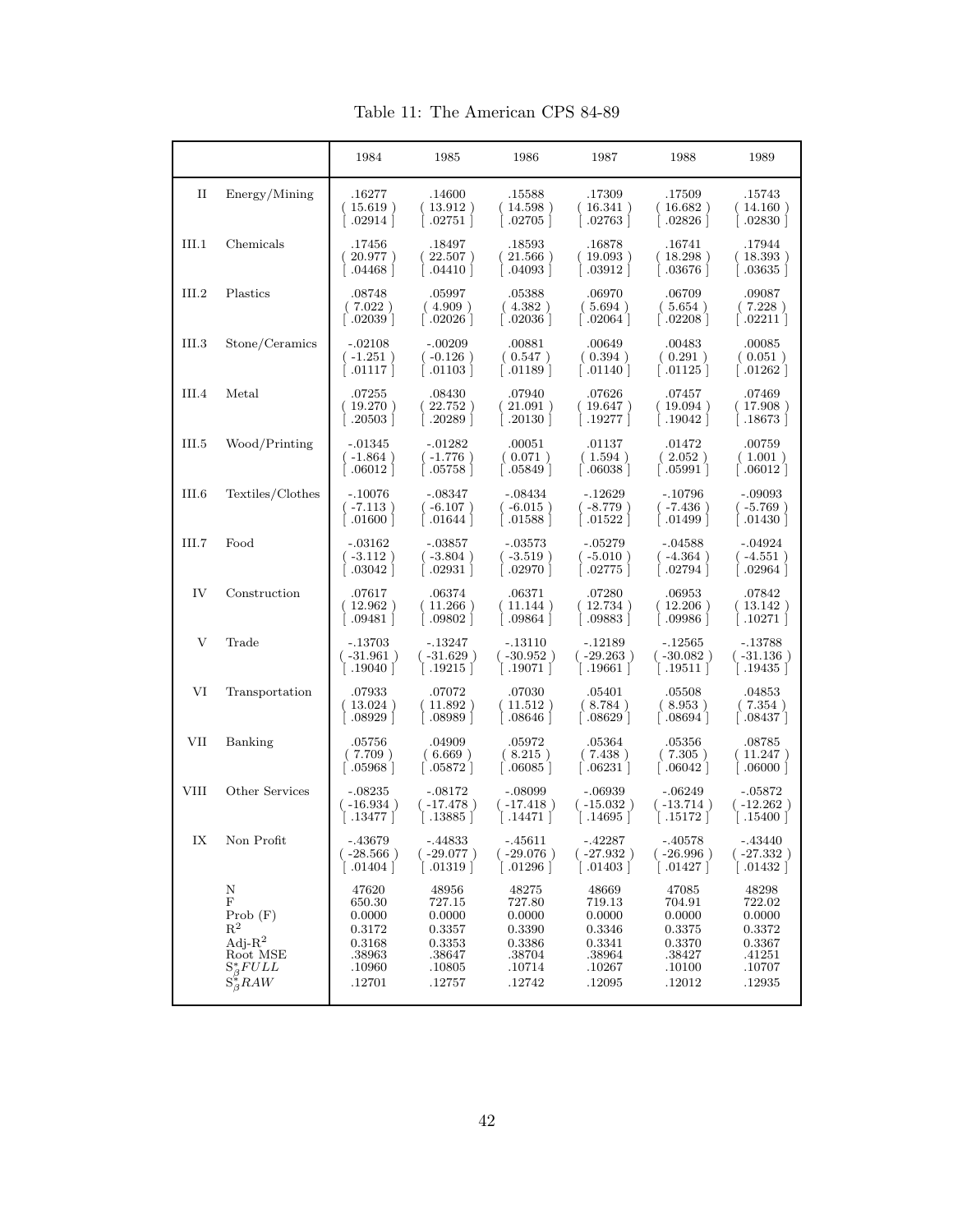Table 11: The American CPS 84-89

|       |                                                                                                          | 1984                                                                        | 1985                                                                        | 1986                                                                        | 1987                                                                        | 1988                                                                        | 1989                                                                        |
|-------|----------------------------------------------------------------------------------------------------------|-----------------------------------------------------------------------------|-----------------------------------------------------------------------------|-----------------------------------------------------------------------------|-----------------------------------------------------------------------------|-----------------------------------------------------------------------------|-----------------------------------------------------------------------------|
| П     | Energy/Mining                                                                                            | .16277<br>(15.619)<br>.02914                                                | .14600<br>13.912)<br>$.02751$                                               | .15588<br>(14.598)<br>.02705                                                | .17309<br>(16.341)<br>.02763                                                | .17509<br>16.682)<br>.02826                                                 | .15743<br>(14.160)<br>$.02830$                                              |
| III.1 | Chemicals                                                                                                | .17456<br>20.977)<br>$\vert .04468 \vert$                                   | .18497<br>$22.507$ )<br>$.04410$ ]                                          | .18593<br>21.566)<br>.04093                                                 | .16878<br>(19.093)<br>$\left[ .03912 \right]$                               | .16741<br>$18.298$ )<br>.03676                                              | .17944<br>(18.393)<br>$.03635$                                              |
| III.2 | Plastics                                                                                                 | .08748<br>(7.022)<br>$\vert$ .02039 $\vert$                                 | .05997<br>(4.909)<br>$\lceil .02026 \rceil$                                 | .05388<br>(4.382)<br>$\mid .02036 \mid$                                     | .06970<br>(5.694)<br>$\vert .02064 \vert$                                   | .06709<br>(.5.654)<br>$\mid .02208 \mid$                                    | .09087<br>(7.228)<br>$\left[ .02211 \right]$                                |
| III.3 | Stone/Ceramics                                                                                           | $-.02108$<br>$(-1.251)$<br>$\left[ \ \ .01117 \ \right]$                    | $-.00209$<br>$(-0.126)$<br>$.01103$ $\mid$                                  | .00881<br>(0.547)<br>$\vert$ .01189 $\vert$                                 | .00649<br>(0.394)<br> .01140                                                | .00483<br>(0.291)<br>$\mid .01125 \mid$                                     | .00085<br>(0.051)<br>$\mid .01262 \mid$                                     |
| III.4 | Metal                                                                                                    | .07255<br>(19.270)<br>$\mid .20503 \mid$                                    | .08430<br>22.752)<br>$\left[ .20289 \right]$                                | .07940<br>21.091)<br>$.20130$ ]                                             | .07626<br>(19.647)<br>  .19277                                              | .07457<br>(19.094)<br>$.19042$                                              | .07469<br>(17.908)<br>.18673                                                |
| III.5 | Wood/Printing                                                                                            | $-.01345$<br>$(-1.864)$<br>$\vert .06012 \vert$                             | $-0.01282$<br>$(-1.776)$<br>[ .05758 ]                                      | .00051<br>(0.071)<br>$\vert .05849 \vert$                                   | .01137<br>(1.594)<br>$\vert$ .06038 $\vert$                                 | .01472<br>(2.052)<br>$\mid .05991 \mid$                                     | .00759<br>(1.001)<br>$\vert .06012 \vert$                                   |
| III.6 | Textiles/Clothes                                                                                         | -.10076<br>$(-7.113)$<br>$\mid .01600 \mid$                                 | -.08347<br>$(-6.107)$<br>.01644                                             | $-.08434$<br>$(-6.015)$<br>$\left[ \ \ .01588\ \right]$                     | $-.12629$<br>$(-8.779)$<br>$\left[ .01522 \ \right]$                        | $-.10796$<br>( -7.436 )<br>.01499                                           | $-.09093$<br>( -5.769 )<br>  .01430                                         |
| III.7 | Food                                                                                                     | $-.03162$<br>$(-3.112)$<br>$\vert .03042 \vert$                             | -.03857<br>$(-3.804)$<br>$\left[ .02931 \right]$                            | - 03573<br>$(-3.519)$<br>$\mid .02970 \mid$                                 | $-.05279$<br>$(-5.010)$<br>$\vert .02775 \vert$                             | -.04588<br>$(-4.364)$<br>$\left[ .02794 \right]$                            | -.04924<br>$(-4.551)$<br>$\lceil .02964 \rceil$                             |
| IV    | Construction                                                                                             | .07617<br>(12.962)<br>  .09481                                              | .06374<br>$11.266$ )<br>.09802                                              | .06371<br>11.144)<br>$.09864$                                               | .07280<br>(12.734)<br>  .09883                                              | .06953<br>$12.206$ )<br>$.09986$                                            | .07842<br>13.142)<br>$.10271$                                               |
| V     | Trade                                                                                                    | $-.13703$<br>$(-31.961)$<br>$\lceil .19040 \rceil$                          | $-.13247$<br>$(-31.629)$<br>.19215                                          | $-.13110$<br>$(-30.952)$<br>  .19071                                        | - 12189<br>$(-29.263)$<br>[ .19661 ]                                        | $-.12565$<br>$(-30.082)$<br>.19511                                          | - 13788<br>$(-31.136)$<br>$\vert$ .19435 $\vert$                            |
| VI    | Transportation                                                                                           | .07933<br>(13.024)<br>$\left[ .08929 \right]$                               | .07072<br>(11.892)<br>$\left[ .08989 \right]$                               | .07030<br>(11.512)<br>.08646                                                | .05401<br>(8.784)<br>$\left[ .08629 \right]$                                | .05508<br>(8.953)<br> .08694                                                | .04853<br>(7.354)<br>  .08437                                               |
| VII   | Banking                                                                                                  | .05756<br>(7.709)<br>$\vert$ .05968 $\vert$                                 | .04909<br>(6.669)<br>$\vert$ .05872 $\vert$                                 | .05972<br>(.8.215)<br>$\lceil .06085 \rceil$                                | .05364<br>(7.438)<br>$\vert .06231 \vert$                                   | .05356<br>(.7.305.)<br>$\mid .06042 \mid$                                   | .08785<br>11.247)<br>$.06000$                                               |
| VIII  | Other Services                                                                                           | $-.08235$<br>$(-16.934)$<br>[ .13477 ]                                      | $-.08172$<br>( -17.478 )<br>$.13885$                                        | $-.08099$<br>$(-17.418)$<br>$\lceil .14471 \rceil$                          | -.06939<br>$(-15.032)$<br>  $.14695$                                        | $-.06249$<br>( -13.714 )<br>[ .15172 ]                                      | $-.05872$<br>$(-12.262)$<br>$\vert .15400 \vert$                            |
| IX    | Non Profit                                                                                               | - 43679<br>$(-28.566)$<br>$\lceil .01404 \rceil$                            | -.44833<br>$(-29.077)$<br>.01319                                            | -.45611<br>$(-29.076)$<br>.01296                                            | -.42287<br>( -27.932 )<br>$\lceil .01403 \rceil$                            | $-.40578$<br>$(-26.996)$<br>.01427                                          | - 43440<br>$(-27.332)$<br>.01432                                            |
|       | Ν<br>F<br>Prob(F)<br>$\mathbb{R}^2$<br>Adj- $R^2$<br>Root MSE<br>$S^*_{\beta} FULL$<br>$S^*_{\beta}$ RAW | 47620<br>650.30<br>0.0000<br>0.3172<br>0.3168<br>.38963<br>.10960<br>.12701 | 48956<br>727.15<br>0.0000<br>0.3357<br>0.3353<br>.38647<br>.10805<br>.12757 | 48275<br>727.80<br>0.0000<br>0.3390<br>0.3386<br>.38704<br>.10714<br>.12742 | 48669<br>719.13<br>0.0000<br>0.3346<br>0.3341<br>.38964<br>.10267<br>.12095 | 47085<br>704.91<br>0.0000<br>0.3375<br>0.3370<br>.38427<br>.10100<br>.12012 | 48298<br>722.02<br>0.0000<br>0.3372<br>0.3367<br>.41251<br>.10707<br>.12935 |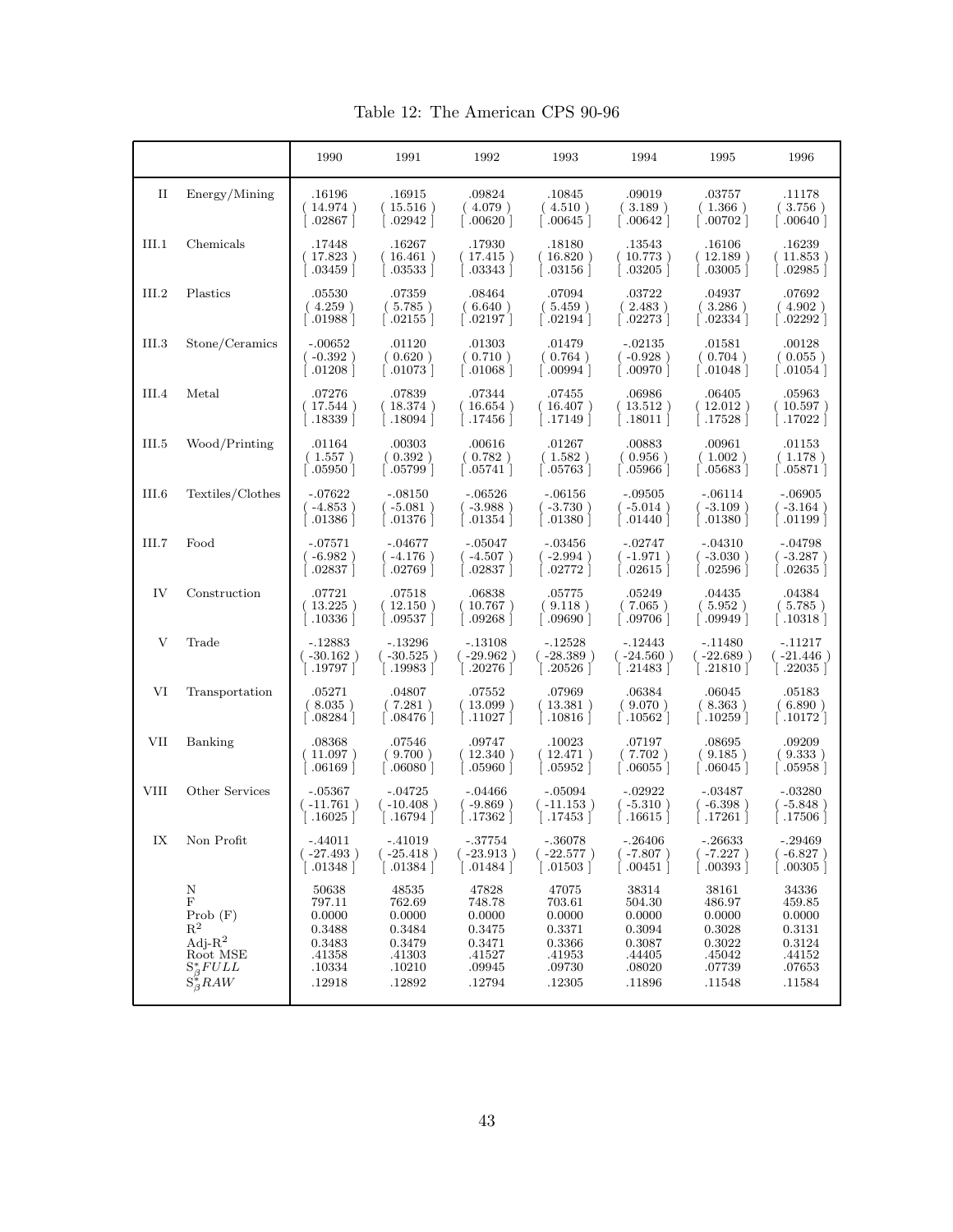Table 12: The American CPS 90-96

|       |                                                                                                | 1990                                                                        | 1991                                                                        | 1992                                                                        | 1993                                                                        | 1994                                                                          | 1995                                                                        | 1996                                                                        |
|-------|------------------------------------------------------------------------------------------------|-----------------------------------------------------------------------------|-----------------------------------------------------------------------------|-----------------------------------------------------------------------------|-----------------------------------------------------------------------------|-------------------------------------------------------------------------------|-----------------------------------------------------------------------------|-----------------------------------------------------------------------------|
| П     | Energy/Mining                                                                                  | .16196<br>14.974)<br>$.02867$                                               | .16915<br>$15.516$ )<br>.02942                                              | .09824<br>(4.079)<br>$\mid .00620 \mid$                                     | .10845<br>(4.510)<br>$\mid .00645 \mid$                                     | .09019<br>(3.189)<br>  00642                                                  | .03757<br>(1.366)<br>$\lceil .00702 \rceil$                                 | .11178<br>(.3.756)<br>$.00640$ $ $                                          |
| III.1 | Chemicals                                                                                      | .17448<br>17.823)<br>$.03459$ ]                                             | .16267<br>(16.461)<br>$\mid .03533 \mid$                                    | .17930<br>(17.415)<br>$\left[ \ \ .03343 \ \right]$                         | .18180<br>(16.820 )<br>$\left[ \ \ .03156 \ \right]$                        | .13543<br>10.773)<br>$.03205$ ]                                               | .16106<br>(12.189)<br>$.03005$ ]                                            | .16239<br>$11.853$ )<br>$.02985$ $ $                                        |
| III.2 | Plastics                                                                                       | .05530<br>(4.259)<br>$\lceil .01988 \rceil$                                 | .07359<br>(.5.785.)<br>$\lceil .02155 \rceil$                               | .08464<br>(6.640)<br>$\mid .02197 \mid$                                     | .07094<br>(5.459)<br>$\mid .02194 \mid$                                     | .03722<br>(2.483)<br>$\mid .02273 \mid$                                       | .04937<br>(.3.286)<br>$\lceil .02334 \rceil$                                | .07692<br>(4.902)<br>$\vert$ .02292 $\vert$                                 |
| III.3 | Stone/Ceramics                                                                                 | $-.00652$<br>$(-0.392)$<br>$\left[ .01208 \ \right]$                        | .01120<br>(0.620)<br>$\mid .01073 \mid$                                     | .01303<br>(0.710)<br> .01068]                                               | .01479<br>(0.764)<br>  00994                                                | $-.02135$<br>$(-0.928)$<br>$\lceil .00970 \rceil$                             | .01581<br>(0.704)<br> .01048]                                               | .00128<br>(0.055)<br>  .01054                                               |
| III.4 | Metal                                                                                          | .07276<br>17.544)<br>.18339]                                                | .07839<br>(18.374)<br>[ .18094 ]                                            | .07344<br>(16.654)<br>.17456 1                                              | .07455<br>(16.407)<br>  .17149                                              | .06986<br>13.512)<br>.18011                                                   | .06405<br>(12.012)<br>.17528                                                | .05963<br>$10.597$ )<br>.17022                                              |
| III.5 | Wood/Printing                                                                                  | .01164<br>(1.557)<br>$\mid .05950 \mid$                                     | .00303<br>(0.392)<br>$\mid .05799 \mid$                                     | .00616<br>(0.782)<br>$\mid .05741 \mid$                                     | .01267<br>(1.582)<br>$\mid .05763 \mid$                                     | .00883<br>(0.956)<br>$\mid .05966 \mid$                                       | .00961<br>(1.002)<br>$\vert$ .05683 $\vert$                                 | .01153<br>(1.178)<br>$\mid .05871 \mid$                                     |
| III.6 | Textiles/Clothes                                                                               | $-.07622$<br>( -4.853 )<br>$.01386$                                         | $-.08150$<br>$(-5.081)$<br>  .01376                                         | $-.06526$<br>( -3.988 )<br>$\left[ \ \ .01354 \ \right]$                    | $-.06156$<br>$(-3.730)$<br>  .01380                                         | $-.09505$<br>$(-5.014)$<br>  .01440                                           | $-.06114$<br>$(-3.109)$<br>$.01380$                                         | $-.06905$<br>$(-3.164)$<br>$\mid .01199 \mid$                               |
| III.7 | Food                                                                                           | $-.07571$<br>$-6.982$ )<br>  .02837                                         | $-.04677$<br>( -4.176 )<br>$\left[ .02769 \ \right]$                        | $-.05047$<br>$(-4.507)$<br>  .02837                                         | $-.03456$<br>$(-2.994)$<br>$\left[ \ \ .02772 \ \right]$                    | $-.02747$<br>( -1.971 )<br>$\mid .02615 \mid$                                 | $-.04310$<br>(-3.030 )<br>  02596                                           | -.04798<br>$(-3.287)$<br>  .02635                                           |
| IV    | Construction                                                                                   | .07721<br>$13.225$ )<br>.10336                                              | .07518<br>(12.150)<br>  .09537                                              | .06838<br>10.767)<br>.09268                                                 | .05775<br>(9.118)<br>$\mid .09690 \mid$                                     | .05249<br>(7.065)<br>  09706.                                                 | .04435<br>(.5.952)<br>$\vert$ .09949 $\vert$                                | .04384<br>(.5.785)<br>$\mid .10318 \mid$                                    |
| V     | Trade                                                                                          | $-.12883$<br>( -30.162 )<br>  .19797                                        | $-.13296$<br>$(-30.525)$<br>  .19983                                        | - 13108<br>(-29.962 )<br>$\left[ .20276 \right]$                            | - 12528<br>$(-28.389)$<br>$\left[ .20526 \right]$                           | $-.12443$<br>$(-24.560)$<br>$\left[ \ \cdot \right]$ 21483 $\left[ \ \right]$ | $-.11480$<br>(-22.689 )<br>.21810                                           | -.11217<br>(-21.446 )<br>$.22035$ ]                                         |
| VI    | Transportation                                                                                 | .05271<br>(8.035)<br>$\vert$ .08284 $\vert$                                 | .04807<br>(7.281)<br>$\vert .08476 \vert$                                   | .07552<br>(13.099)<br>.11027                                                | .07969<br>(13.381)<br>$\left[ \ \ .10816 \ \right]$                         | .06384<br>(9.070)<br>$\mid .10562 \mid$                                       | .06045<br>(8.363)<br>$\mid .10259 \mid$                                     | .05183<br>(6.890)<br>$\mid .10172 \mid$                                     |
| VII   | Banking                                                                                        | .08368<br>11.097)<br>$.06169$                                               | .07546<br>(9.700)<br>  06080                                                | .09747<br>12.340)<br>.05960                                                 | .10023<br>12.471)<br>$\mid .05952 \mid$                                     | .07197<br>(7.702)<br>$\mid .06055 \mid$                                       | .08695<br>(9.185)<br>$\vert .06045 \vert$                                   | .09209<br>(9.333)<br>[ .05958 ]                                             |
| VIII  | Other Services                                                                                 | $-.05367$<br>$-11.761)$<br>$\lceil .16025 \rceil$                           | $-.04725$<br>$(-10.408)$<br>$\mid .16794 \mid$                              | $-.04466$<br>(-9.869)<br>  .17362                                           | $-.05094$<br>$(-11.153)$<br>$\lceil .17453 \rceil$                          | $-.02922$<br>$(-5.310)$<br>  .16615                                           | $-.03487$<br>(-6.398 )<br>.17261                                            | $-.03280$<br>$(-5.848)$<br>  .17506                                         |
| IX    | Non Profit                                                                                     | -.44011<br>$-27.493$ )<br>.01348                                            | $-.41019$<br>$(-25.418)$<br>$\lceil .01384 \rceil$                          | $-.37754$<br>$(-23.913)$<br>$\lceil .01484 \rceil$                          | $-.36078$<br>$(-22.577)$<br>$\lceil .01503 \rceil$                          | $-.26406$<br>$-7.807$ )<br>$.00451$ ]                                         | $-.26633$<br>( -7.227 )<br>.00393                                           | $-.29469$<br>$-6.827$ )<br>$.00305$ ]                                       |
|       | Ν<br>F<br>Prob(F)<br>$R^2$<br>Adi- $R^2$<br>Root MSE<br>$S^*_{\beta} FULL$<br>$S^*_{\beta}RAW$ | 50638<br>797.11<br>0.0000<br>0.3488<br>0.3483<br>.41358<br>.10334<br>.12918 | 48535<br>762.69<br>0.0000<br>0.3484<br>0.3479<br>.41303<br>.10210<br>.12892 | 47828<br>748.78<br>0.0000<br>0.3475<br>0.3471<br>.41527<br>.09945<br>.12794 | 47075<br>703.61<br>0.0000<br>0.3371<br>0.3366<br>.41953<br>.09730<br>.12305 | 38314<br>504.30<br>0.0000<br>0.3094<br>0.3087<br>.44405<br>.08020<br>.11896   | 38161<br>486.97<br>0.0000<br>0.3028<br>0.3022<br>.45042<br>.07739<br>.11548 | 34336<br>459.85<br>0.0000<br>0.3131<br>0.3124<br>.44152<br>.07653<br>.11584 |